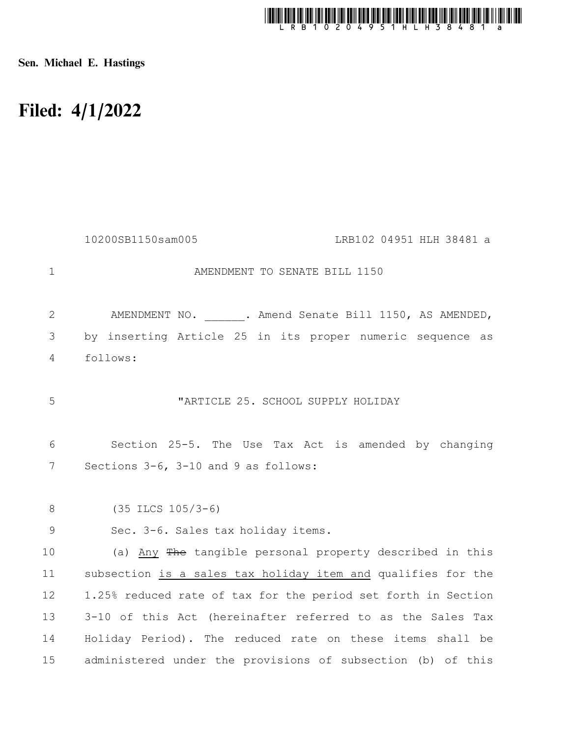

Sen. Michael E. Hastings

## Filed: 4/1/2022

|                | 10200SB1150sam005<br>LRB102 04951 HLH 38481 a                 |
|----------------|---------------------------------------------------------------|
| $\mathbf{1}$   | AMENDMENT TO SENATE BILL 1150                                 |
| $\mathbf{2}$   | AMENDMENT NO. . Amend Senate Bill 1150, AS AMENDED,           |
| 3              | by inserting Article 25 in its proper numeric sequence as     |
| $\overline{4}$ | follows:                                                      |
| 5              | "ARTICLE 25. SCHOOL SUPPLY HOLIDAY                            |
| 6              | Section 25-5. The Use Tax Act is amended by changing          |
| 7              | Sections 3-6, 3-10 and 9 as follows:                          |
| 8              | $(35$ ILCS $105/3-6)$                                         |
| 9              | Sec. 3-6. Sales tax holiday items.                            |
| 10             | (a) Any The tangible personal property described in this      |
| 11             | subsection is a sales tax holiday item and qualifies for the  |
| 12             | 1.25% reduced rate of tax for the period set forth in Section |
| 13             | 3-10 of this Act (hereinafter referred to as the Sales Tax    |
| 14             | Holiday Period). The reduced rate on these items shall be     |
| 15             | administered under the provisions of subsection (b) of this   |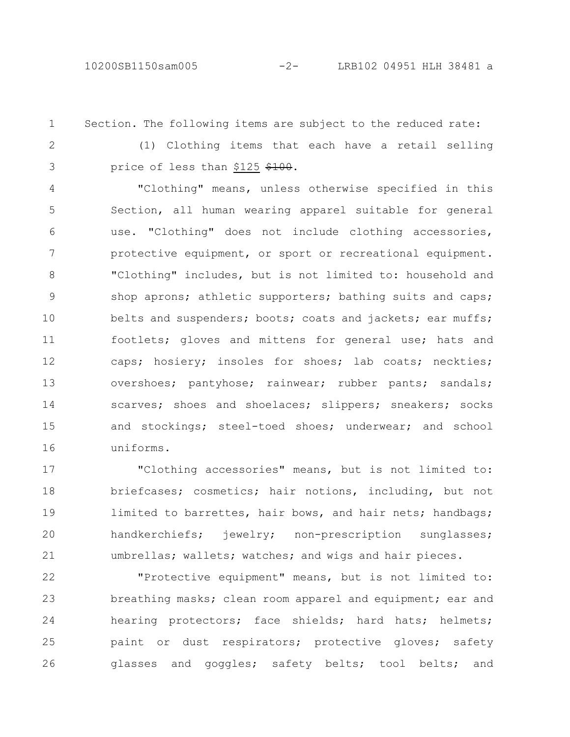10200SB1150sam005 -2- LRB102 04951 HLH 38481 a

Section. The following items are subject to the reduced rate: 1

2 3

(1) Clothing items that each have a retail selling price of less than \$125 \$100.

"Clothing" means, unless otherwise specified in this Section, all human wearing apparel suitable for general use. "Clothing" does not include clothing accessories, protective equipment, or sport or recreational equipment. "Clothing" includes, but is not limited to: household and shop aprons; athletic supporters; bathing suits and caps; belts and suspenders; boots; coats and jackets; ear muffs; footlets; gloves and mittens for general use; hats and caps; hosiery; insoles for shoes; lab coats; neckties; overshoes; pantyhose; rainwear; rubber pants; sandals; scarves; shoes and shoelaces; slippers; sneakers; socks and stockings; steel-toed shoes; underwear; and school uniforms. 4 5 6 7 8 9 10 11 12 13 14 15 16

"Clothing accessories" means, but is not limited to: briefcases; cosmetics; hair notions, including, but not limited to barrettes, hair bows, and hair nets; handbags; handkerchiefs; jewelry; non-prescription sunglasses; umbrellas; wallets; watches; and wigs and hair pieces. 17 18 19 20 21

"Protective equipment" means, but is not limited to: breathing masks; clean room apparel and equipment; ear and hearing protectors; face shields; hard hats; helmets; paint or dust respirators; protective gloves; safety glasses and goggles; safety belts; tool belts; and 22 23 24 25 26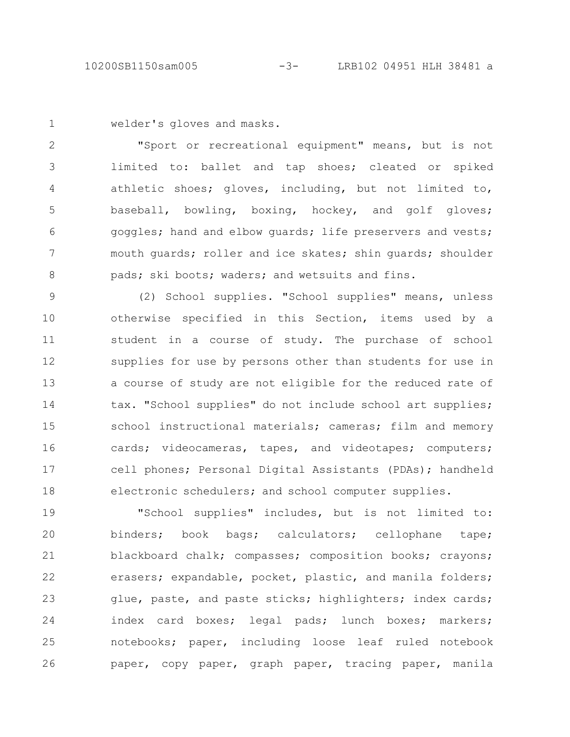welder's gloves and masks. 1

"Sport or recreational equipment" means, but is not limited to: ballet and tap shoes; cleated or spiked athletic shoes; gloves, including, but not limited to, baseball, bowling, boxing, hockey, and golf gloves; goggles; hand and elbow guards; life preservers and vests; mouth guards; roller and ice skates; shin guards; shoulder pads; ski boots; waders; and wetsuits and fins. 2 3 4 5 6 7 8

(2) School supplies. "School supplies" means, unless otherwise specified in this Section, items used by a student in a course of study. The purchase of school supplies for use by persons other than students for use in a course of study are not eligible for the reduced rate of tax. "School supplies" do not include school art supplies; school instructional materials; cameras; film and memory cards; videocameras, tapes, and videotapes; computers; cell phones; Personal Digital Assistants (PDAs); handheld electronic schedulers; and school computer supplies. 9 10 11 12 13 14 15 16 17 18

"School supplies" includes, but is not limited to: binders; book bags; calculators; cellophane tape; blackboard chalk; compasses; composition books; crayons; erasers; expandable, pocket, plastic, and manila folders; glue, paste, and paste sticks; highlighters; index cards; index card boxes; legal pads; lunch boxes; markers; notebooks; paper, including loose leaf ruled notebook paper, copy paper, graph paper, tracing paper, manila 19 20 21 22 23 24 25 26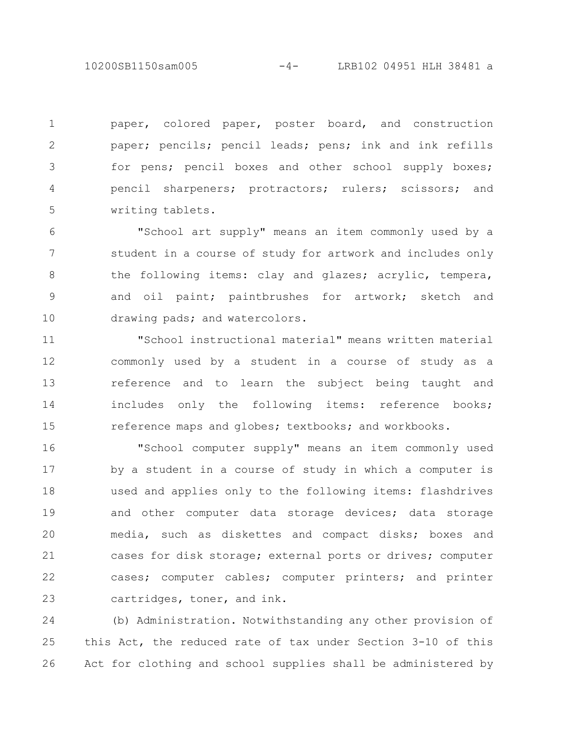10200SB1150sam005 -4- LRB102 04951 HLH 38481 a

paper, colored paper, poster board, and construction paper; pencils; pencil leads; pens; ink and ink refills for pens; pencil boxes and other school supply boxes; pencil sharpeners; protractors; rulers; scissors; and writing tablets. 1 2 3 4 5

"School art supply" means an item commonly used by a student in a course of study for artwork and includes only the following items: clay and glazes; acrylic, tempera, and oil paint; paintbrushes for artwork; sketch and drawing pads; and watercolors. 6 7 8 9 10

"School instructional material" means written material commonly used by a student in a course of study as a reference and to learn the subject being taught and includes only the following items: reference books; reference maps and globes; textbooks; and workbooks. 11 12 13 14 15

"School computer supply" means an item commonly used by a student in a course of study in which a computer is used and applies only to the following items: flashdrives and other computer data storage devices; data storage media, such as diskettes and compact disks; boxes and cases for disk storage; external ports or drives; computer cases; computer cables; computer printers; and printer cartridges, toner, and ink. 16 17 18 19 20 21 22 23

(b) Administration. Notwithstanding any other provision of this Act, the reduced rate of tax under Section 3-10 of this Act for clothing and school supplies shall be administered by 24 25 26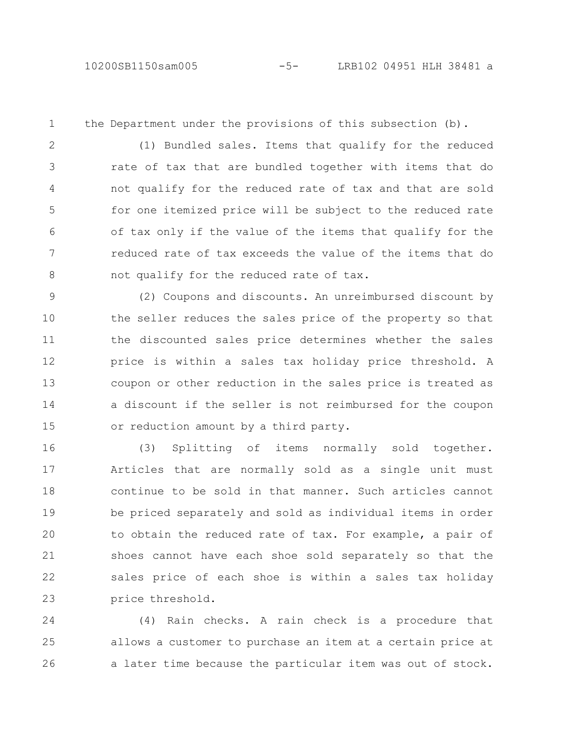1

the Department under the provisions of this subsection (b).

(1) Bundled sales. Items that qualify for the reduced rate of tax that are bundled together with items that do not qualify for the reduced rate of tax and that are sold for one itemized price will be subject to the reduced rate of tax only if the value of the items that qualify for the reduced rate of tax exceeds the value of the items that do not qualify for the reduced rate of tax. 2 3 4 5 6 7 8

(2) Coupons and discounts. An unreimbursed discount by the seller reduces the sales price of the property so that the discounted sales price determines whether the sales price is within a sales tax holiday price threshold. A coupon or other reduction in the sales price is treated as a discount if the seller is not reimbursed for the coupon or reduction amount by a third party. 9 10 11 12 13 14 15

(3) Splitting of items normally sold together. Articles that are normally sold as a single unit must continue to be sold in that manner. Such articles cannot be priced separately and sold as individual items in order to obtain the reduced rate of tax. For example, a pair of shoes cannot have each shoe sold separately so that the sales price of each shoe is within a sales tax holiday price threshold. 16 17 18 19 20 21 22 23

(4) Rain checks. A rain check is a procedure that allows a customer to purchase an item at a certain price at a later time because the particular item was out of stock. 24 25 26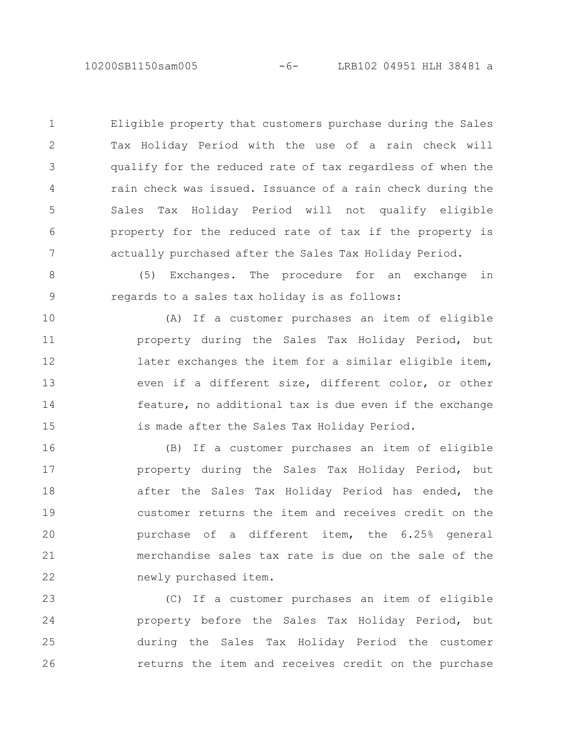Eligible property that customers purchase during the Sales Tax Holiday Period with the use of a rain check will qualify for the reduced rate of tax regardless of when the rain check was issued. Issuance of a rain check during the Sales Tax Holiday Period will not qualify eligible property for the reduced rate of tax if the property is actually purchased after the Sales Tax Holiday Period. 1 2 3 4 5 6 7

(5) Exchanges. The procedure for an exchange in regards to a sales tax holiday is as follows: 8 9

(A) If a customer purchases an item of eligible property during the Sales Tax Holiday Period, but later exchanges the item for a similar eligible item, even if a different size, different color, or other feature, no additional tax is due even if the exchange is made after the Sales Tax Holiday Period. 10 11 12 13 14 15

(B) If a customer purchases an item of eligible property during the Sales Tax Holiday Period, but after the Sales Tax Holiday Period has ended, the customer returns the item and receives credit on the purchase of a different item, the 6.25% general merchandise sales tax rate is due on the sale of the newly purchased item. 16 17 18 19 20 21 22

(C) If a customer purchases an item of eligible property before the Sales Tax Holiday Period, but during the Sales Tax Holiday Period the customer returns the item and receives credit on the purchase 23 24 25 26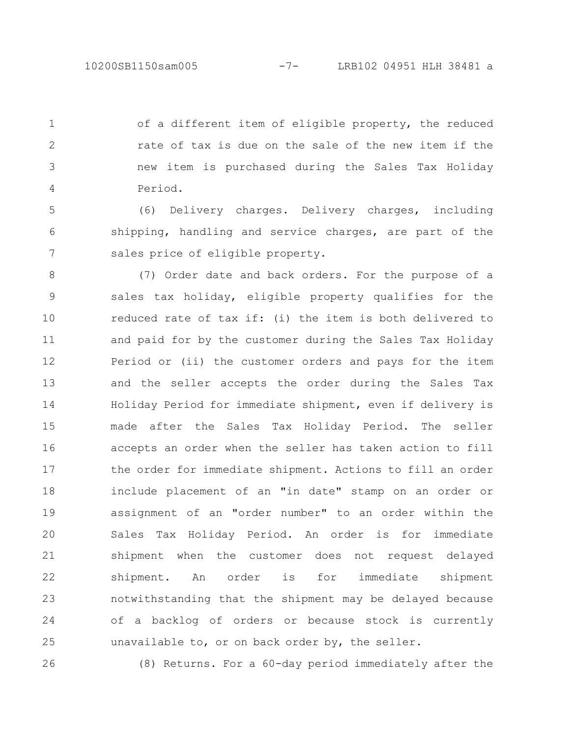of a different item of eligible property, the reduced rate of tax is due on the sale of the new item if the new item is purchased during the Sales Tax Holiday Period. 1 2 3 4

(6) Delivery charges. Delivery charges, including shipping, handling and service charges, are part of the sales price of eligible property. 5 6 7

(7) Order date and back orders. For the purpose of a sales tax holiday, eligible property qualifies for the reduced rate of tax if: (i) the item is both delivered to and paid for by the customer during the Sales Tax Holiday Period or (ii) the customer orders and pays for the item and the seller accepts the order during the Sales Tax Holiday Period for immediate shipment, even if delivery is made after the Sales Tax Holiday Period. The seller accepts an order when the seller has taken action to fill the order for immediate shipment. Actions to fill an order include placement of an "in date" stamp on an order or assignment of an "order number" to an order within the Sales Tax Holiday Period. An order is for immediate shipment when the customer does not request delayed shipment. An order is for immediate shipment notwithstanding that the shipment may be delayed because of a backlog of orders or because stock is currently unavailable to, or on back order by, the seller. 8 9 10 11 12 13 14 15 16 17 18 19 20 21 22 23 24 25

26

(8) Returns. For a 60-day period immediately after the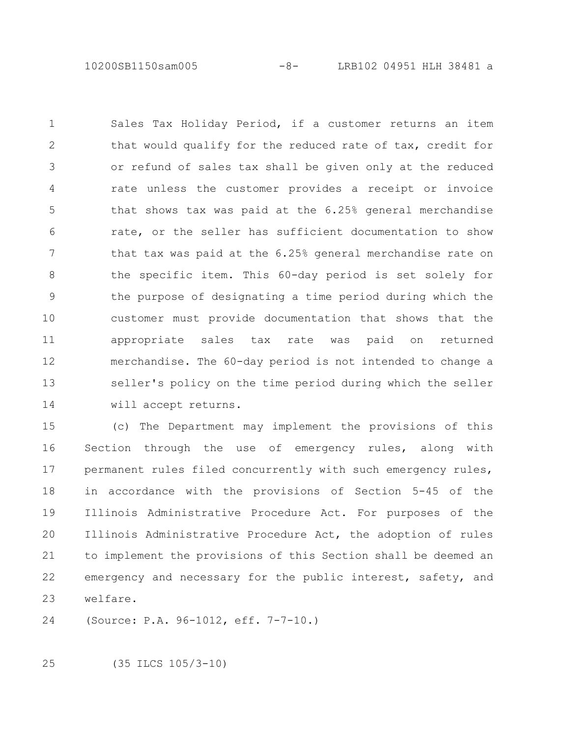10200SB1150sam005 -8- LRB102 04951 HLH 38481 a

Sales Tax Holiday Period, if a customer returns an item that would qualify for the reduced rate of tax, credit for or refund of sales tax shall be given only at the reduced rate unless the customer provides a receipt or invoice that shows tax was paid at the 6.25% general merchandise rate, or the seller has sufficient documentation to show that tax was paid at the 6.25% general merchandise rate on the specific item. This 60-day period is set solely for the purpose of designating a time period during which the customer must provide documentation that shows that the appropriate sales tax rate was paid on returned merchandise. The 60-day period is not intended to change a seller's policy on the time period during which the seller will accept returns. 1 2 3 4 5 6 7 8 9 10 11 12 13 14

(c) The Department may implement the provisions of this Section through the use of emergency rules, along with permanent rules filed concurrently with such emergency rules, in accordance with the provisions of Section 5-45 of the Illinois Administrative Procedure Act. For purposes of the Illinois Administrative Procedure Act, the adoption of rules to implement the provisions of this Section shall be deemed an emergency and necessary for the public interest, safety, and welfare. 15 16 17 18 19 20 21 22 23

(Source: P.A. 96-1012, eff. 7-7-10.) 24

(35 ILCS 105/3-10) 25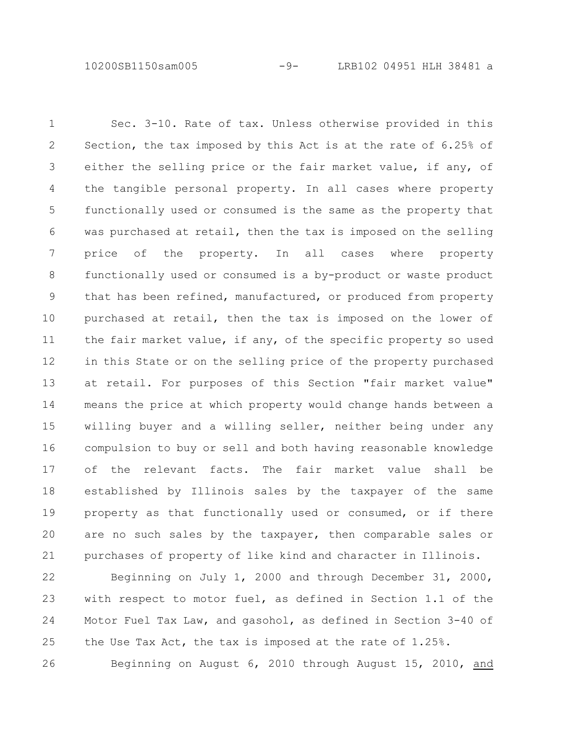10200SB1150sam005 -9- LRB102 04951 HLH 38481 a

Sec. 3-10. Rate of tax. Unless otherwise provided in this Section, the tax imposed by this Act is at the rate of 6.25% of either the selling price or the fair market value, if any, of the tangible personal property. In all cases where property functionally used or consumed is the same as the property that was purchased at retail, then the tax is imposed on the selling price of the property. In all cases where property functionally used or consumed is a by-product or waste product that has been refined, manufactured, or produced from property purchased at retail, then the tax is imposed on the lower of the fair market value, if any, of the specific property so used in this State or on the selling price of the property purchased at retail. For purposes of this Section "fair market value" means the price at which property would change hands between a willing buyer and a willing seller, neither being under any compulsion to buy or sell and both having reasonable knowledge of the relevant facts. The fair market value shall be established by Illinois sales by the taxpayer of the same property as that functionally used or consumed, or if there are no such sales by the taxpayer, then comparable sales or purchases of property of like kind and character in Illinois. 1 2 3 4 5 6 7 8 9 10 11 12 13 14 15 16 17 18 19 20 21

Beginning on July 1, 2000 and through December 31, 2000, with respect to motor fuel, as defined in Section 1.1 of the Motor Fuel Tax Law, and gasohol, as defined in Section 3-40 of the Use Tax Act, the tax is imposed at the rate of 1.25%. Beginning on August 6, 2010 through August 15, 2010, and 22 23 24 25 26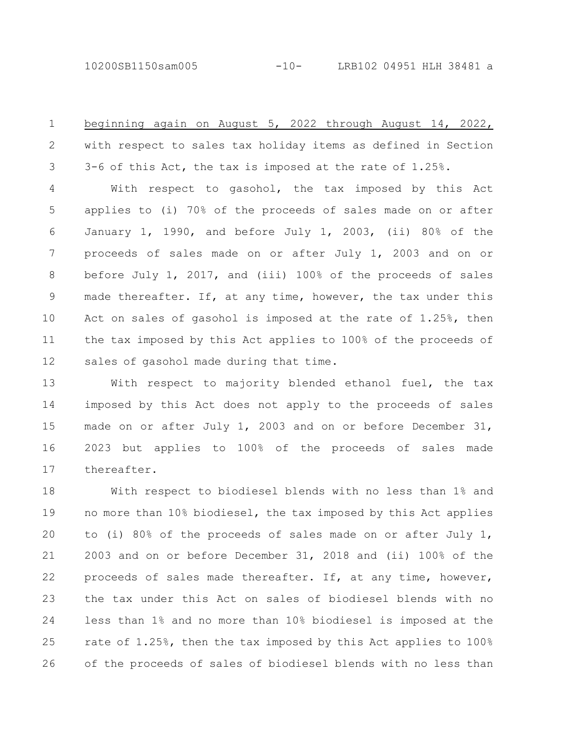10200SB1150sam005 -10- LRB102 04951 HLH 38481 a

beginning again on August 5, 2022 through August 14, 2022, with respect to sales tax holiday items as defined in Section 3-6 of this Act, the tax is imposed at the rate of 1.25%. 1 2 3

With respect to gasohol, the tax imposed by this Act applies to (i) 70% of the proceeds of sales made on or after January 1, 1990, and before July 1, 2003, (ii) 80% of the proceeds of sales made on or after July 1, 2003 and on or before July 1, 2017, and (iii) 100% of the proceeds of sales made thereafter. If, at any time, however, the tax under this Act on sales of gasohol is imposed at the rate of 1.25%, then the tax imposed by this Act applies to 100% of the proceeds of sales of gasohol made during that time. 4 5 6 7 8 9 10 11 12

With respect to majority blended ethanol fuel, the tax imposed by this Act does not apply to the proceeds of sales made on or after July 1, 2003 and on or before December 31, 2023 but applies to 100% of the proceeds of sales made thereafter. 13 14 15 16 17

With respect to biodiesel blends with no less than 1% and no more than 10% biodiesel, the tax imposed by this Act applies to (i) 80% of the proceeds of sales made on or after July 1, 2003 and on or before December 31, 2018 and (ii) 100% of the proceeds of sales made thereafter. If, at any time, however, the tax under this Act on sales of biodiesel blends with no less than 1% and no more than 10% biodiesel is imposed at the rate of 1.25%, then the tax imposed by this Act applies to 100% of the proceeds of sales of biodiesel blends with no less than 18 19 20 21 22 23 24 25 26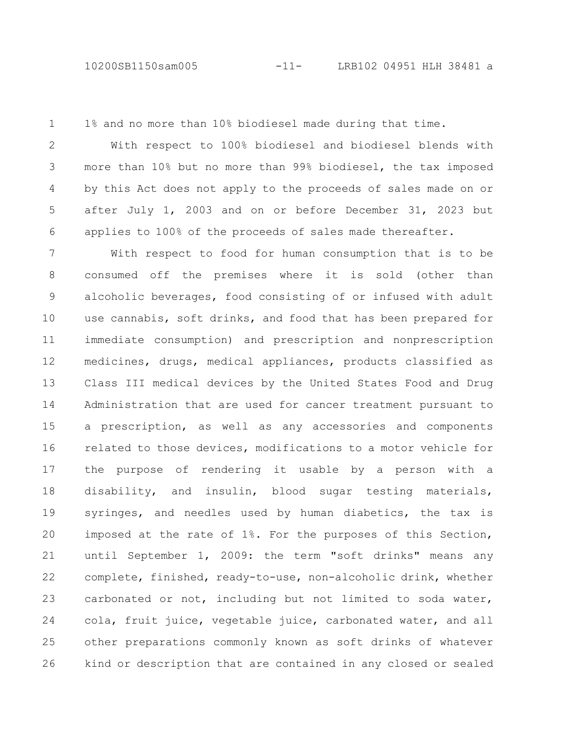1% and no more than 10% biodiesel made during that time. 1

With respect to 100% biodiesel and biodiesel blends with more than 10% but no more than 99% biodiesel, the tax imposed by this Act does not apply to the proceeds of sales made on or after July 1, 2003 and on or before December 31, 2023 but applies to 100% of the proceeds of sales made thereafter. 2 3 4 5 6

With respect to food for human consumption that is to be consumed off the premises where it is sold (other than alcoholic beverages, food consisting of or infused with adult use cannabis, soft drinks, and food that has been prepared for immediate consumption) and prescription and nonprescription medicines, drugs, medical appliances, products classified as Class III medical devices by the United States Food and Drug Administration that are used for cancer treatment pursuant to a prescription, as well as any accessories and components related to those devices, modifications to a motor vehicle for the purpose of rendering it usable by a person with a disability, and insulin, blood sugar testing materials, syringes, and needles used by human diabetics, the tax is imposed at the rate of 1%. For the purposes of this Section, until September 1, 2009: the term "soft drinks" means any complete, finished, ready-to-use, non-alcoholic drink, whether carbonated or not, including but not limited to soda water, cola, fruit juice, vegetable juice, carbonated water, and all other preparations commonly known as soft drinks of whatever kind or description that are contained in any closed or sealed 7 8 9 10 11 12 13 14 15 16 17 18 19 20 21 22 23 24 25 26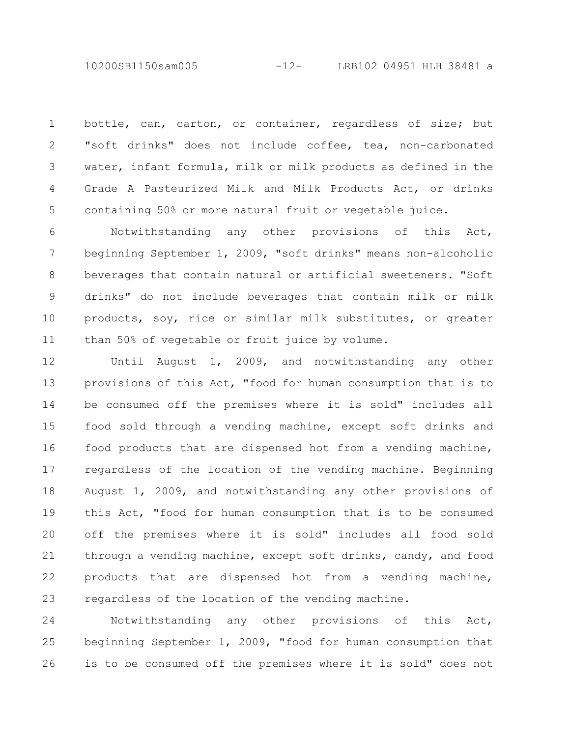10200SB1150sam005 -12- LRB102 04951 HLH 38481 a

bottle, can, carton, or container, regardless of size; but "soft drinks" does not include coffee, tea, non-carbonated water, infant formula, milk or milk products as defined in the Grade A Pasteurized Milk and Milk Products Act, or drinks containing 50% or more natural fruit or vegetable juice. 1 2 3 4 5

Notwithstanding any other provisions of this Act, beginning September 1, 2009, "soft drinks" means non-alcoholic beverages that contain natural or artificial sweeteners. "Soft drinks" do not include beverages that contain milk or milk products, soy, rice or similar milk substitutes, or greater than 50% of vegetable or fruit juice by volume. 6 7 8 9 10 11

Until August 1, 2009, and notwithstanding any other provisions of this Act, "food for human consumption that is to be consumed off the premises where it is sold" includes all food sold through a vending machine, except soft drinks and food products that are dispensed hot from a vending machine, regardless of the location of the vending machine. Beginning August 1, 2009, and notwithstanding any other provisions of this Act, "food for human consumption that is to be consumed off the premises where it is sold" includes all food sold through a vending machine, except soft drinks, candy, and food products that are dispensed hot from a vending machine, regardless of the location of the vending machine. 12 13 14 15 16 17 18 19 20 21 22 23

Notwithstanding any other provisions of this Act, beginning September 1, 2009, "food for human consumption that is to be consumed off the premises where it is sold" does not 24 25 26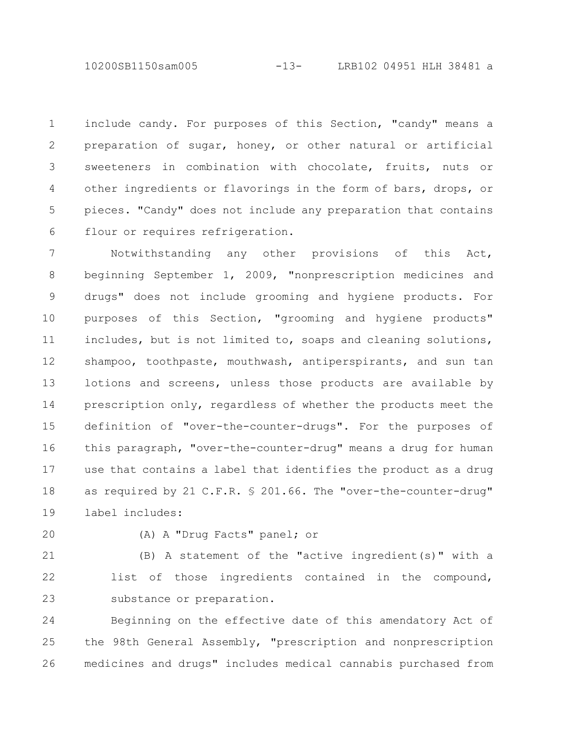10200SB1150sam005 -13- LRB102 04951 HLH 38481 a

include candy. For purposes of this Section, "candy" means a preparation of sugar, honey, or other natural or artificial sweeteners in combination with chocolate, fruits, nuts or other ingredients or flavorings in the form of bars, drops, or pieces. "Candy" does not include any preparation that contains flour or requires refrigeration. 1 2 3 4 5 6

Notwithstanding any other provisions of this Act, beginning September 1, 2009, "nonprescription medicines and drugs" does not include grooming and hygiene products. For purposes of this Section, "grooming and hygiene products" includes, but is not limited to, soaps and cleaning solutions, shampoo, toothpaste, mouthwash, antiperspirants, and sun tan lotions and screens, unless those products are available by prescription only, regardless of whether the products meet the definition of "over-the-counter-drugs". For the purposes of this paragraph, "over-the-counter-drug" means a drug for human use that contains a label that identifies the product as a drug as required by 21 C.F.R. § 201.66. The "over-the-counter-drug" label includes: 7 8 9 10 11 12 13 14 15 16 17 18 19

20

(A) A "Drug Facts" panel; or

(B) A statement of the "active ingredient(s)" with a list of those ingredients contained in the compound, substance or preparation. 21 22 23

Beginning on the effective date of this amendatory Act of the 98th General Assembly, "prescription and nonprescription medicines and drugs" includes medical cannabis purchased from 24 25 26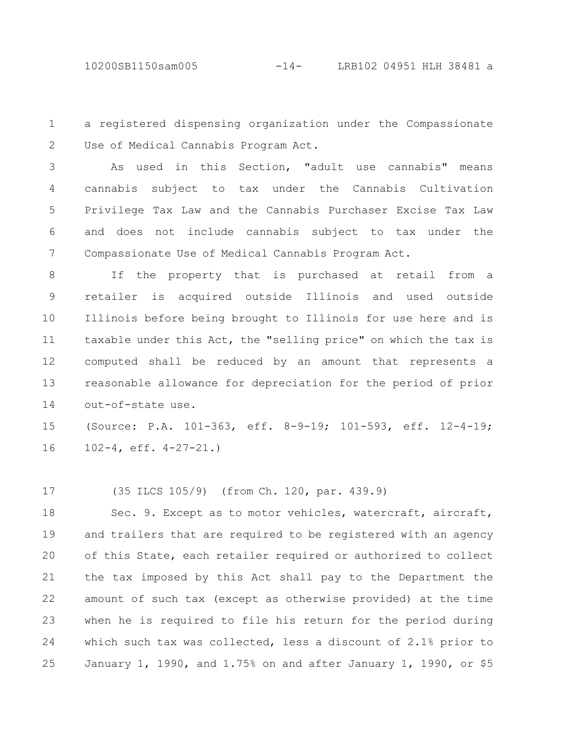a registered dispensing organization under the Compassionate Use of Medical Cannabis Program Act. 1 2

As used in this Section, "adult use cannabis" means cannabis subject to tax under the Cannabis Cultivation Privilege Tax Law and the Cannabis Purchaser Excise Tax Law and does not include cannabis subject to tax under the Compassionate Use of Medical Cannabis Program Act. 3 4 5 6 7

If the property that is purchased at retail from a retailer is acquired outside Illinois and used outside Illinois before being brought to Illinois for use here and is taxable under this Act, the "selling price" on which the tax is computed shall be reduced by an amount that represents a reasonable allowance for depreciation for the period of prior out-of-state use. 8 9 10 11 12 13 14

(Source: P.A. 101-363, eff. 8-9-19; 101-593, eff. 12-4-19; 102-4, eff. 4-27-21.) 15 16

(35 ILCS 105/9) (from Ch. 120, par. 439.9) 17

Sec. 9. Except as to motor vehicles, watercraft, aircraft, and trailers that are required to be registered with an agency of this State, each retailer required or authorized to collect the tax imposed by this Act shall pay to the Department the amount of such tax (except as otherwise provided) at the time when he is required to file his return for the period during which such tax was collected, less a discount of 2.1% prior to January 1, 1990, and 1.75% on and after January 1, 1990, or \$5 18 19 20 21 22 23 24 25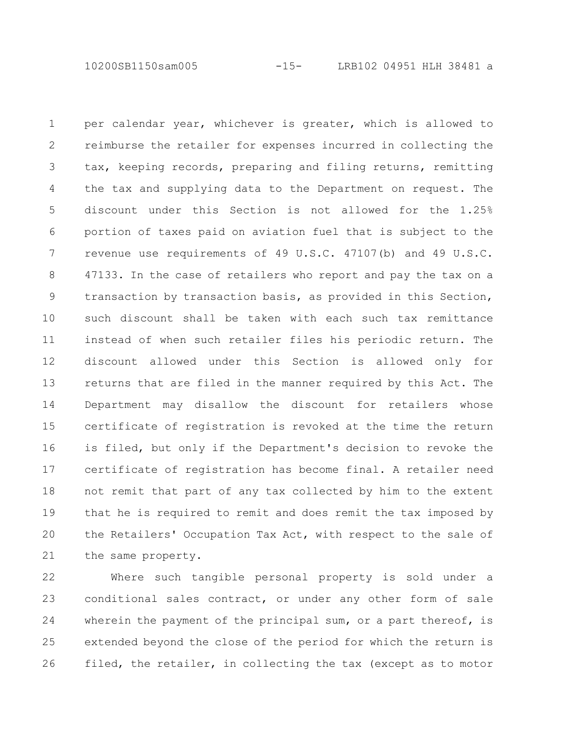10200SB1150sam005 -15- LRB102 04951 HLH 38481 a

per calendar year, whichever is greater, which is allowed to reimburse the retailer for expenses incurred in collecting the tax, keeping records, preparing and filing returns, remitting the tax and supplying data to the Department on request. The discount under this Section is not allowed for the 1.25% portion of taxes paid on aviation fuel that is subject to the revenue use requirements of 49 U.S.C. 47107(b) and 49 U.S.C. 47133. In the case of retailers who report and pay the tax on a transaction by transaction basis, as provided in this Section, such discount shall be taken with each such tax remittance instead of when such retailer files his periodic return. The discount allowed under this Section is allowed only for returns that are filed in the manner required by this Act. The Department may disallow the discount for retailers whose certificate of registration is revoked at the time the return is filed, but only if the Department's decision to revoke the certificate of registration has become final. A retailer need not remit that part of any tax collected by him to the extent that he is required to remit and does remit the tax imposed by the Retailers' Occupation Tax Act, with respect to the sale of the same property. 1 2 3 4 5 6 7 8 9 10 11 12 13 14 15 16 17 18 19 20 21

Where such tangible personal property is sold under a conditional sales contract, or under any other form of sale wherein the payment of the principal sum, or a part thereof, is extended beyond the close of the period for which the return is filed, the retailer, in collecting the tax (except as to motor 22 23 24 25 26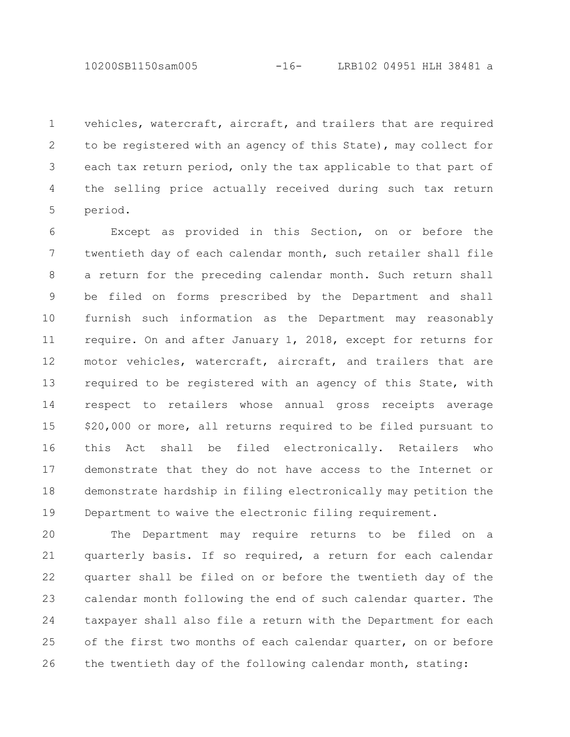vehicles, watercraft, aircraft, and trailers that are required to be registered with an agency of this State), may collect for each tax return period, only the tax applicable to that part of the selling price actually received during such tax return period. 1 2 3 4 5

Except as provided in this Section, on or before the twentieth day of each calendar month, such retailer shall file a return for the preceding calendar month. Such return shall be filed on forms prescribed by the Department and shall furnish such information as the Department may reasonably require. On and after January 1, 2018, except for returns for motor vehicles, watercraft, aircraft, and trailers that are required to be registered with an agency of this State, with respect to retailers whose annual gross receipts average \$20,000 or more, all returns required to be filed pursuant to this Act shall be filed electronically. Retailers who demonstrate that they do not have access to the Internet or demonstrate hardship in filing electronically may petition the Department to waive the electronic filing requirement. 6 7 8 9 10 11 12 13 14 15 16 17 18 19

The Department may require returns to be filed on a quarterly basis. If so required, a return for each calendar quarter shall be filed on or before the twentieth day of the calendar month following the end of such calendar quarter. The taxpayer shall also file a return with the Department for each of the first two months of each calendar quarter, on or before the twentieth day of the following calendar month, stating: 20 21 22 23 24 25 26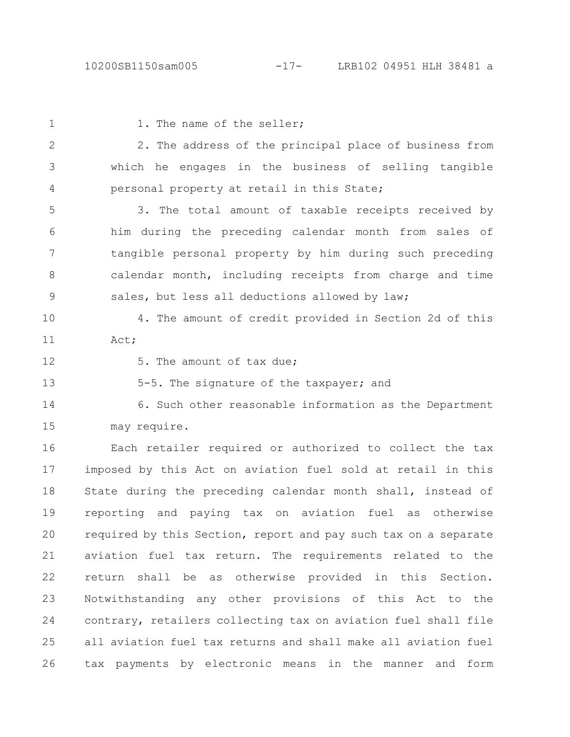| $\mathbf 1$  | 1. The name of the seller;                                      |
|--------------|-----------------------------------------------------------------|
| $\mathbf{2}$ | 2. The address of the principal place of business from          |
| 3            | which he engages in the business of selling tangible            |
| 4            | personal property at retail in this State;                      |
| 5            | 3. The total amount of taxable receipts received by             |
| 6            | him during the preceding calendar month from sales of           |
| 7            | tangible personal property by him during such preceding         |
| 8            | calendar month, including receipts from charge and time         |
| $\mathsf 9$  | sales, but less all deductions allowed by law;                  |
| 10           | 4. The amount of credit provided in Section 2d of this          |
| 11           | Act;                                                            |
| 12           | 5. The amount of tax due;                                       |
| 13           | 5-5. The signature of the taxpayer; and                         |
| 14           | 6. Such other reasonable information as the Department          |
| 15           | may require.                                                    |
| 16           | Each retailer required or authorized to collect the tax         |
| 17           | imposed by this Act on aviation fuel sold at retail in this     |
| 18           | State during the preceding calendar month shall, instead of     |
| 19           | reporting and paying tax on aviation fuel as<br>otherwise       |
| 20           | required by this Section, report and pay such tax on a separate |
| 21           | aviation fuel tax return. The requirements related to the       |
| 22           | return shall be as otherwise provided in this Section.          |
| 23           | Notwithstanding any other provisions of this Act to the         |
| 24           | contrary, retailers collecting tax on aviation fuel shall file  |
| 25           | all aviation fuel tax returns and shall make all aviation fuel  |
| 26           | tax payments by electronic means in the manner and<br>form      |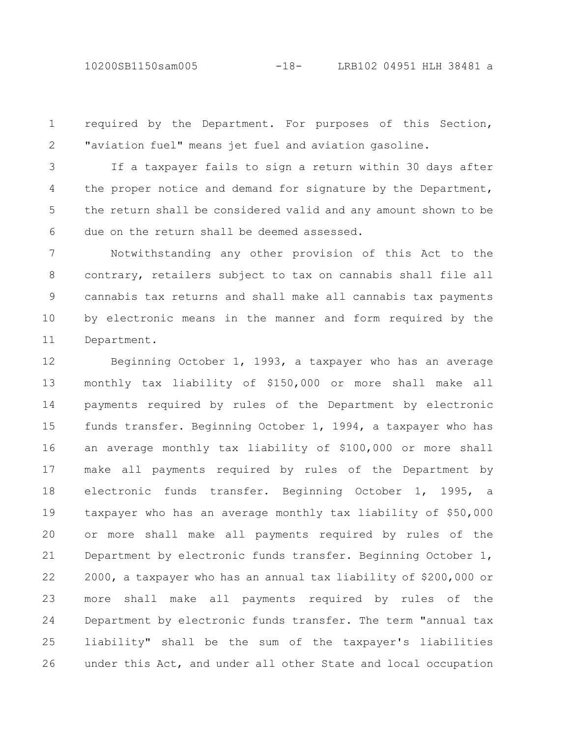10200SB1150sam005 -18- LRB102 04951 HLH 38481 a

required by the Department. For purposes of this Section, "aviation fuel" means jet fuel and aviation gasoline. 1 2

If a taxpayer fails to sign a return within 30 days after the proper notice and demand for signature by the Department, the return shall be considered valid and any amount shown to be due on the return shall be deemed assessed. 3 4 5 6

Notwithstanding any other provision of this Act to the contrary, retailers subject to tax on cannabis shall file all cannabis tax returns and shall make all cannabis tax payments by electronic means in the manner and form required by the Department. 7 8 9 10 11

Beginning October 1, 1993, a taxpayer who has an average monthly tax liability of \$150,000 or more shall make all payments required by rules of the Department by electronic funds transfer. Beginning October 1, 1994, a taxpayer who has an average monthly tax liability of \$100,000 or more shall make all payments required by rules of the Department by electronic funds transfer. Beginning October 1, 1995, a taxpayer who has an average monthly tax liability of \$50,000 or more shall make all payments required by rules of the Department by electronic funds transfer. Beginning October 1, 2000, a taxpayer who has an annual tax liability of \$200,000 or more shall make all payments required by rules of the Department by electronic funds transfer. The term "annual tax liability" shall be the sum of the taxpayer's liabilities under this Act, and under all other State and local occupation 12 13 14 15 16 17 18 19 20 21 22 23 24 25 26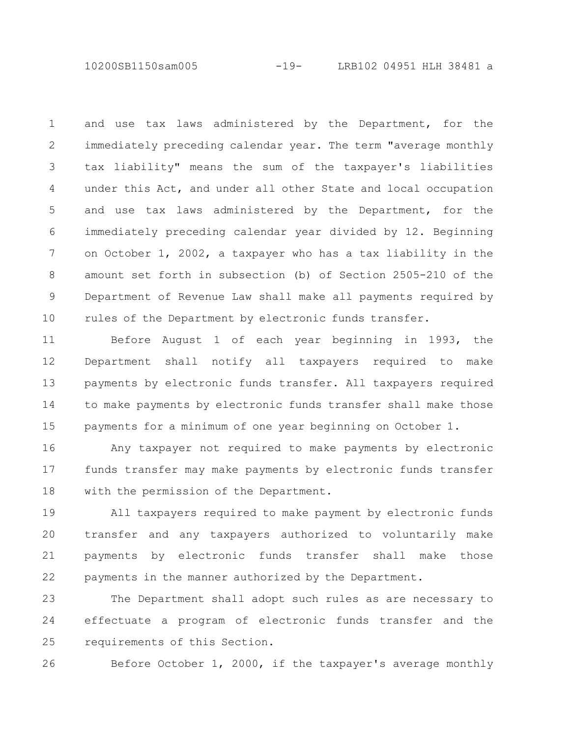10200SB1150sam005 -19- LRB102 04951 HLH 38481 a

and use tax laws administered by the Department, for the immediately preceding calendar year. The term "average monthly tax liability" means the sum of the taxpayer's liabilities under this Act, and under all other State and local occupation and use tax laws administered by the Department, for the immediately preceding calendar year divided by 12. Beginning on October 1, 2002, a taxpayer who has a tax liability in the amount set forth in subsection (b) of Section 2505-210 of the Department of Revenue Law shall make all payments required by rules of the Department by electronic funds transfer. 1 2 3 4 5 6 7 8 9 10

Before August 1 of each year beginning in 1993, the Department shall notify all taxpayers required to make payments by electronic funds transfer. All taxpayers required to make payments by electronic funds transfer shall make those payments for a minimum of one year beginning on October 1. 11 12 13 14 15

Any taxpayer not required to make payments by electronic funds transfer may make payments by electronic funds transfer with the permission of the Department. 16 17 18

All taxpayers required to make payment by electronic funds transfer and any taxpayers authorized to voluntarily make payments by electronic funds transfer shall make those payments in the manner authorized by the Department. 19 20 21 22

The Department shall adopt such rules as are necessary to effectuate a program of electronic funds transfer and the requirements of this Section. 23 24 25

26

Before October 1, 2000, if the taxpayer's average monthly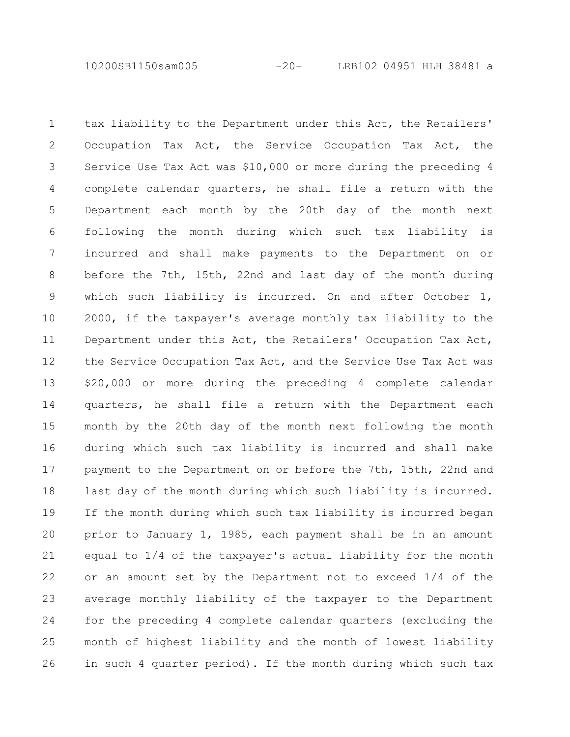10200SB1150sam005 -20- LRB102 04951 HLH 38481 a

tax liability to the Department under this Act, the Retailers' Occupation Tax Act, the Service Occupation Tax Act, the Service Use Tax Act was \$10,000 or more during the preceding 4 complete calendar quarters, he shall file a return with the Department each month by the 20th day of the month next following the month during which such tax liability is incurred and shall make payments to the Department on or before the 7th, 15th, 22nd and last day of the month during which such liability is incurred. On and after October 1, 2000, if the taxpayer's average monthly tax liability to the Department under this Act, the Retailers' Occupation Tax Act, the Service Occupation Tax Act, and the Service Use Tax Act was \$20,000 or more during the preceding 4 complete calendar quarters, he shall file a return with the Department each month by the 20th day of the month next following the month during which such tax liability is incurred and shall make payment to the Department on or before the 7th, 15th, 22nd and last day of the month during which such liability is incurred. If the month during which such tax liability is incurred began prior to January 1, 1985, each payment shall be in an amount equal to 1/4 of the taxpayer's actual liability for the month or an amount set by the Department not to exceed 1/4 of the average monthly liability of the taxpayer to the Department for the preceding 4 complete calendar quarters (excluding the month of highest liability and the month of lowest liability in such 4 quarter period). If the month during which such tax 1 2 3 4 5 6 7 8 9 10 11 12 13 14 15 16 17 18 19 20 21 22 23 24 25 26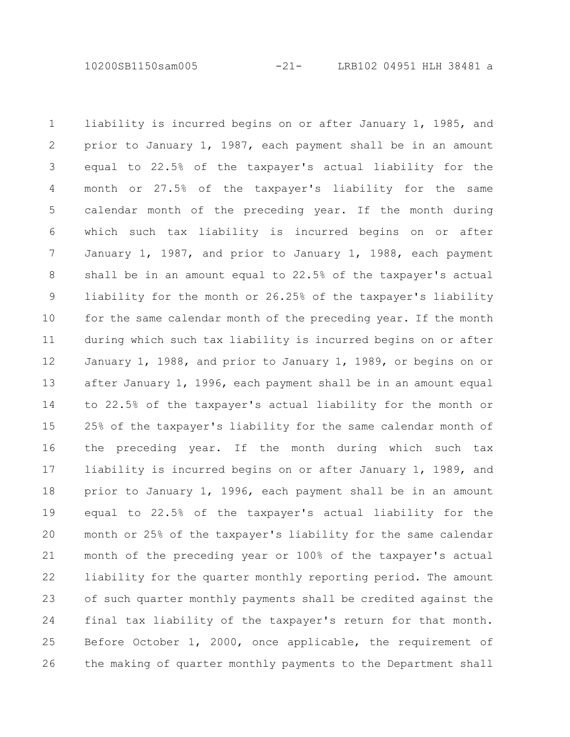10200SB1150sam005 -21- LRB102 04951 HLH 38481 a

liability is incurred begins on or after January 1, 1985, and prior to January 1, 1987, each payment shall be in an amount equal to 22.5% of the taxpayer's actual liability for the month or 27.5% of the taxpayer's liability for the same calendar month of the preceding year. If the month during which such tax liability is incurred begins on or after January 1, 1987, and prior to January 1, 1988, each payment shall be in an amount equal to 22.5% of the taxpayer's actual liability for the month or 26.25% of the taxpayer's liability for the same calendar month of the preceding year. If the month during which such tax liability is incurred begins on or after January 1, 1988, and prior to January 1, 1989, or begins on or after January 1, 1996, each payment shall be in an amount equal to 22.5% of the taxpayer's actual liability for the month or 25% of the taxpayer's liability for the same calendar month of the preceding year. If the month during which such tax liability is incurred begins on or after January 1, 1989, and prior to January 1, 1996, each payment shall be in an amount equal to 22.5% of the taxpayer's actual liability for the month or 25% of the taxpayer's liability for the same calendar month of the preceding year or 100% of the taxpayer's actual liability for the quarter monthly reporting period. The amount of such quarter monthly payments shall be credited against the final tax liability of the taxpayer's return for that month. Before October 1, 2000, once applicable, the requirement of the making of quarter monthly payments to the Department shall 1 2 3 4 5 6 7 8 9 10 11 12 13 14 15 16 17 18 19 20 21 22 23 24 25 26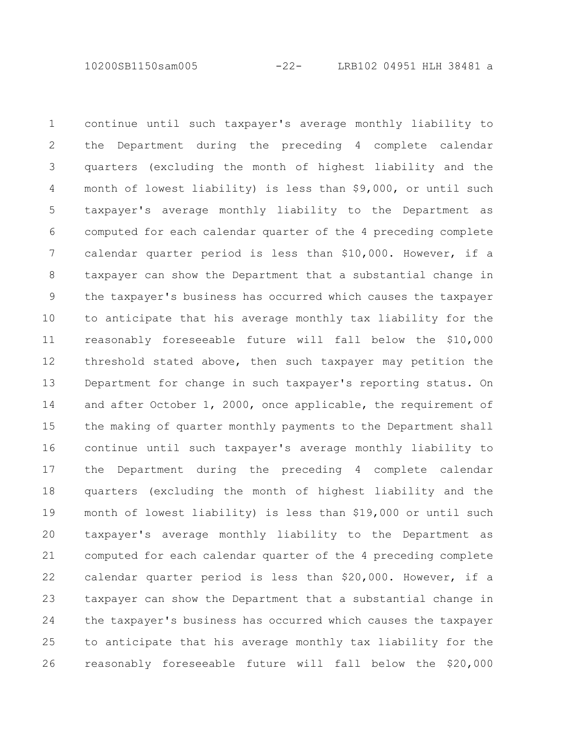10200SB1150sam005 -22- LRB102 04951 HLH 38481 a

continue until such taxpayer's average monthly liability to the Department during the preceding 4 complete calendar quarters (excluding the month of highest liability and the month of lowest liability) is less than \$9,000, or until such taxpayer's average monthly liability to the Department as computed for each calendar quarter of the 4 preceding complete calendar quarter period is less than \$10,000. However, if a taxpayer can show the Department that a substantial change in the taxpayer's business has occurred which causes the taxpayer to anticipate that his average monthly tax liability for the reasonably foreseeable future will fall below the \$10,000 threshold stated above, then such taxpayer may petition the Department for change in such taxpayer's reporting status. On and after October 1, 2000, once applicable, the requirement of the making of quarter monthly payments to the Department shall continue until such taxpayer's average monthly liability to the Department during the preceding 4 complete calendar quarters (excluding the month of highest liability and the month of lowest liability) is less than \$19,000 or until such taxpayer's average monthly liability to the Department as computed for each calendar quarter of the 4 preceding complete calendar quarter period is less than \$20,000. However, if a taxpayer can show the Department that a substantial change in the taxpayer's business has occurred which causes the taxpayer to anticipate that his average monthly tax liability for the reasonably foreseeable future will fall below the \$20,000 1 2 3 4 5 6 7 8 9 10 11 12 13 14 15 16 17 18 19 20 21 22 23 24 25 26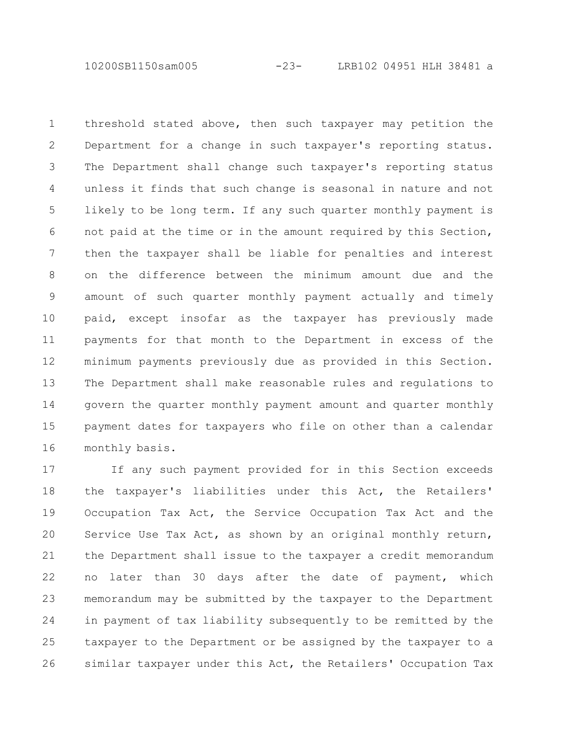10200SB1150sam005 -23- LRB102 04951 HLH 38481 a

threshold stated above, then such taxpayer may petition the Department for a change in such taxpayer's reporting status. The Department shall change such taxpayer's reporting status unless it finds that such change is seasonal in nature and not likely to be long term. If any such quarter monthly payment is not paid at the time or in the amount required by this Section, then the taxpayer shall be liable for penalties and interest on the difference between the minimum amount due and the amount of such quarter monthly payment actually and timely paid, except insofar as the taxpayer has previously made payments for that month to the Department in excess of the minimum payments previously due as provided in this Section. The Department shall make reasonable rules and regulations to govern the quarter monthly payment amount and quarter monthly payment dates for taxpayers who file on other than a calendar monthly basis. 1 2 3 4 5 6 7 8 9 10 11 12 13 14 15 16

If any such payment provided for in this Section exceeds the taxpayer's liabilities under this Act, the Retailers' Occupation Tax Act, the Service Occupation Tax Act and the Service Use Tax Act, as shown by an original monthly return, the Department shall issue to the taxpayer a credit memorandum no later than 30 days after the date of payment, which memorandum may be submitted by the taxpayer to the Department in payment of tax liability subsequently to be remitted by the taxpayer to the Department or be assigned by the taxpayer to a similar taxpayer under this Act, the Retailers' Occupation Tax 17 18 19 20 21 22 23 24 25 26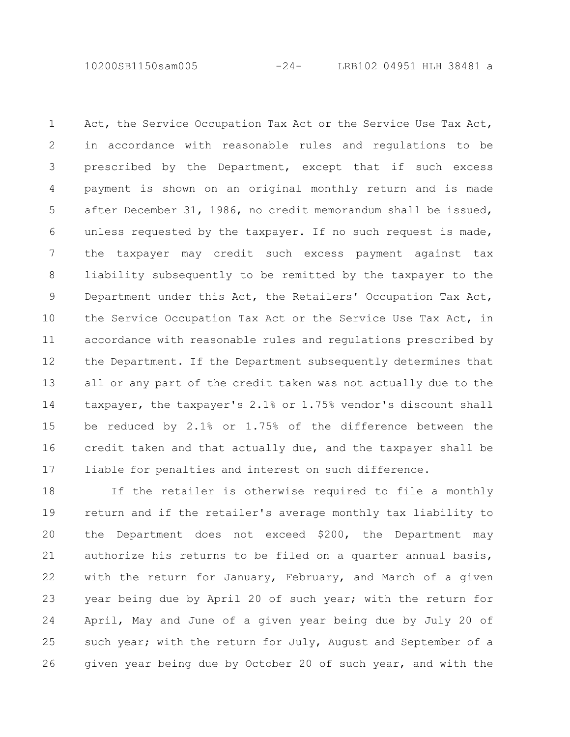10200SB1150sam005 -24- LRB102 04951 HLH 38481 a

Act, the Service Occupation Tax Act or the Service Use Tax Act, in accordance with reasonable rules and regulations to be prescribed by the Department, except that if such excess payment is shown on an original monthly return and is made after December 31, 1986, no credit memorandum shall be issued, unless requested by the taxpayer. If no such request is made, the taxpayer may credit such excess payment against tax liability subsequently to be remitted by the taxpayer to the Department under this Act, the Retailers' Occupation Tax Act, the Service Occupation Tax Act or the Service Use Tax Act, in accordance with reasonable rules and regulations prescribed by the Department. If the Department subsequently determines that all or any part of the credit taken was not actually due to the taxpayer, the taxpayer's 2.1% or 1.75% vendor's discount shall be reduced by 2.1% or 1.75% of the difference between the credit taken and that actually due, and the taxpayer shall be liable for penalties and interest on such difference. 1 2 3 4 5 6 7 8 9 10 11 12 13 14 15 16 17

If the retailer is otherwise required to file a monthly return and if the retailer's average monthly tax liability to the Department does not exceed \$200, the Department may authorize his returns to be filed on a quarter annual basis, with the return for January, February, and March of a given year being due by April 20 of such year; with the return for April, May and June of a given year being due by July 20 of such year; with the return for July, August and September of a given year being due by October 20 of such year, and with the 18 19 20 21 22 23 24 25 26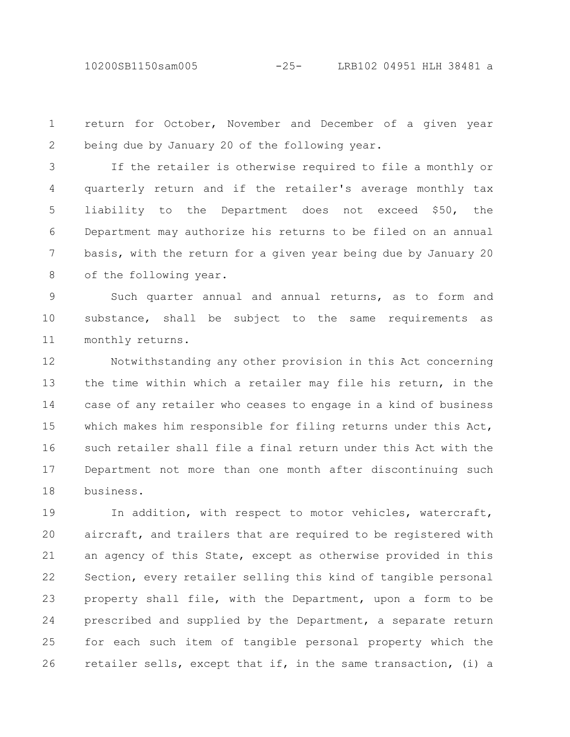10200SB1150sam005 -25- LRB102 04951 HLH 38481 a

return for October, November and December of a given year being due by January 20 of the following year. 1 2

If the retailer is otherwise required to file a monthly or quarterly return and if the retailer's average monthly tax liability to the Department does not exceed \$50, the Department may authorize his returns to be filed on an annual basis, with the return for a given year being due by January 20 of the following year. 3 4 5 6 7 8

Such quarter annual and annual returns, as to form and substance, shall be subject to the same requirements as monthly returns. 9 10 11

Notwithstanding any other provision in this Act concerning the time within which a retailer may file his return, in the case of any retailer who ceases to engage in a kind of business which makes him responsible for filing returns under this Act, such retailer shall file a final return under this Act with the Department not more than one month after discontinuing such business. 12 13 14 15 16 17 18

In addition, with respect to motor vehicles, watercraft, aircraft, and trailers that are required to be registered with an agency of this State, except as otherwise provided in this Section, every retailer selling this kind of tangible personal property shall file, with the Department, upon a form to be prescribed and supplied by the Department, a separate return for each such item of tangible personal property which the retailer sells, except that if, in the same transaction, (i) a 19 20 21 22 23 24 25 26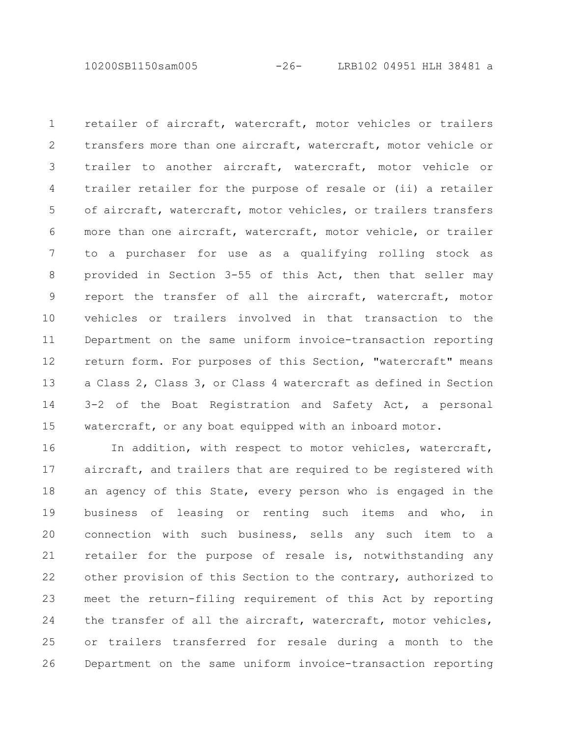10200SB1150sam005 -26- LRB102 04951 HLH 38481 a

retailer of aircraft, watercraft, motor vehicles or trailers transfers more than one aircraft, watercraft, motor vehicle or trailer to another aircraft, watercraft, motor vehicle or trailer retailer for the purpose of resale or (ii) a retailer of aircraft, watercraft, motor vehicles, or trailers transfers more than one aircraft, watercraft, motor vehicle, or trailer to a purchaser for use as a qualifying rolling stock as provided in Section 3-55 of this Act, then that seller may report the transfer of all the aircraft, watercraft, motor vehicles or trailers involved in that transaction to the Department on the same uniform invoice-transaction reporting return form. For purposes of this Section, "watercraft" means a Class 2, Class 3, or Class 4 watercraft as defined in Section 3-2 of the Boat Registration and Safety Act, a personal watercraft, or any boat equipped with an inboard motor. 1 2 3 4 5 6 7 8 9 10 11 12 13 14 15

In addition, with respect to motor vehicles, watercraft, aircraft, and trailers that are required to be registered with an agency of this State, every person who is engaged in the business of leasing or renting such items and who, in connection with such business, sells any such item to a retailer for the purpose of resale is, notwithstanding any other provision of this Section to the contrary, authorized to meet the return-filing requirement of this Act by reporting the transfer of all the aircraft, watercraft, motor vehicles, or trailers transferred for resale during a month to the Department on the same uniform invoice-transaction reporting 16 17 18 19 20 21 22 23 24 25 26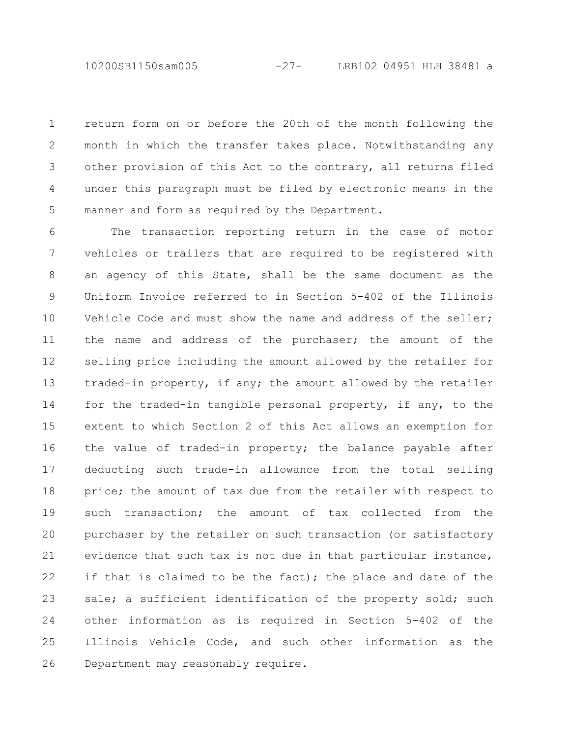10200SB1150sam005 -27- LRB102 04951 HLH 38481 a

return form on or before the 20th of the month following the month in which the transfer takes place. Notwithstanding any other provision of this Act to the contrary, all returns filed under this paragraph must be filed by electronic means in the manner and form as required by the Department. 1 2 3 4 5

The transaction reporting return in the case of motor vehicles or trailers that are required to be registered with an agency of this State, shall be the same document as the Uniform Invoice referred to in Section 5-402 of the Illinois Vehicle Code and must show the name and address of the seller; the name and address of the purchaser; the amount of the selling price including the amount allowed by the retailer for traded-in property, if any; the amount allowed by the retailer for the traded-in tangible personal property, if any, to the extent to which Section 2 of this Act allows an exemption for the value of traded-in property; the balance payable after deducting such trade-in allowance from the total selling price; the amount of tax due from the retailer with respect to such transaction; the amount of tax collected from the purchaser by the retailer on such transaction (or satisfactory evidence that such tax is not due in that particular instance, if that is claimed to be the fact); the place and date of the sale; a sufficient identification of the property sold; such other information as is required in Section 5-402 of the Illinois Vehicle Code, and such other information as the Department may reasonably require. 6 7 8 9 10 11 12 13 14 15 16 17 18 19 20 21 22 23 24 25 26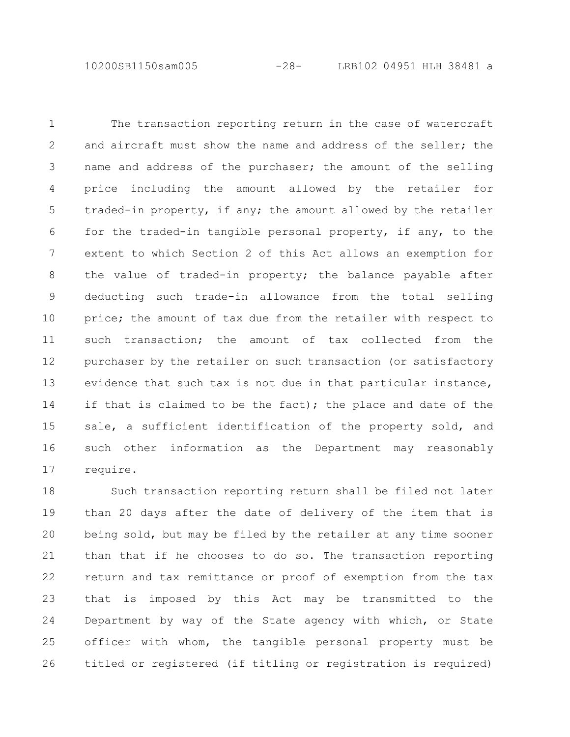10200SB1150sam005 -28- LRB102 04951 HLH 38481 a

The transaction reporting return in the case of watercraft and aircraft must show the name and address of the seller; the name and address of the purchaser; the amount of the selling price including the amount allowed by the retailer for traded-in property, if any; the amount allowed by the retailer for the traded-in tangible personal property, if any, to the extent to which Section 2 of this Act allows an exemption for the value of traded-in property; the balance payable after deducting such trade-in allowance from the total selling price; the amount of tax due from the retailer with respect to such transaction; the amount of tax collected from the purchaser by the retailer on such transaction (or satisfactory evidence that such tax is not due in that particular instance, if that is claimed to be the fact); the place and date of the sale, a sufficient identification of the property sold, and such other information as the Department may reasonably require. 1 2 3 4 5 6 7 8 9 10 11 12 13 14 15 16 17

Such transaction reporting return shall be filed not later than 20 days after the date of delivery of the item that is being sold, but may be filed by the retailer at any time sooner than that if he chooses to do so. The transaction reporting return and tax remittance or proof of exemption from the tax that is imposed by this Act may be transmitted to the Department by way of the State agency with which, or State officer with whom, the tangible personal property must be titled or registered (if titling or registration is required) 18 19 20 21 22 23 24 25 26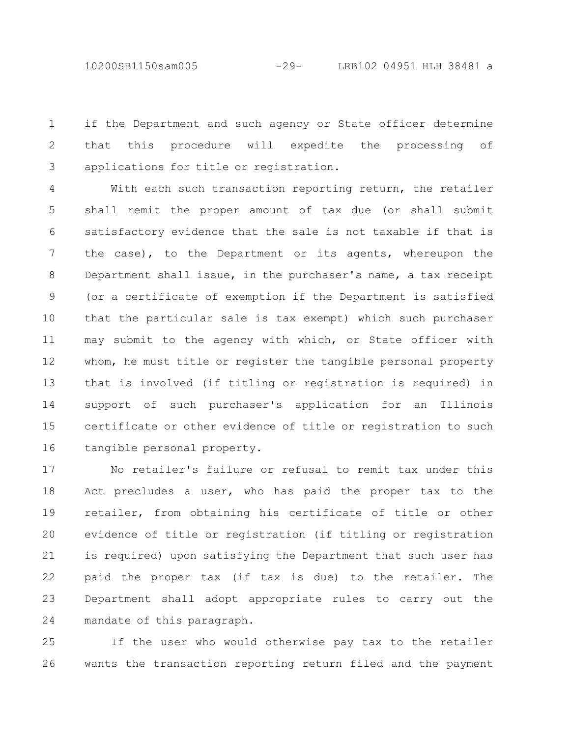10200SB1150sam005 -29- LRB102 04951 HLH 38481 a

if the Department and such agency or State officer determine that this procedure will expedite the processing of applications for title or registration. 1 2 3

With each such transaction reporting return, the retailer shall remit the proper amount of tax due (or shall submit satisfactory evidence that the sale is not taxable if that is the case), to the Department or its agents, whereupon the Department shall issue, in the purchaser's name, a tax receipt (or a certificate of exemption if the Department is satisfied that the particular sale is tax exempt) which such purchaser may submit to the agency with which, or State officer with whom, he must title or register the tangible personal property that is involved (if titling or registration is required) in support of such purchaser's application for an Illinois certificate or other evidence of title or registration to such tangible personal property. 4 5 6 7 8 9 10 11 12 13 14 15 16

No retailer's failure or refusal to remit tax under this Act precludes a user, who has paid the proper tax to the retailer, from obtaining his certificate of title or other evidence of title or registration (if titling or registration is required) upon satisfying the Department that such user has paid the proper tax (if tax is due) to the retailer. The Department shall adopt appropriate rules to carry out the mandate of this paragraph. 17 18 19 20 21 22 23 24

If the user who would otherwise pay tax to the retailer wants the transaction reporting return filed and the payment 25 26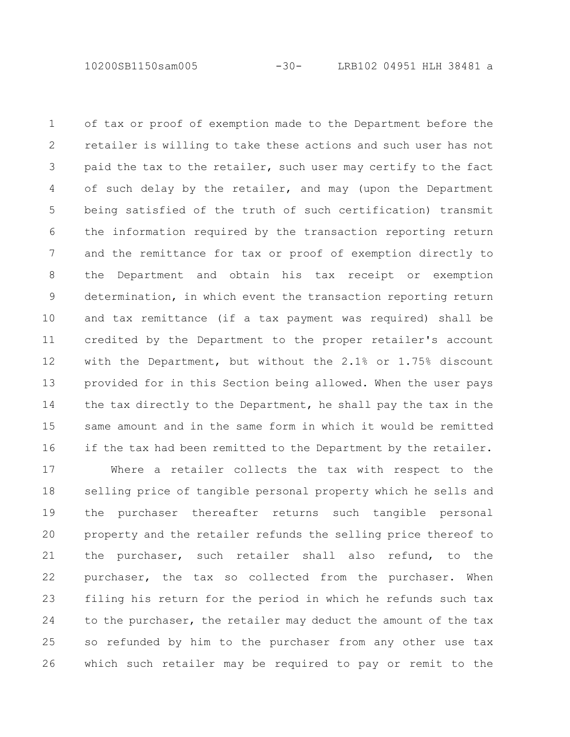10200SB1150sam005 -30- LRB102 04951 HLH 38481 a

of tax or proof of exemption made to the Department before the retailer is willing to take these actions and such user has not paid the tax to the retailer, such user may certify to the fact of such delay by the retailer, and may (upon the Department being satisfied of the truth of such certification) transmit the information required by the transaction reporting return and the remittance for tax or proof of exemption directly to the Department and obtain his tax receipt or exemption determination, in which event the transaction reporting return and tax remittance (if a tax payment was required) shall be credited by the Department to the proper retailer's account with the Department, but without the 2.1% or 1.75% discount provided for in this Section being allowed. When the user pays the tax directly to the Department, he shall pay the tax in the same amount and in the same form in which it would be remitted if the tax had been remitted to the Department by the retailer. 1 2 3 4 5 6 7 8 9 10 11 12 13 14 15 16

Where a retailer collects the tax with respect to the selling price of tangible personal property which he sells and the purchaser thereafter returns such tangible personal property and the retailer refunds the selling price thereof to the purchaser, such retailer shall also refund, to the purchaser, the tax so collected from the purchaser. When filing his return for the period in which he refunds such tax to the purchaser, the retailer may deduct the amount of the tax so refunded by him to the purchaser from any other use tax which such retailer may be required to pay or remit to the 17 18 19 20 21 22 23 24 25 26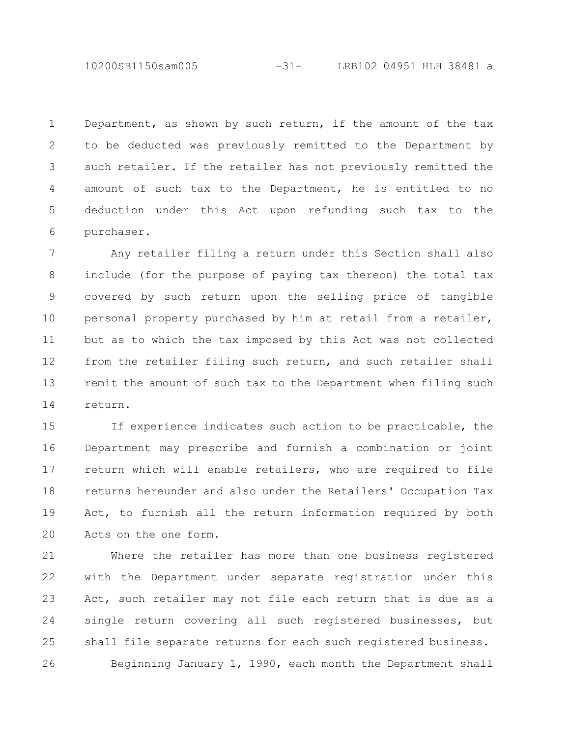10200SB1150sam005 -31- LRB102 04951 HLH 38481 a

Department, as shown by such return, if the amount of the tax to be deducted was previously remitted to the Department by such retailer. If the retailer has not previously remitted the amount of such tax to the Department, he is entitled to no deduction under this Act upon refunding such tax to the purchaser. 1 2 3 4 5 6

Any retailer filing a return under this Section shall also include (for the purpose of paying tax thereon) the total tax covered by such return upon the selling price of tangible personal property purchased by him at retail from a retailer, but as to which the tax imposed by this Act was not collected from the retailer filing such return, and such retailer shall remit the amount of such tax to the Department when filing such return. 7 8 9 10 11 12 13 14

If experience indicates such action to be practicable, the Department may prescribe and furnish a combination or joint return which will enable retailers, who are required to file returns hereunder and also under the Retailers' Occupation Tax Act, to furnish all the return information required by both Acts on the one form. 15 16 17 18 19 20

Where the retailer has more than one business registered with the Department under separate registration under this Act, such retailer may not file each return that is due as a single return covering all such registered businesses, but shall file separate returns for each such registered business. Beginning January 1, 1990, each month the Department shall 21 22 23 24 25 26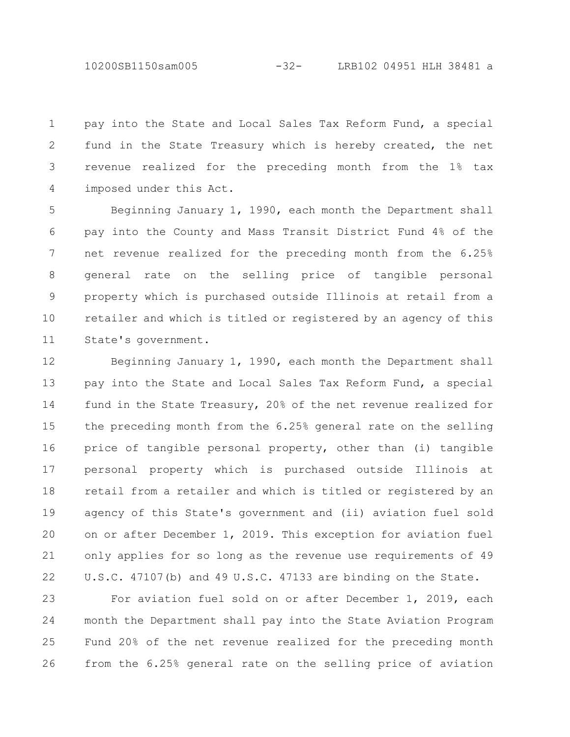10200SB1150sam005 -32- LRB102 04951 HLH 38481 a

pay into the State and Local Sales Tax Reform Fund, a special fund in the State Treasury which is hereby created, the net revenue realized for the preceding month from the 1% tax imposed under this Act. 1 2 3 4

Beginning January 1, 1990, each month the Department shall pay into the County and Mass Transit District Fund 4% of the net revenue realized for the preceding month from the 6.25% general rate on the selling price of tangible personal property which is purchased outside Illinois at retail from a retailer and which is titled or registered by an agency of this State's government. 5 6 7 8 9 10 11

Beginning January 1, 1990, each month the Department shall pay into the State and Local Sales Tax Reform Fund, a special fund in the State Treasury, 20% of the net revenue realized for the preceding month from the 6.25% general rate on the selling price of tangible personal property, other than (i) tangible personal property which is purchased outside Illinois at retail from a retailer and which is titled or registered by an agency of this State's government and (ii) aviation fuel sold on or after December 1, 2019. This exception for aviation fuel only applies for so long as the revenue use requirements of 49 U.S.C. 47107(b) and 49 U.S.C. 47133 are binding on the State. 12 13 14 15 16 17 18 19 20 21 22

For aviation fuel sold on or after December 1, 2019, each month the Department shall pay into the State Aviation Program Fund 20% of the net revenue realized for the preceding month from the 6.25% general rate on the selling price of aviation 23 24 25 26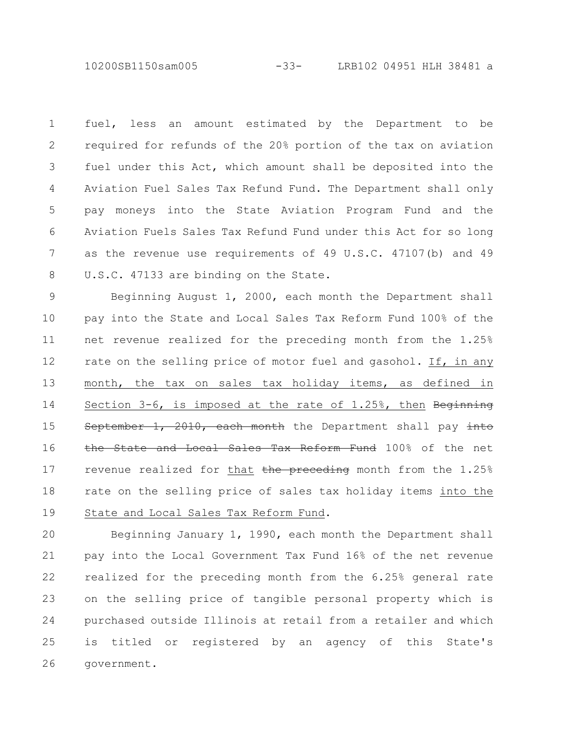10200SB1150sam005 -33- LRB102 04951 HLH 38481 a

fuel, less an amount estimated by the Department to be required for refunds of the 20% portion of the tax on aviation fuel under this Act, which amount shall be deposited into the Aviation Fuel Sales Tax Refund Fund. The Department shall only pay moneys into the State Aviation Program Fund and the Aviation Fuels Sales Tax Refund Fund under this Act for so long as the revenue use requirements of 49 U.S.C. 47107(b) and 49 U.S.C. 47133 are binding on the State. 1 2 3 4 5 6 7 8

Beginning August 1, 2000, each month the Department shall pay into the State and Local Sales Tax Reform Fund 100% of the net revenue realized for the preceding month from the 1.25% rate on the selling price of motor fuel and gasohol. If, in any month, the tax on sales tax holiday items, as defined in Section  $3-6$ , is imposed at the rate of  $1.25$ %, then Beginning September 1, 2010, each month the Department shall pay into the State and Local Sales Tax Reform Fund 100% of the net revenue realized for that the preceding month from the  $1.25\%$ rate on the selling price of sales tax holiday items into the State and Local Sales Tax Reform Fund. 9 10 11 12 13 14 15 16 17 18 19

Beginning January 1, 1990, each month the Department shall pay into the Local Government Tax Fund 16% of the net revenue realized for the preceding month from the 6.25% general rate on the selling price of tangible personal property which is purchased outside Illinois at retail from a retailer and which is titled or registered by an agency of this State's government. 20 21 22 23 24 25 26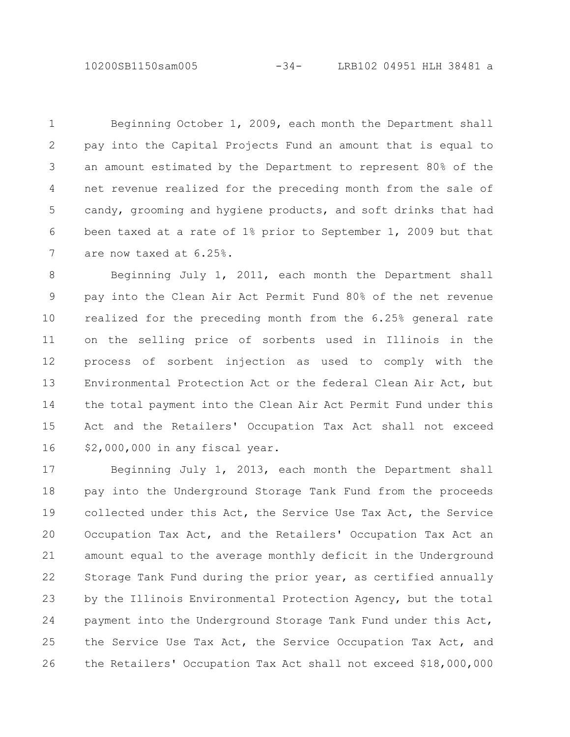10200SB1150sam005 -34- LRB102 04951 HLH 38481 a

Beginning October 1, 2009, each month the Department shall pay into the Capital Projects Fund an amount that is equal to an amount estimated by the Department to represent 80% of the net revenue realized for the preceding month from the sale of candy, grooming and hygiene products, and soft drinks that had been taxed at a rate of 1% prior to September 1, 2009 but that are now taxed at 6.25%. 1 2 3 4 5 6 7

Beginning July 1, 2011, each month the Department shall pay into the Clean Air Act Permit Fund 80% of the net revenue realized for the preceding month from the 6.25% general rate on the selling price of sorbents used in Illinois in the process of sorbent injection as used to comply with the Environmental Protection Act or the federal Clean Air Act, but the total payment into the Clean Air Act Permit Fund under this Act and the Retailers' Occupation Tax Act shall not exceed \$2,000,000 in any fiscal year. 8 9 10 11 12 13 14 15 16

Beginning July 1, 2013, each month the Department shall pay into the Underground Storage Tank Fund from the proceeds collected under this Act, the Service Use Tax Act, the Service Occupation Tax Act, and the Retailers' Occupation Tax Act an amount equal to the average monthly deficit in the Underground Storage Tank Fund during the prior year, as certified annually by the Illinois Environmental Protection Agency, but the total payment into the Underground Storage Tank Fund under this Act, the Service Use Tax Act, the Service Occupation Tax Act, and the Retailers' Occupation Tax Act shall not exceed \$18,000,000 17 18 19 20 21 22 23 24 25 26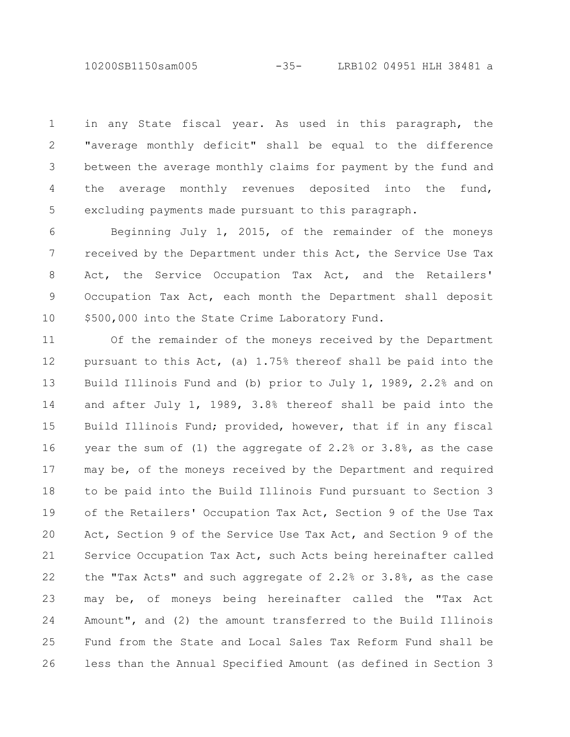10200SB1150sam005 -35- LRB102 04951 HLH 38481 a

in any State fiscal year. As used in this paragraph, the "average monthly deficit" shall be equal to the difference between the average monthly claims for payment by the fund and the average monthly revenues deposited into the fund, excluding payments made pursuant to this paragraph. 1 2 3 4 5

Beginning July 1, 2015, of the remainder of the moneys received by the Department under this Act, the Service Use Tax Act, the Service Occupation Tax Act, and the Retailers' Occupation Tax Act, each month the Department shall deposit \$500,000 into the State Crime Laboratory Fund. 6 7 8 9 10

Of the remainder of the moneys received by the Department pursuant to this Act, (a) 1.75% thereof shall be paid into the Build Illinois Fund and (b) prior to July 1, 1989, 2.2% and on and after July 1, 1989, 3.8% thereof shall be paid into the Build Illinois Fund; provided, however, that if in any fiscal year the sum of (1) the aggregate of 2.2% or 3.8%, as the case may be, of the moneys received by the Department and required to be paid into the Build Illinois Fund pursuant to Section 3 of the Retailers' Occupation Tax Act, Section 9 of the Use Tax Act, Section 9 of the Service Use Tax Act, and Section 9 of the Service Occupation Tax Act, such Acts being hereinafter called the "Tax Acts" and such aggregate of 2.2% or 3.8%, as the case may be, of moneys being hereinafter called the "Tax Act Amount", and (2) the amount transferred to the Build Illinois Fund from the State and Local Sales Tax Reform Fund shall be less than the Annual Specified Amount (as defined in Section 3 11 12 13 14 15 16 17 18 19 20 21 22 23 24 25 26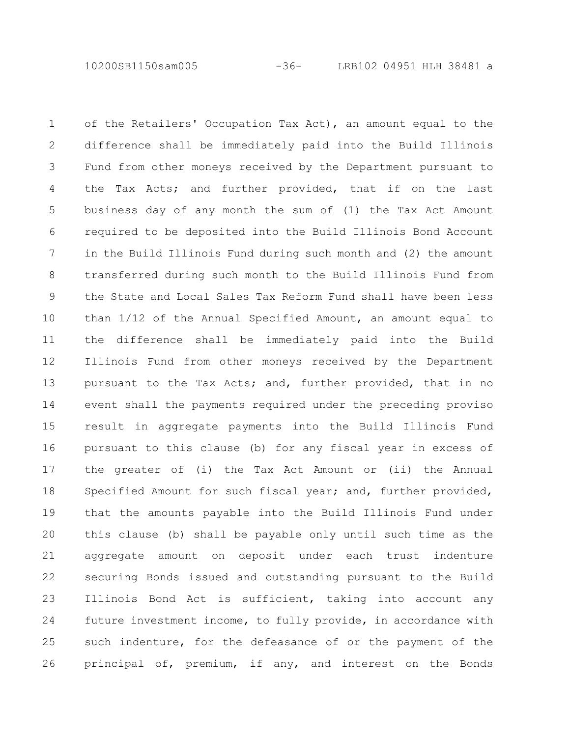10200SB1150sam005 -36- LRB102 04951 HLH 38481 a

of the Retailers' Occupation Tax Act), an amount equal to the difference shall be immediately paid into the Build Illinois Fund from other moneys received by the Department pursuant to the Tax Acts; and further provided, that if on the last business day of any month the sum of (1) the Tax Act Amount required to be deposited into the Build Illinois Bond Account in the Build Illinois Fund during such month and (2) the amount transferred during such month to the Build Illinois Fund from the State and Local Sales Tax Reform Fund shall have been less than 1/12 of the Annual Specified Amount, an amount equal to the difference shall be immediately paid into the Build Illinois Fund from other moneys received by the Department pursuant to the Tax Acts; and, further provided, that in no event shall the payments required under the preceding proviso result in aggregate payments into the Build Illinois Fund pursuant to this clause (b) for any fiscal year in excess of the greater of (i) the Tax Act Amount or (ii) the Annual Specified Amount for such fiscal year; and, further provided, that the amounts payable into the Build Illinois Fund under this clause (b) shall be payable only until such time as the aggregate amount on deposit under each trust indenture securing Bonds issued and outstanding pursuant to the Build Illinois Bond Act is sufficient, taking into account any future investment income, to fully provide, in accordance with such indenture, for the defeasance of or the payment of the principal of, premium, if any, and interest on the Bonds 1 2 3 4 5 6 7 8 9 10 11 12 13 14 15 16 17 18 19 20 21 22 23 24 25 26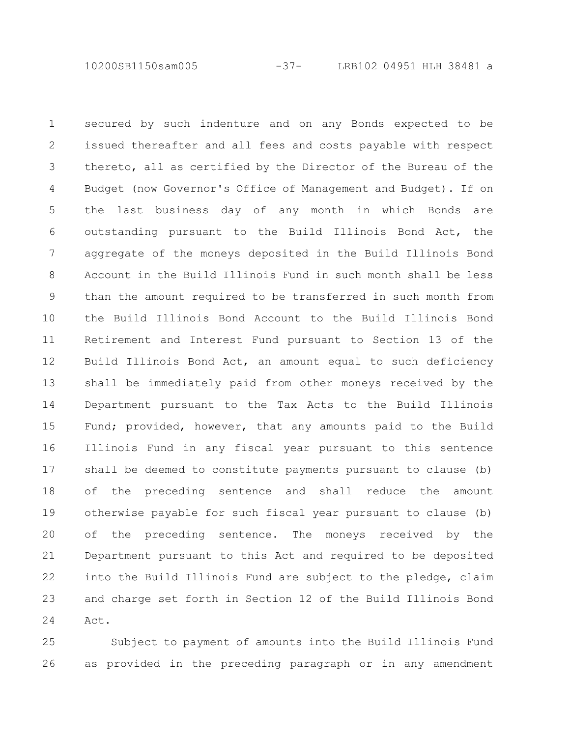10200SB1150sam005 -37- LRB102 04951 HLH 38481 a

secured by such indenture and on any Bonds expected to be issued thereafter and all fees and costs payable with respect thereto, all as certified by the Director of the Bureau of the Budget (now Governor's Office of Management and Budget). If on the last business day of any month in which Bonds are outstanding pursuant to the Build Illinois Bond Act, the aggregate of the moneys deposited in the Build Illinois Bond Account in the Build Illinois Fund in such month shall be less than the amount required to be transferred in such month from the Build Illinois Bond Account to the Build Illinois Bond Retirement and Interest Fund pursuant to Section 13 of the Build Illinois Bond Act, an amount equal to such deficiency shall be immediately paid from other moneys received by the Department pursuant to the Tax Acts to the Build Illinois Fund; provided, however, that any amounts paid to the Build Illinois Fund in any fiscal year pursuant to this sentence shall be deemed to constitute payments pursuant to clause (b) of the preceding sentence and shall reduce the amount otherwise payable for such fiscal year pursuant to clause (b) of the preceding sentence. The moneys received by the Department pursuant to this Act and required to be deposited into the Build Illinois Fund are subject to the pledge, claim and charge set forth in Section 12 of the Build Illinois Bond Act. 1 2 3 4 5 6 7 8 9 10 11 12 13 14 15 16 17 18 19 20 21 22 23 24

Subject to payment of amounts into the Build Illinois Fund as provided in the preceding paragraph or in any amendment 25 26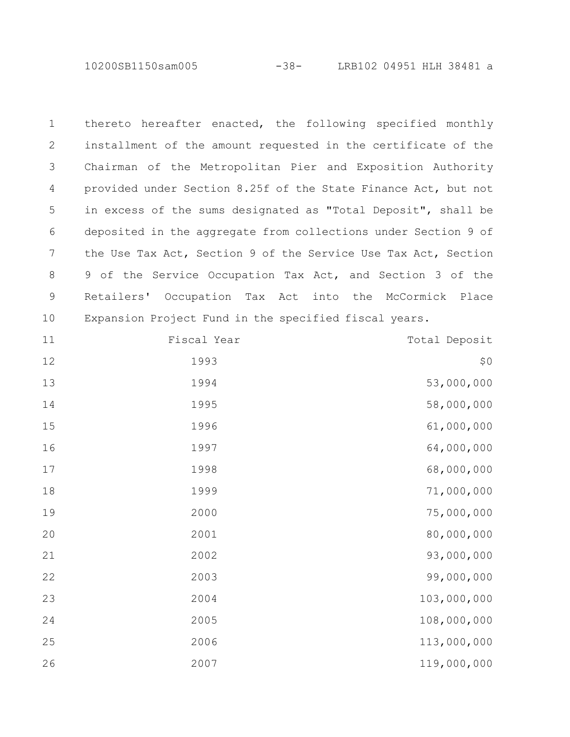10200SB1150sam005 -38- LRB102 04951 HLH 38481 a

| $\mathbf 1$ |                                                       | thereto hereafter enacted, the following specified monthly     |
|-------------|-------------------------------------------------------|----------------------------------------------------------------|
| 2           |                                                       | installment of the amount requested in the certificate of the  |
| 3           |                                                       | Chairman of the Metropolitan Pier and Exposition Authority     |
| 4           |                                                       | provided under Section 8.25f of the State Finance Act, but not |
| 5           |                                                       | in excess of the sums designated as "Total Deposit", shall be  |
| 6           |                                                       | deposited in the aggregate from collections under Section 9 of |
| 7           |                                                       | the Use Tax Act, Section 9 of the Service Use Tax Act, Section |
| 8           |                                                       | 9 of the Service Occupation Tax Act, and Section 3 of the      |
| 9           |                                                       | Retailers' Occupation Tax Act into the McCormick Place         |
| 10          | Expansion Project Fund in the specified fiscal years. |                                                                |
| 11          | Fiscal Year                                           | Total Deposit                                                  |
| 12          | 1993                                                  | \$0                                                            |
| 13          | 1994                                                  | 53,000,000                                                     |
| 14          | 1995                                                  | 58,000,000                                                     |
| 15          | 1996                                                  | 61,000,000                                                     |
| 16          | 1997                                                  | 64,000,000                                                     |
| 17          | 1998                                                  | 68,000,000                                                     |
| 18          | 1999                                                  | 71,000,000                                                     |
| 19          | 2000                                                  | 75,000,000                                                     |
| 20          | 2001                                                  | 80,000,000                                                     |
| 21          | 2002                                                  | 93,000,000                                                     |
| 22          | 2003                                                  | 99,000,000                                                     |
| 23          | 2004                                                  | 103,000,000                                                    |
| 24          | 2005                                                  | 108,000,000                                                    |
| 25          | 2006                                                  | 113,000,000                                                    |
| 26          | 2007                                                  | 119,000,000                                                    |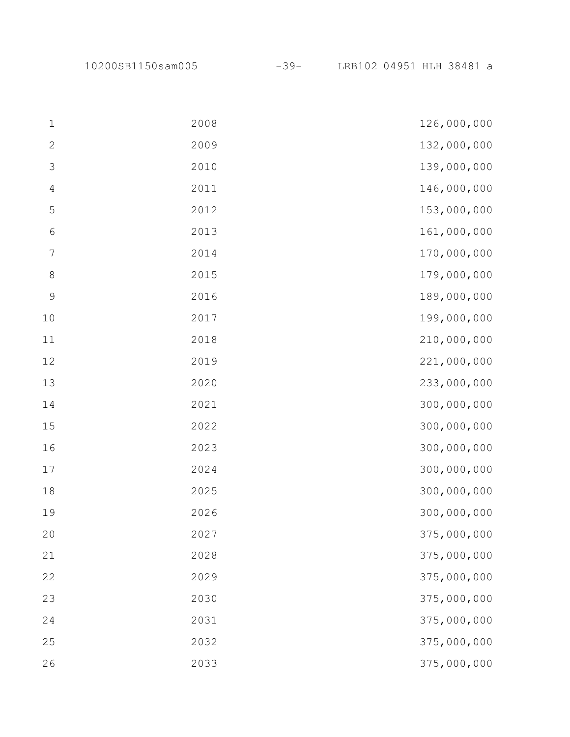10200SB1150sam005 -39- LRB102 04951 HLH 38481 a

| $\mathbf 1$      | 2008 | 126,000,000 |
|------------------|------|-------------|
| $\mathbf{2}$     | 2009 | 132,000,000 |
| $\mathfrak{Z}$   | 2010 | 139,000,000 |
| $\overline{4}$   | 2011 | 146,000,000 |
| $\mathsf S$      | 2012 | 153,000,000 |
| $\sqrt{6}$       | 2013 | 161,000,000 |
| $\boldsymbol{7}$ | 2014 | 170,000,000 |
| $\,8\,$          | 2015 | 179,000,000 |
| $\mathcal{G}$    | 2016 | 189,000,000 |
| 10               | 2017 | 199,000,000 |
| 11               | 2018 | 210,000,000 |
| $12$             | 2019 | 221,000,000 |
| 13               | 2020 | 233,000,000 |
| 14               | 2021 | 300,000,000 |
| 15               | 2022 | 300,000,000 |
| 16               | 2023 | 300,000,000 |
| $17$             | 2024 | 300,000,000 |
| $1\,8$           | 2025 | 300,000,000 |
| 19               | 2026 | 300,000,000 |
| 20               | 2027 | 375,000,000 |
| 21               | 2028 | 375,000,000 |
| 22               | 2029 | 375,000,000 |
| 23               | 2030 | 375,000,000 |
| 24               | 2031 | 375,000,000 |
| 25               | 2032 | 375,000,000 |
| 26               | 2033 | 375,000,000 |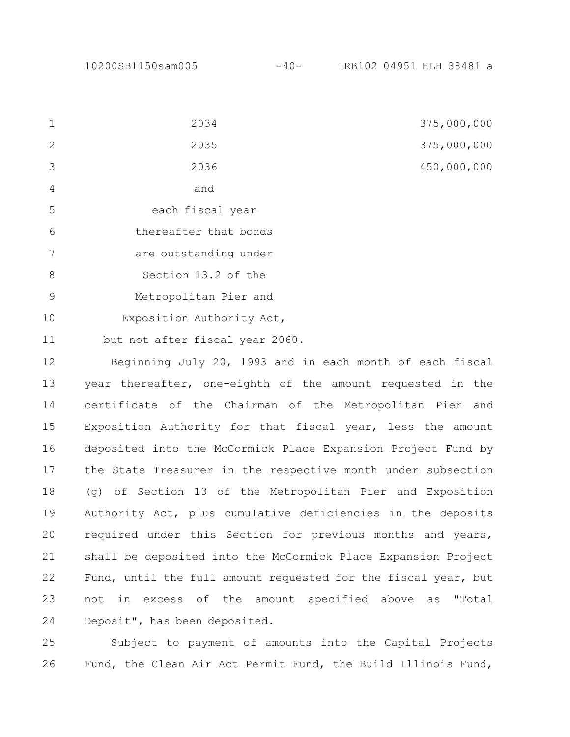|                | 2034                  | 375,000,000 |
|----------------|-----------------------|-------------|
| 2              | 2035                  | 375,000,000 |
| $\mathcal{S}$  | 2036                  | 450,000,000 |
| $\overline{4}$ | and                   |             |
| 5              | each fiscal year      |             |
| 6              | thereafter that bonds |             |
|                | are outstanding under |             |
| 8              | Section 13.2 of the   |             |

Metropolitan Pier and 9

Exposition Authority Act, 10

but not after fiscal year 2060. 11

Beginning July 20, 1993 and in each month of each fiscal year thereafter, one-eighth of the amount requested in the certificate of the Chairman of the Metropolitan Pier and Exposition Authority for that fiscal year, less the amount deposited into the McCormick Place Expansion Project Fund by the State Treasurer in the respective month under subsection (g) of Section 13 of the Metropolitan Pier and Exposition Authority Act, plus cumulative deficiencies in the deposits required under this Section for previous months and years, shall be deposited into the McCormick Place Expansion Project Fund, until the full amount requested for the fiscal year, but not in excess of the amount specified above as "Total Deposit", has been deposited. 12 13 14 15 16 17 18 19 20 21 22 23 24

Subject to payment of amounts into the Capital Projects Fund, the Clean Air Act Permit Fund, the Build Illinois Fund, 25 26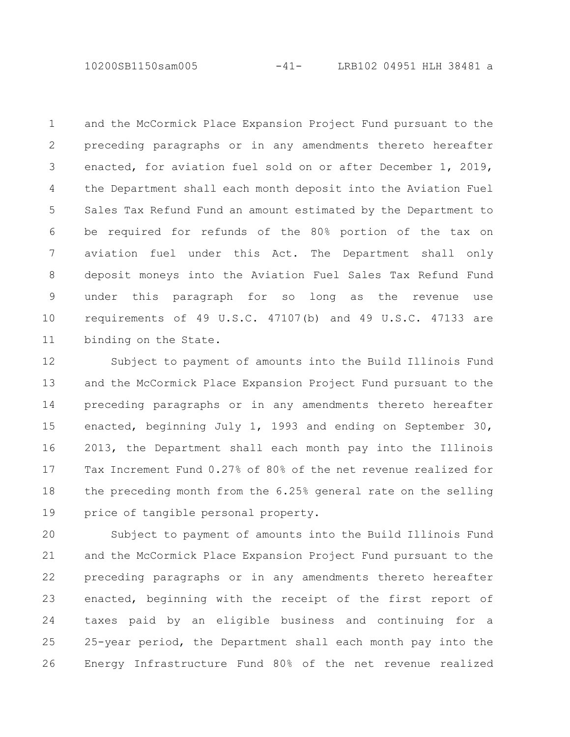10200SB1150sam005 -41- LRB102 04951 HLH 38481 a

and the McCormick Place Expansion Project Fund pursuant to the preceding paragraphs or in any amendments thereto hereafter enacted, for aviation fuel sold on or after December 1, 2019, the Department shall each month deposit into the Aviation Fuel Sales Tax Refund Fund an amount estimated by the Department to be required for refunds of the 80% portion of the tax on aviation fuel under this Act. The Department shall only deposit moneys into the Aviation Fuel Sales Tax Refund Fund under this paragraph for so long as the revenue use requirements of 49 U.S.C. 47107(b) and 49 U.S.C. 47133 are binding on the State. 1 2 3 4 5 6 7 8 9 10 11

Subject to payment of amounts into the Build Illinois Fund and the McCormick Place Expansion Project Fund pursuant to the preceding paragraphs or in any amendments thereto hereafter enacted, beginning July 1, 1993 and ending on September 30, 2013, the Department shall each month pay into the Illinois Tax Increment Fund 0.27% of 80% of the net revenue realized for the preceding month from the 6.25% general rate on the selling price of tangible personal property. 12 13 14 15 16 17 18 19

Subject to payment of amounts into the Build Illinois Fund and the McCormick Place Expansion Project Fund pursuant to the preceding paragraphs or in any amendments thereto hereafter enacted, beginning with the receipt of the first report of taxes paid by an eligible business and continuing for a 25-year period, the Department shall each month pay into the Energy Infrastructure Fund 80% of the net revenue realized 20 21 22 23 24 25 26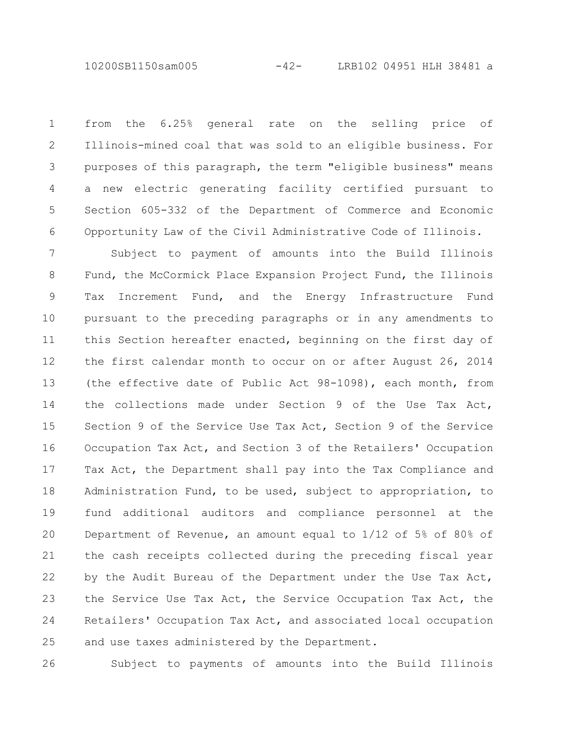10200SB1150sam005 -42- LRB102 04951 HLH 38481 a

from the 6.25% general rate on the selling price of Illinois-mined coal that was sold to an eligible business. For purposes of this paragraph, the term "eligible business" means a new electric generating facility certified pursuant to Section 605-332 of the Department of Commerce and Economic Opportunity Law of the Civil Administrative Code of Illinois. 1 2 3 4 5 6

Subject to payment of amounts into the Build Illinois Fund, the McCormick Place Expansion Project Fund, the Illinois Tax Increment Fund, and the Energy Infrastructure Fund pursuant to the preceding paragraphs or in any amendments to this Section hereafter enacted, beginning on the first day of the first calendar month to occur on or after August 26, 2014 (the effective date of Public Act 98-1098), each month, from the collections made under Section 9 of the Use Tax Act, Section 9 of the Service Use Tax Act, Section 9 of the Service Occupation Tax Act, and Section 3 of the Retailers' Occupation Tax Act, the Department shall pay into the Tax Compliance and Administration Fund, to be used, subject to appropriation, to fund additional auditors and compliance personnel at the Department of Revenue, an amount equal to 1/12 of 5% of 80% of the cash receipts collected during the preceding fiscal year by the Audit Bureau of the Department under the Use Tax Act, the Service Use Tax Act, the Service Occupation Tax Act, the Retailers' Occupation Tax Act, and associated local occupation and use taxes administered by the Department. 7 8 9 10 11 12 13 14 15 16 17 18 19 20 21 22 23 24 25

26

Subject to payments of amounts into the Build Illinois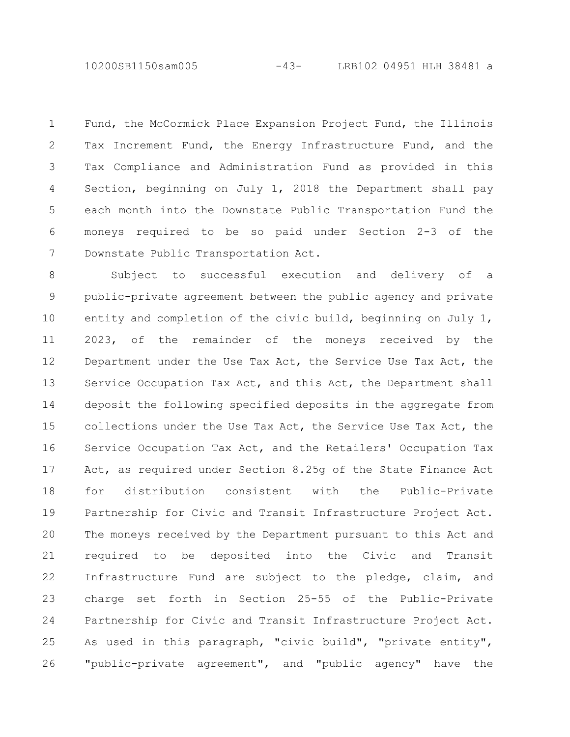10200SB1150sam005 -43- LRB102 04951 HLH 38481 a

Fund, the McCormick Place Expansion Project Fund, the Illinois Tax Increment Fund, the Energy Infrastructure Fund, and the Tax Compliance and Administration Fund as provided in this Section, beginning on July 1, 2018 the Department shall pay each month into the Downstate Public Transportation Fund the moneys required to be so paid under Section 2-3 of the Downstate Public Transportation Act. 1 2 3 4 5 6 7

Subject to successful execution and delivery of a public-private agreement between the public agency and private entity and completion of the civic build, beginning on July 1, 2023, of the remainder of the moneys received by the Department under the Use Tax Act, the Service Use Tax Act, the Service Occupation Tax Act, and this Act, the Department shall deposit the following specified deposits in the aggregate from collections under the Use Tax Act, the Service Use Tax Act, the Service Occupation Tax Act, and the Retailers' Occupation Tax Act, as required under Section 8.25g of the State Finance Act for distribution consistent with the Public-Private Partnership for Civic and Transit Infrastructure Project Act. The moneys received by the Department pursuant to this Act and required to be deposited into the Civic and Transit Infrastructure Fund are subject to the pledge, claim, and charge set forth in Section 25-55 of the Public-Private Partnership for Civic and Transit Infrastructure Project Act. As used in this paragraph, "civic build", "private entity", "public-private agreement", and "public agency" have the 8 9 10 11 12 13 14 15 16 17 18 19 20 21 22 23 24 25 26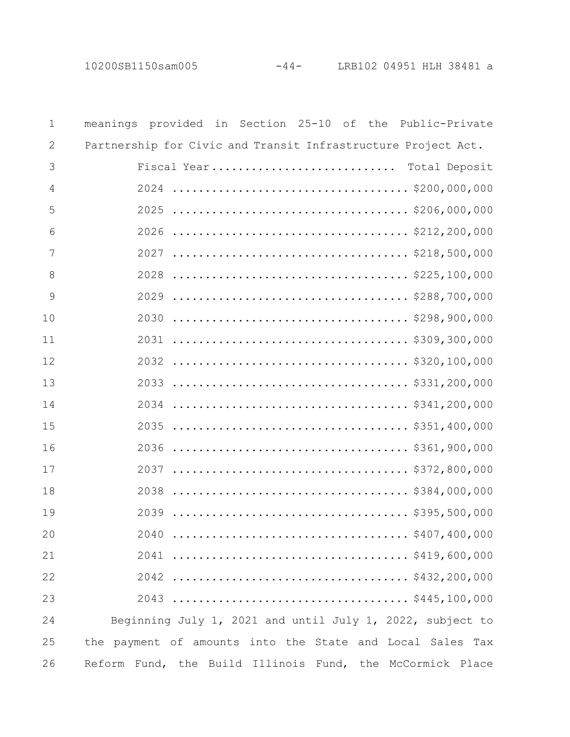10200SB1150sam005 -44- LRB102 04951 HLH 38481 a

| $\mathbf 1$    | meanings provided in Section 25-10 of the Public-Private                                                       |
|----------------|----------------------------------------------------------------------------------------------------------------|
| $\mathbf{2}$   | Partnership for Civic and Transit Infrastructure Project Act.                                                  |
| 3              | Fiscal Year Total Deposit                                                                                      |
| $\overline{4}$ |                                                                                                                |
| 5              |                                                                                                                |
| 6              |                                                                                                                |
| 7              | 2027                                                                                                           |
| 8              | $\ldots \ldots \ldots \ldots \ldots \ldots \ldots \ldots \ldots \ldots \ldots \ldots \}$ \$225,100,000<br>2028 |
| 9              |                                                                                                                |
| 10             |                                                                                                                |
| 11             |                                                                                                                |
| 12             |                                                                                                                |
| 13             |                                                                                                                |
| 14             |                                                                                                                |
| 15             |                                                                                                                |
| 16             |                                                                                                                |
| 17             |                                                                                                                |
| 18             |                                                                                                                |
| 19             |                                                                                                                |
| 20             | 2040                                                                                                           |
| 21             |                                                                                                                |
| 22             |                                                                                                                |
| 23             |                                                                                                                |
| 24             | Beginning July 1, 2021 and until July 1, 2022, subject to                                                      |
| 25             | the payment of amounts into the State and Local Sales Tax                                                      |
| 26             | Reform Fund, the Build Illinois Fund, the McCormick Place                                                      |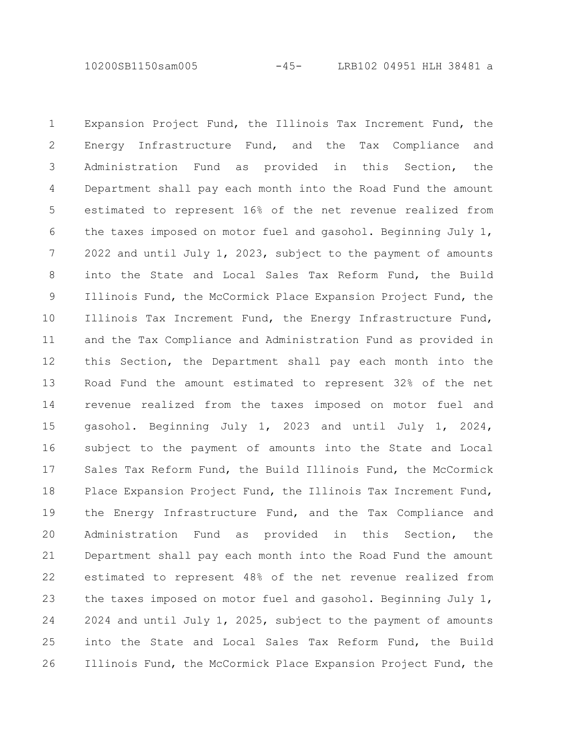10200SB1150sam005 -45- LRB102 04951 HLH 38481 a

Expansion Project Fund, the Illinois Tax Increment Fund, the Energy Infrastructure Fund, and the Tax Compliance and Administration Fund as provided in this Section, the Department shall pay each month into the Road Fund the amount estimated to represent 16% of the net revenue realized from the taxes imposed on motor fuel and gasohol. Beginning July 1, 2022 and until July 1, 2023, subject to the payment of amounts into the State and Local Sales Tax Reform Fund, the Build Illinois Fund, the McCormick Place Expansion Project Fund, the Illinois Tax Increment Fund, the Energy Infrastructure Fund, and the Tax Compliance and Administration Fund as provided in this Section, the Department shall pay each month into the Road Fund the amount estimated to represent 32% of the net revenue realized from the taxes imposed on motor fuel and gasohol. Beginning July 1, 2023 and until July 1, 2024, subject to the payment of amounts into the State and Local Sales Tax Reform Fund, the Build Illinois Fund, the McCormick Place Expansion Project Fund, the Illinois Tax Increment Fund, the Energy Infrastructure Fund, and the Tax Compliance and Administration Fund as provided in this Section, the Department shall pay each month into the Road Fund the amount estimated to represent 48% of the net revenue realized from the taxes imposed on motor fuel and gasohol. Beginning July 1, 2024 and until July 1, 2025, subject to the payment of amounts into the State and Local Sales Tax Reform Fund, the Build Illinois Fund, the McCormick Place Expansion Project Fund, the 1 2 3 4 5 6 7 8 9 10 11 12 13 14 15 16 17 18 19 20 21 22 23 24 25 26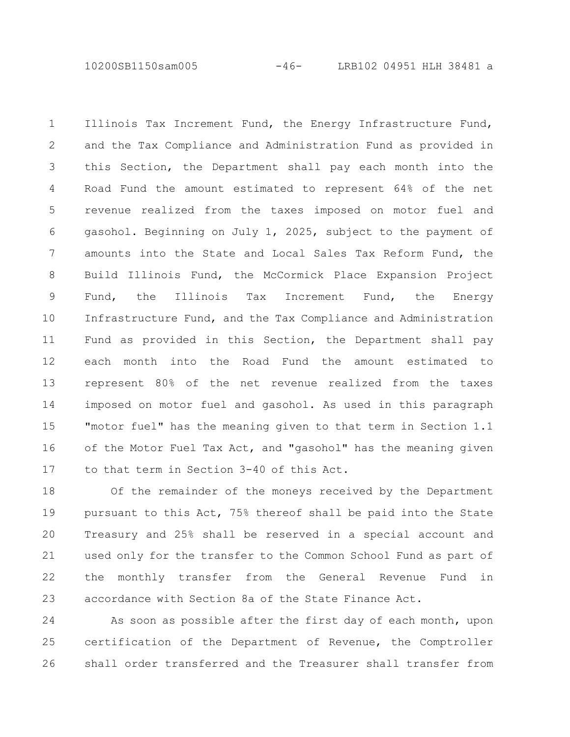10200SB1150sam005 -46- LRB102 04951 HLH 38481 a

Illinois Tax Increment Fund, the Energy Infrastructure Fund, and the Tax Compliance and Administration Fund as provided in this Section, the Department shall pay each month into the Road Fund the amount estimated to represent 64% of the net revenue realized from the taxes imposed on motor fuel and gasohol. Beginning on July 1, 2025, subject to the payment of amounts into the State and Local Sales Tax Reform Fund, the Build Illinois Fund, the McCormick Place Expansion Project Fund, the Illinois Tax Increment Fund, the Energy Infrastructure Fund, and the Tax Compliance and Administration Fund as provided in this Section, the Department shall pay each month into the Road Fund the amount estimated to represent 80% of the net revenue realized from the taxes imposed on motor fuel and gasohol. As used in this paragraph "motor fuel" has the meaning given to that term in Section 1.1 of the Motor Fuel Tax Act, and "gasohol" has the meaning given to that term in Section 3-40 of this Act. 1 2 3 4 5 6 7 8 9 10 11 12 13 14 15 16 17

Of the remainder of the moneys received by the Department pursuant to this Act, 75% thereof shall be paid into the State Treasury and 25% shall be reserved in a special account and used only for the transfer to the Common School Fund as part of the monthly transfer from the General Revenue Fund in accordance with Section 8a of the State Finance Act. 18 19 20 21 22 23

As soon as possible after the first day of each month, upon certification of the Department of Revenue, the Comptroller shall order transferred and the Treasurer shall transfer from 24 25 26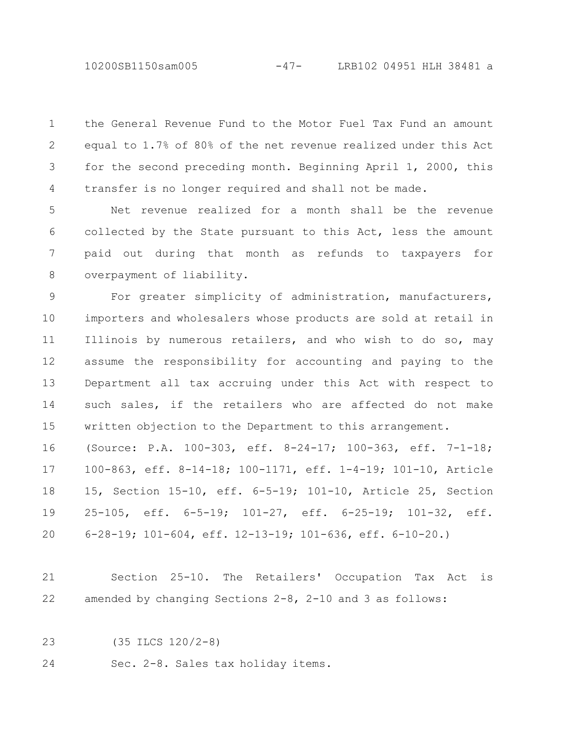10200SB1150sam005 -47- LRB102 04951 HLH 38481 a

the General Revenue Fund to the Motor Fuel Tax Fund an amount equal to 1.7% of 80% of the net revenue realized under this Act for the second preceding month. Beginning April 1, 2000, this transfer is no longer required and shall not be made. 1 2 3 4

Net revenue realized for a month shall be the revenue collected by the State pursuant to this Act, less the amount paid out during that month as refunds to taxpayers for overpayment of liability. 5 6 7 8

For greater simplicity of administration, manufacturers, importers and wholesalers whose products are sold at retail in Illinois by numerous retailers, and who wish to do so, may assume the responsibility for accounting and paying to the Department all tax accruing under this Act with respect to such sales, if the retailers who are affected do not make written objection to the Department to this arrangement. 9 10 11 12 13 14 15

(Source: P.A. 100-303, eff. 8-24-17; 100-363, eff. 7-1-18; 100-863, eff. 8-14-18; 100-1171, eff. 1-4-19; 101-10, Article 15, Section 15-10, eff. 6-5-19; 101-10, Article 25, Section 25-105, eff. 6-5-19; 101-27, eff. 6-25-19; 101-32, eff. 6-28-19; 101-604, eff. 12-13-19; 101-636, eff. 6-10-20.) 16 17 18 19 20

Section 25-10. The Retailers' Occupation Tax Act is amended by changing Sections 2-8, 2-10 and 3 as follows: 21 22

(35 ILCS 120/2-8) 23

Sec. 2-8. Sales tax holiday items. 24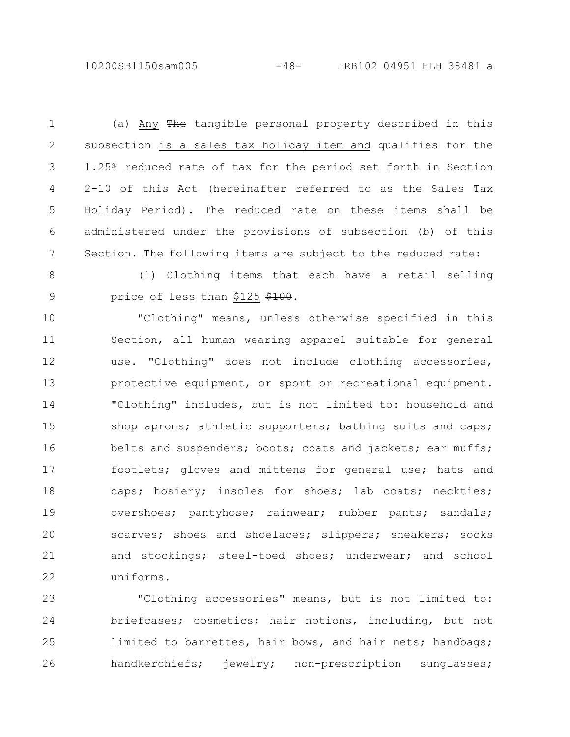10200SB1150sam005 -48- LRB102 04951 HLH 38481 a

(a) Any The tangible personal property described in this subsection is a sales tax holiday item and qualifies for the 1.25% reduced rate of tax for the period set forth in Section 2-10 of this Act (hereinafter referred to as the Sales Tax Holiday Period). The reduced rate on these items shall be administered under the provisions of subsection (b) of this Section. The following items are subject to the reduced rate: 1 2 3 4 5 6 7

8 9

(1) Clothing items that each have a retail selling price of less than \$125 \$100.

"Clothing" means, unless otherwise specified in this Section, all human wearing apparel suitable for general use. "Clothing" does not include clothing accessories, protective equipment, or sport or recreational equipment. "Clothing" includes, but is not limited to: household and shop aprons; athletic supporters; bathing suits and caps; belts and suspenders; boots; coats and jackets; ear muffs; footlets; gloves and mittens for general use; hats and caps; hosiery; insoles for shoes; lab coats; neckties; overshoes; pantyhose; rainwear; rubber pants; sandals; scarves; shoes and shoelaces; slippers; sneakers; socks and stockings; steel-toed shoes; underwear; and school uniforms. 10 11 12 13 14 15 16 17 18 19 20 21 22

"Clothing accessories" means, but is not limited to: briefcases; cosmetics; hair notions, including, but not limited to barrettes, hair bows, and hair nets; handbags; handkerchiefs; jewelry; non-prescription sunglasses; 23 24 25 26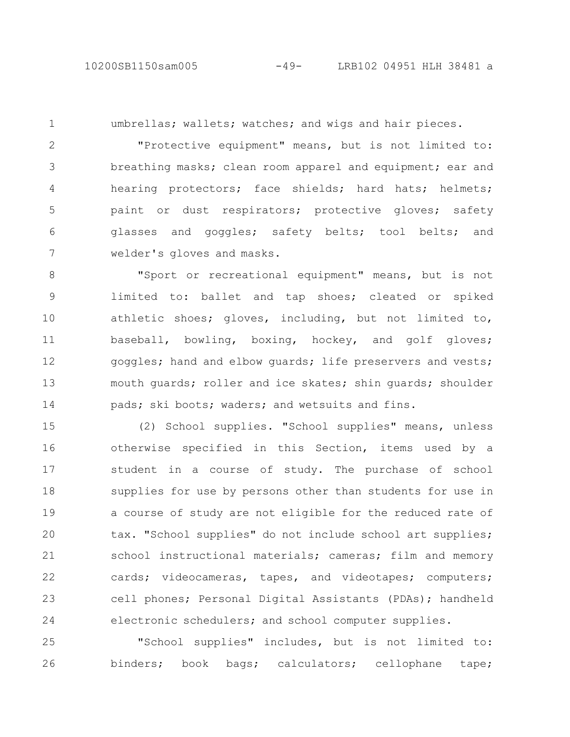1

umbrellas; wallets; watches; and wigs and hair pieces.

"Protective equipment" means, but is not limited to: breathing masks; clean room apparel and equipment; ear and hearing protectors; face shields; hard hats; helmets; paint or dust respirators; protective gloves; safety glasses and goggles; safety belts; tool belts; and welder's gloves and masks. 2 3 4 5 6 7

"Sport or recreational equipment" means, but is not limited to: ballet and tap shoes; cleated or spiked athletic shoes; gloves, including, but not limited to, baseball, bowling, boxing, hockey, and golf gloves; goggles; hand and elbow guards; life preservers and vests; mouth guards; roller and ice skates; shin guards; shoulder pads; ski boots; waders; and wetsuits and fins. 8 9 10 11 12 13 14

(2) School supplies. "School supplies" means, unless otherwise specified in this Section, items used by a student in a course of study. The purchase of school supplies for use by persons other than students for use in a course of study are not eligible for the reduced rate of tax. "School supplies" do not include school art supplies; school instructional materials; cameras; film and memory cards; videocameras, tapes, and videotapes; computers; cell phones; Personal Digital Assistants (PDAs); handheld electronic schedulers; and school computer supplies. 15 16 17 18 19 20 21 22 23 24

"School supplies" includes, but is not limited to: binders; book bags; calculators; cellophane tape; 25 26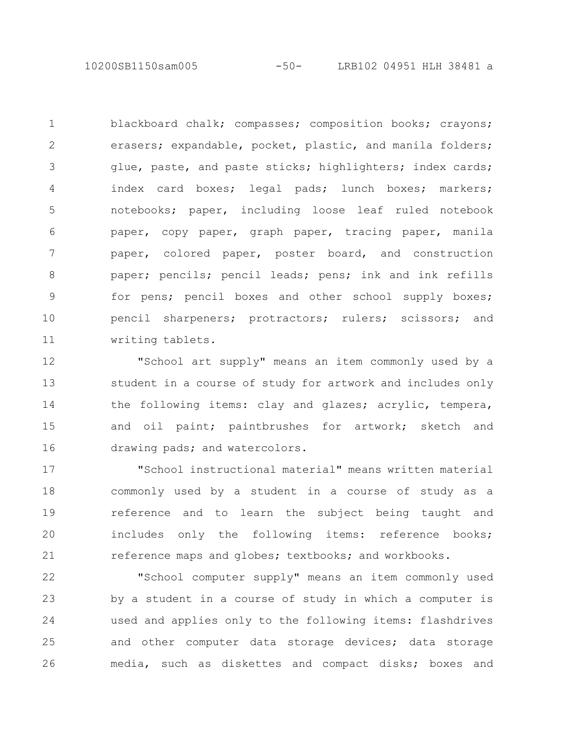10200SB1150sam005 -50- LRB102 04951 HLH 38481 a

blackboard chalk; compasses; composition books; crayons; erasers; expandable, pocket, plastic, and manila folders; glue, paste, and paste sticks; highlighters; index cards; index card boxes; legal pads; lunch boxes; markers; notebooks; paper, including loose leaf ruled notebook paper, copy paper, graph paper, tracing paper, manila paper, colored paper, poster board, and construction paper; pencils; pencil leads; pens; ink and ink refills for pens; pencil boxes and other school supply boxes; pencil sharpeners; protractors; rulers; scissors; and writing tablets. 1 2 3 4 5 6 7 8 9 10 11

"School art supply" means an item commonly used by a student in a course of study for artwork and includes only the following items: clay and glazes; acrylic, tempera, and oil paint; paintbrushes for artwork; sketch and drawing pads; and watercolors. 12 13 14 15 16

"School instructional material" means written material commonly used by a student in a course of study as a reference and to learn the subject being taught and includes only the following items: reference books; reference maps and globes; textbooks; and workbooks. 17 18 19 20 21

"School computer supply" means an item commonly used by a student in a course of study in which a computer is used and applies only to the following items: flashdrives and other computer data storage devices; data storage media, such as diskettes and compact disks; boxes and 22 23 24 25 26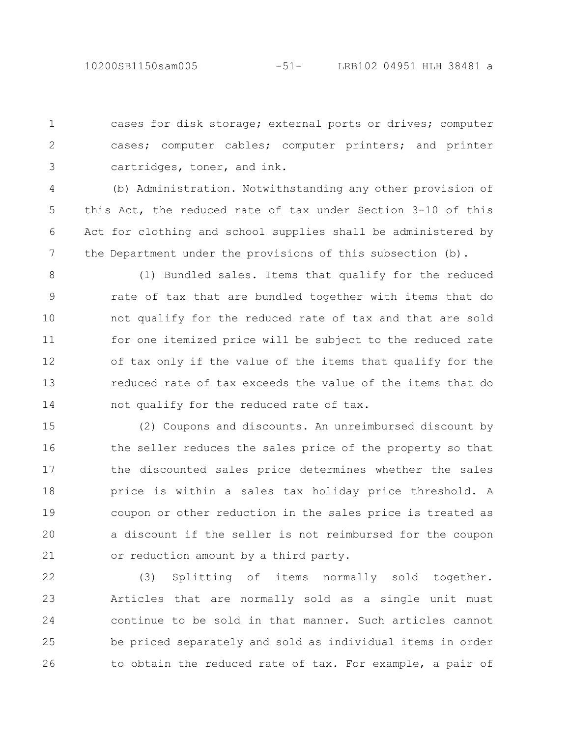cases for disk storage; external ports or drives; computer cases; computer cables; computer printers; and printer cartridges, toner, and ink. 1 2 3

(b) Administration. Notwithstanding any other provision of this Act, the reduced rate of tax under Section 3-10 of this Act for clothing and school supplies shall be administered by the Department under the provisions of this subsection (b). 4 5 6 7

(1) Bundled sales. Items that qualify for the reduced rate of tax that are bundled together with items that do not qualify for the reduced rate of tax and that are sold for one itemized price will be subject to the reduced rate of tax only if the value of the items that qualify for the reduced rate of tax exceeds the value of the items that do not qualify for the reduced rate of tax. 8 9 10 11 12 13 14

(2) Coupons and discounts. An unreimbursed discount by the seller reduces the sales price of the property so that the discounted sales price determines whether the sales price is within a sales tax holiday price threshold. A coupon or other reduction in the sales price is treated as a discount if the seller is not reimbursed for the coupon or reduction amount by a third party. 15 16 17 18 19 20 21

(3) Splitting of items normally sold together. Articles that are normally sold as a single unit must continue to be sold in that manner. Such articles cannot be priced separately and sold as individual items in order to obtain the reduced rate of tax. For example, a pair of 22 23 24 25 26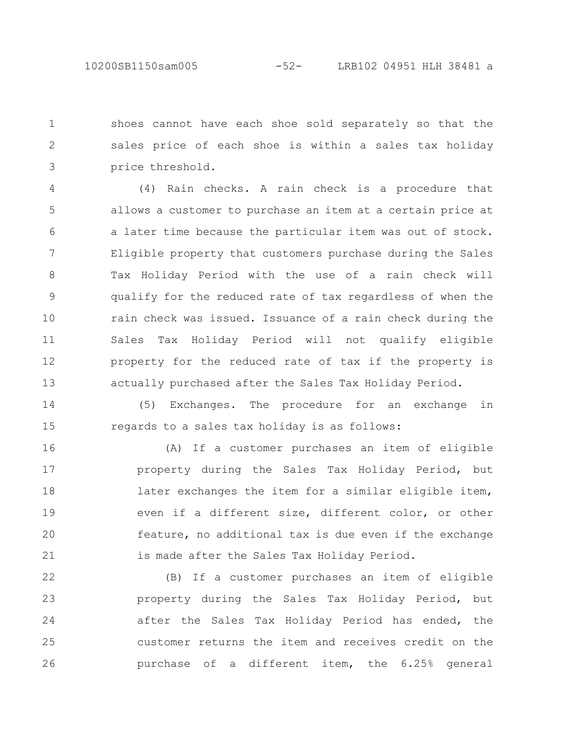shoes cannot have each shoe sold separately so that the sales price of each shoe is within a sales tax holiday price threshold. 1 2 3

(4) Rain checks. A rain check is a procedure that allows a customer to purchase an item at a certain price at a later time because the particular item was out of stock. Eligible property that customers purchase during the Sales Tax Holiday Period with the use of a rain check will qualify for the reduced rate of tax regardless of when the rain check was issued. Issuance of a rain check during the Sales Tax Holiday Period will not qualify eligible property for the reduced rate of tax if the property is actually purchased after the Sales Tax Holiday Period. 4 5 6 7 8 9 10 11 12 13

(5) Exchanges. The procedure for an exchange in regards to a sales tax holiday is as follows: 14 15

(A) If a customer purchases an item of eligible property during the Sales Tax Holiday Period, but later exchanges the item for a similar eligible item, even if a different size, different color, or other feature, no additional tax is due even if the exchange is made after the Sales Tax Holiday Period. 16 17 18 19 20 21

(B) If a customer purchases an item of eligible property during the Sales Tax Holiday Period, but after the Sales Tax Holiday Period has ended, the customer returns the item and receives credit on the purchase of a different item, the 6.25% general 22 23 24 25 26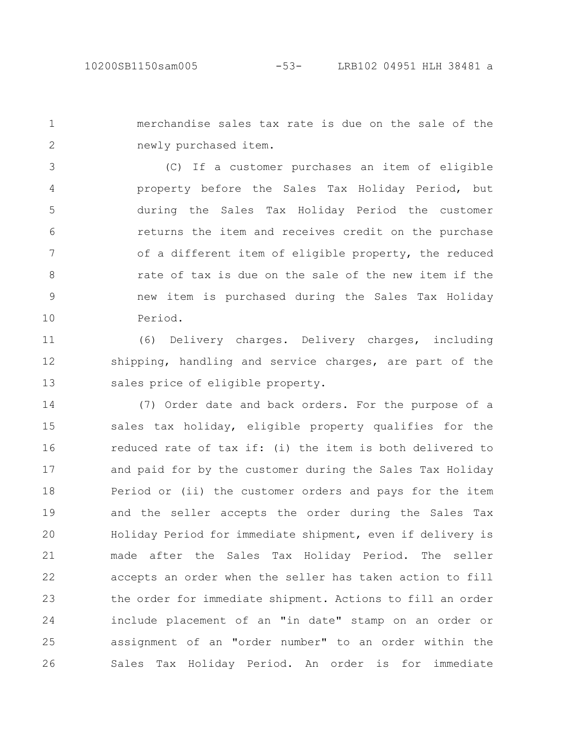merchandise sales tax rate is due on the sale of the newly purchased item. 1 2

(C) If a customer purchases an item of eligible property before the Sales Tax Holiday Period, but during the Sales Tax Holiday Period the customer returns the item and receives credit on the purchase of a different item of eligible property, the reduced rate of tax is due on the sale of the new item if the new item is purchased during the Sales Tax Holiday Period. 3 4 5 6 7 8 9 10

(6) Delivery charges. Delivery charges, including shipping, handling and service charges, are part of the sales price of eligible property. 11 12 13

(7) Order date and back orders. For the purpose of a sales tax holiday, eligible property qualifies for the reduced rate of tax if: (i) the item is both delivered to and paid for by the customer during the Sales Tax Holiday Period or (ii) the customer orders and pays for the item and the seller accepts the order during the Sales Tax Holiday Period for immediate shipment, even if delivery is made after the Sales Tax Holiday Period. The seller accepts an order when the seller has taken action to fill the order for immediate shipment. Actions to fill an order include placement of an "in date" stamp on an order or assignment of an "order number" to an order within the Sales Tax Holiday Period. An order is for immediate 14 15 16 17 18 19 20 21 22 23 24 25 26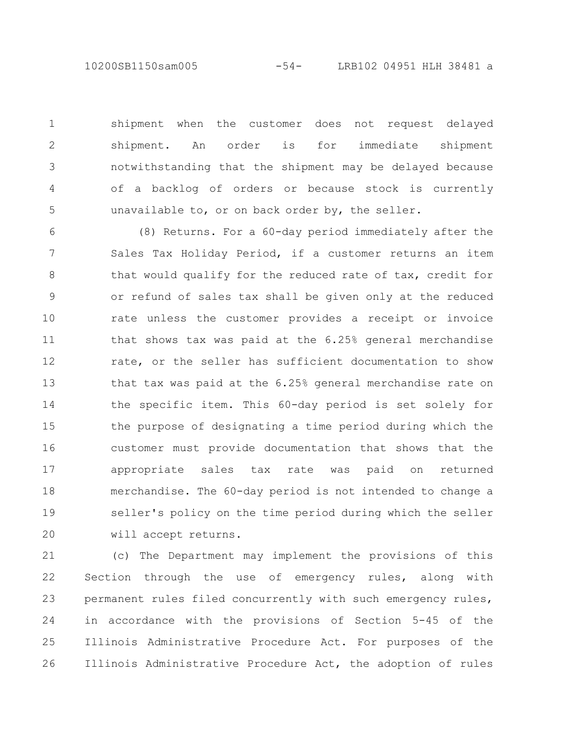10200SB1150sam005 -54- LRB102 04951 HLH 38481 a

shipment when the customer does not request delayed shipment. An order is for immediate shipment notwithstanding that the shipment may be delayed because of a backlog of orders or because stock is currently unavailable to, or on back order by, the seller. 1

2

3

4

5

(8) Returns. For a 60-day period immediately after the Sales Tax Holiday Period, if a customer returns an item that would qualify for the reduced rate of tax, credit for or refund of sales tax shall be given only at the reduced rate unless the customer provides a receipt or invoice that shows tax was paid at the 6.25% general merchandise rate, or the seller has sufficient documentation to show that tax was paid at the 6.25% general merchandise rate on the specific item. This 60-day period is set solely for the purpose of designating a time period during which the customer must provide documentation that shows that the appropriate sales tax rate was paid on returned merchandise. The 60-day period is not intended to change a seller's policy on the time period during which the seller will accept returns. 6 7 8 9 10 11 12 13 14 15 16 17 18 19 20

(c) The Department may implement the provisions of this Section through the use of emergency rules, along with permanent rules filed concurrently with such emergency rules, in accordance with the provisions of Section 5-45 of the Illinois Administrative Procedure Act. For purposes of the Illinois Administrative Procedure Act, the adoption of rules 21 22 23 24 25 26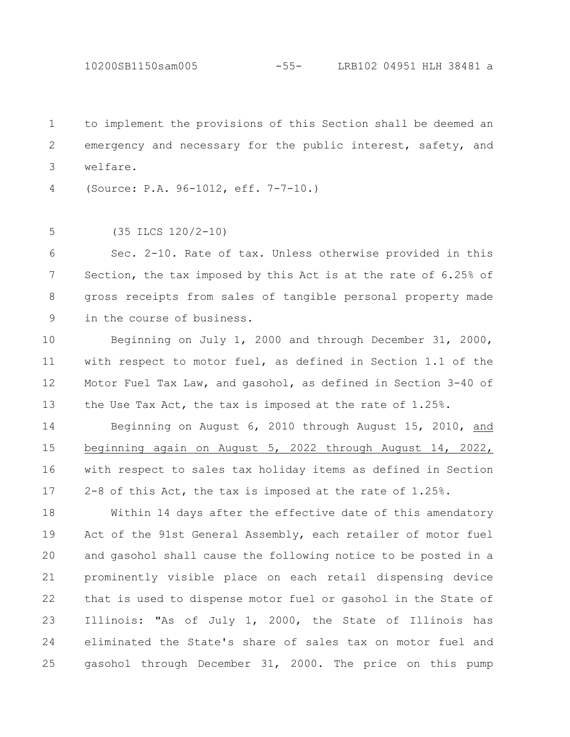10200SB1150sam005 -55- LRB102 04951 HLH 38481 a

to implement the provisions of this Section shall be deemed an emergency and necessary for the public interest, safety, and welfare. 1 2 3

(Source: P.A. 96-1012, eff. 7-7-10.) 4

(35 ILCS 120/2-10) 5

Sec. 2-10. Rate of tax. Unless otherwise provided in this Section, the tax imposed by this Act is at the rate of 6.25% of gross receipts from sales of tangible personal property made in the course of business. 6 7 8 9

Beginning on July 1, 2000 and through December 31, 2000, with respect to motor fuel, as defined in Section 1.1 of the Motor Fuel Tax Law, and gasohol, as defined in Section 3-40 of the Use Tax Act, the tax is imposed at the rate of 1.25%. 10 11 12 13

Beginning on August 6, 2010 through August 15, 2010, and beginning again on August 5, 2022 through August 14, 2022, with respect to sales tax holiday items as defined in Section 2-8 of this Act, the tax is imposed at the rate of 1.25%. 14 15 16 17

Within 14 days after the effective date of this amendatory Act of the 91st General Assembly, each retailer of motor fuel and gasohol shall cause the following notice to be posted in a prominently visible place on each retail dispensing device that is used to dispense motor fuel or gasohol in the State of Illinois: "As of July 1, 2000, the State of Illinois has eliminated the State's share of sales tax on motor fuel and gasohol through December 31, 2000. The price on this pump 18 19 20 21 22 23 24 25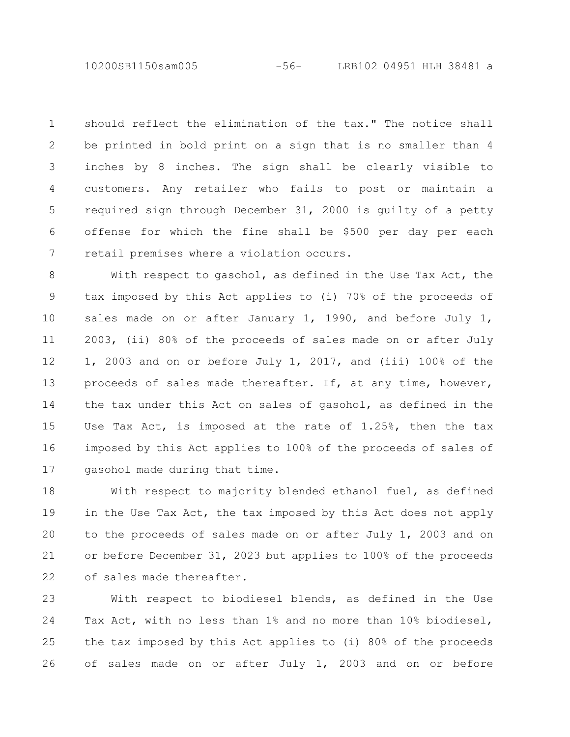10200SB1150sam005 -56- LRB102 04951 HLH 38481 a

should reflect the elimination of the tax." The notice shall be printed in bold print on a sign that is no smaller than 4 inches by 8 inches. The sign shall be clearly visible to customers. Any retailer who fails to post or maintain a required sign through December 31, 2000 is guilty of a petty offense for which the fine shall be \$500 per day per each retail premises where a violation occurs. 1 2 3 4 5 6 7

With respect to gasohol, as defined in the Use Tax Act, the tax imposed by this Act applies to (i) 70% of the proceeds of sales made on or after January 1, 1990, and before July 1, 2003, (ii) 80% of the proceeds of sales made on or after July 1, 2003 and on or before July 1, 2017, and (iii) 100% of the proceeds of sales made thereafter. If, at any time, however, the tax under this Act on sales of gasohol, as defined in the Use Tax Act, is imposed at the rate of 1.25%, then the tax imposed by this Act applies to 100% of the proceeds of sales of gasohol made during that time. 8 9 10 11 12 13 14 15 16 17

With respect to majority blended ethanol fuel, as defined in the Use Tax Act, the tax imposed by this Act does not apply to the proceeds of sales made on or after July 1, 2003 and on or before December 31, 2023 but applies to 100% of the proceeds of sales made thereafter. 18 19 20 21 22

With respect to biodiesel blends, as defined in the Use Tax Act, with no less than 1% and no more than 10% biodiesel, the tax imposed by this Act applies to (i) 80% of the proceeds of sales made on or after July 1, 2003 and on or before 23 24 25 26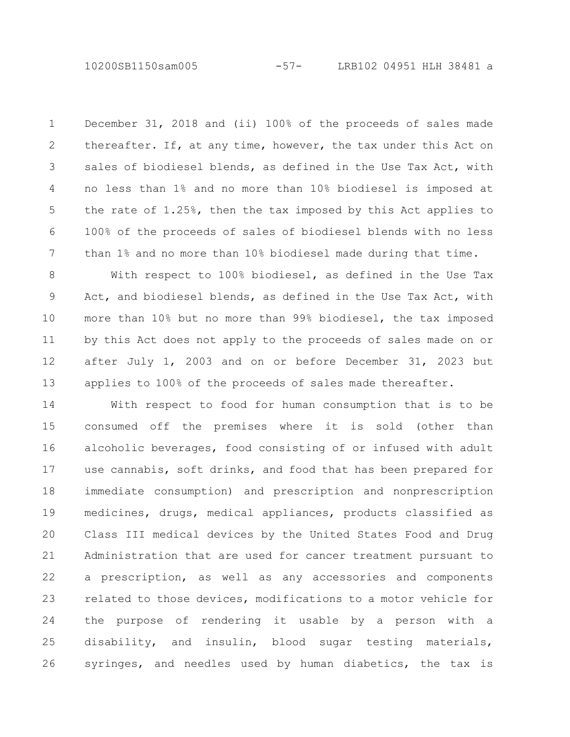10200SB1150sam005 -57- LRB102 04951 HLH 38481 a

December 31, 2018 and (ii) 100% of the proceeds of sales made thereafter. If, at any time, however, the tax under this Act on sales of biodiesel blends, as defined in the Use Tax Act, with no less than 1% and no more than 10% biodiesel is imposed at the rate of 1.25%, then the tax imposed by this Act applies to 100% of the proceeds of sales of biodiesel blends with no less than 1% and no more than 10% biodiesel made during that time. 1 2 3 4 5 6 7

With respect to 100% biodiesel, as defined in the Use Tax Act, and biodiesel blends, as defined in the Use Tax Act, with more than 10% but no more than 99% biodiesel, the tax imposed by this Act does not apply to the proceeds of sales made on or after July 1, 2003 and on or before December 31, 2023 but applies to 100% of the proceeds of sales made thereafter. 8 9 10 11 12 13

With respect to food for human consumption that is to be consumed off the premises where it is sold (other than alcoholic beverages, food consisting of or infused with adult use cannabis, soft drinks, and food that has been prepared for immediate consumption) and prescription and nonprescription medicines, drugs, medical appliances, products classified as Class III medical devices by the United States Food and Drug Administration that are used for cancer treatment pursuant to a prescription, as well as any accessories and components related to those devices, modifications to a motor vehicle for the purpose of rendering it usable by a person with a disability, and insulin, blood sugar testing materials, syringes, and needles used by human diabetics, the tax is 14 15 16 17 18 19 20 21 22 23 24 25 26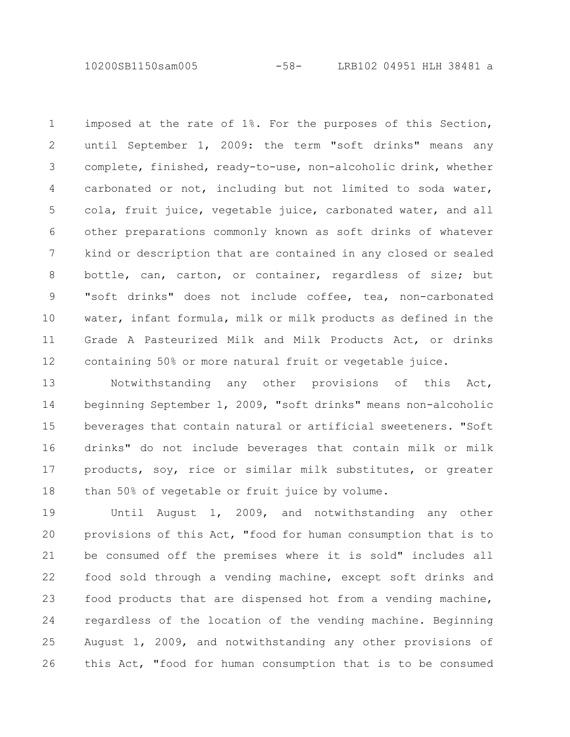10200SB1150sam005 -58- LRB102 04951 HLH 38481 a

imposed at the rate of 1%. For the purposes of this Section, until September 1, 2009: the term "soft drinks" means any complete, finished, ready-to-use, non-alcoholic drink, whether carbonated or not, including but not limited to soda water, cola, fruit juice, vegetable juice, carbonated water, and all other preparations commonly known as soft drinks of whatever kind or description that are contained in any closed or sealed bottle, can, carton, or container, regardless of size; but "soft drinks" does not include coffee, tea, non-carbonated water, infant formula, milk or milk products as defined in the Grade A Pasteurized Milk and Milk Products Act, or drinks containing 50% or more natural fruit or vegetable juice. 1 2 3 4 5 6 7 8 9 10 11 12

Notwithstanding any other provisions of this Act, beginning September 1, 2009, "soft drinks" means non-alcoholic beverages that contain natural or artificial sweeteners. "Soft drinks" do not include beverages that contain milk or milk products, soy, rice or similar milk substitutes, or greater than 50% of vegetable or fruit juice by volume. 13 14 15 16 17 18

Until August 1, 2009, and notwithstanding any other provisions of this Act, "food for human consumption that is to be consumed off the premises where it is sold" includes all food sold through a vending machine, except soft drinks and food products that are dispensed hot from a vending machine, regardless of the location of the vending machine. Beginning August 1, 2009, and notwithstanding any other provisions of this Act, "food for human consumption that is to be consumed 19 20 21 22 23 24 25 26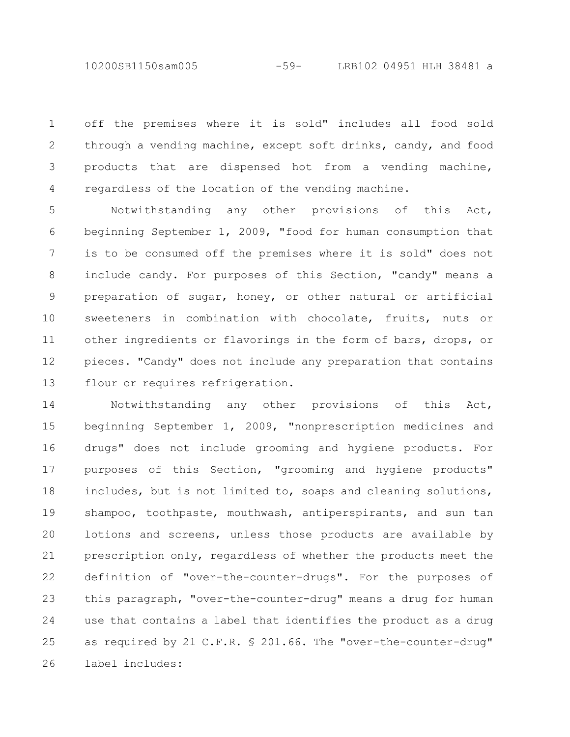10200SB1150sam005 -59- LRB102 04951 HLH 38481 a

off the premises where it is sold" includes all food sold through a vending machine, except soft drinks, candy, and food products that are dispensed hot from a vending machine, regardless of the location of the vending machine. 1 2 3 4

Notwithstanding any other provisions of this Act, beginning September 1, 2009, "food for human consumption that is to be consumed off the premises where it is sold" does not include candy. For purposes of this Section, "candy" means a preparation of sugar, honey, or other natural or artificial sweeteners in combination with chocolate, fruits, nuts or other ingredients or flavorings in the form of bars, drops, or pieces. "Candy" does not include any preparation that contains flour or requires refrigeration. 5 6 7 8 9 10 11 12 13

Notwithstanding any other provisions of this Act, beginning September 1, 2009, "nonprescription medicines and drugs" does not include grooming and hygiene products. For purposes of this Section, "grooming and hygiene products" includes, but is not limited to, soaps and cleaning solutions, shampoo, toothpaste, mouthwash, antiperspirants, and sun tan lotions and screens, unless those products are available by prescription only, regardless of whether the products meet the definition of "over-the-counter-drugs". For the purposes of this paragraph, "over-the-counter-drug" means a drug for human use that contains a label that identifies the product as a drug as required by 21 C.F.R. § 201.66. The "over-the-counter-drug" label includes: 14 15 16 17 18 19 20 21 22 23 24 25 26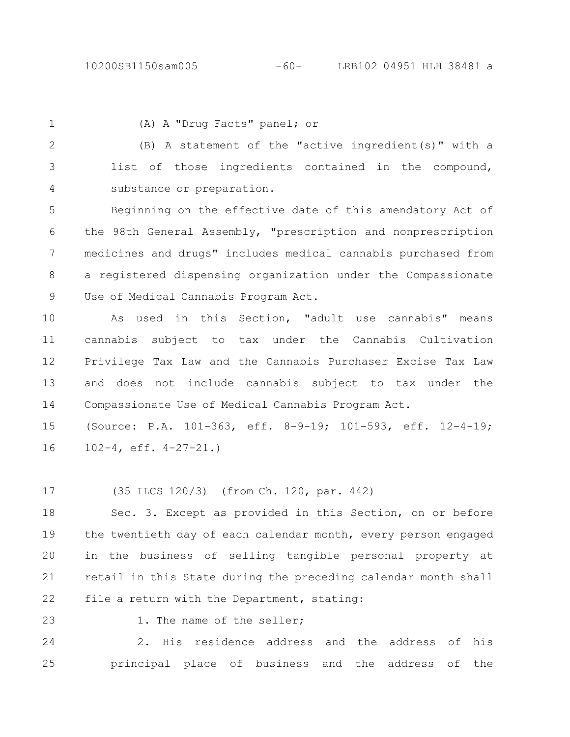## 10200SB1150sam005 -60- LRB102 04951 HLH 38481 a

1

(A) A "Drug Facts" panel; or

(B) A statement of the "active ingredient(s)" with a list of those ingredients contained in the compound, substance or preparation. 2 3 4

Beginning on the effective date of this amendatory Act of the 98th General Assembly, "prescription and nonprescription medicines and drugs" includes medical cannabis purchased from a registered dispensing organization under the Compassionate Use of Medical Cannabis Program Act. 5 6 7 8 9

As used in this Section, "adult use cannabis" means cannabis subject to tax under the Cannabis Cultivation Privilege Tax Law and the Cannabis Purchaser Excise Tax Law and does not include cannabis subject to tax under the Compassionate Use of Medical Cannabis Program Act. 10 11 12 13 14

(Source: P.A. 101-363, eff. 8-9-19; 101-593, eff. 12-4-19; 102-4, eff. 4-27-21.) 15 16

(35 ILCS 120/3) (from Ch. 120, par. 442) 17

Sec. 3. Except as provided in this Section, on or before the twentieth day of each calendar month, every person engaged in the business of selling tangible personal property at retail in this State during the preceding calendar month shall file a return with the Department, stating: 18 19  $20$ 21 22

23

1. The name of the seller;

2. His residence address and the address of his principal place of business and the address of the 24 25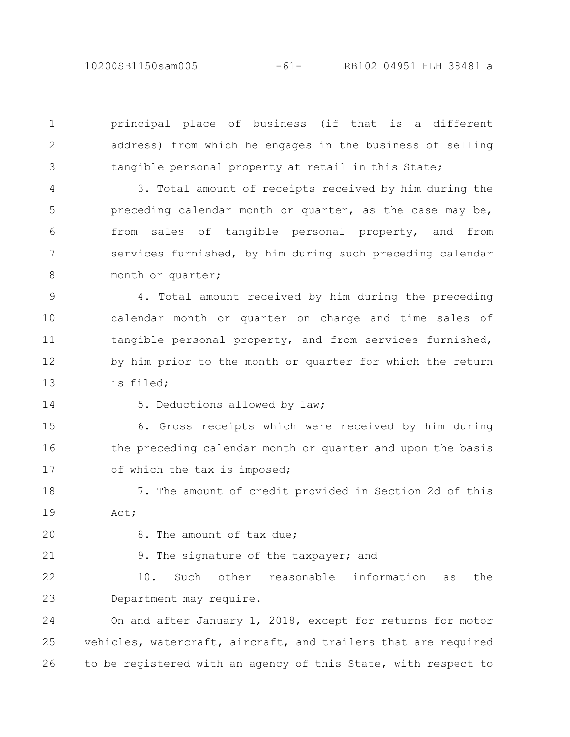10200SB1150sam005 -61- LRB102 04951 HLH 38481 a

principal place of business (if that is a different address) from which he engages in the business of selling tangible personal property at retail in this State;

3. Total amount of receipts received by him during the preceding calendar month or quarter, as the case may be, from sales of tangible personal property, and from services furnished, by him during such preceding calendar month or quarter; 4 5 6 7 8

4. Total amount received by him during the preceding calendar month or quarter on charge and time sales of tangible personal property, and from services furnished, by him prior to the month or quarter for which the return is filed; 9 10 11 12 13

14

1

2

3

5. Deductions allowed by law;

6. Gross receipts which were received by him during the preceding calendar month or quarter and upon the basis of which the tax is imposed; 15 16 17

7. The amount of credit provided in Section 2d of this Act; 18 19

20 21 8. The amount of tax due;

9. The signature of the taxpayer; and

10. Such other reasonable information as the Department may require. 22 23

On and after January 1, 2018, except for returns for motor vehicles, watercraft, aircraft, and trailers that are required to be registered with an agency of this State, with respect to 24 25 26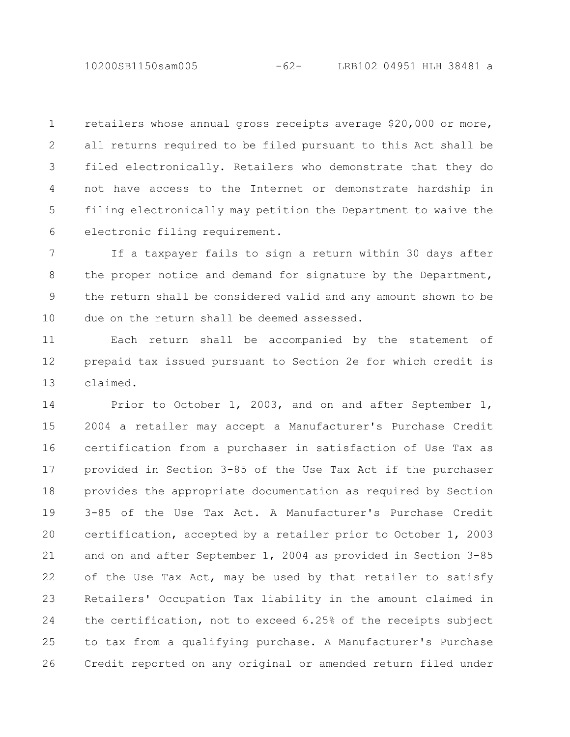10200SB1150sam005 -62- LRB102 04951 HLH 38481 a

retailers whose annual gross receipts average \$20,000 or more, all returns required to be filed pursuant to this Act shall be filed electronically. Retailers who demonstrate that they do not have access to the Internet or demonstrate hardship in filing electronically may petition the Department to waive the electronic filing requirement. 1 2 3 4 5 6

If a taxpayer fails to sign a return within 30 days after the proper notice and demand for signature by the Department, the return shall be considered valid and any amount shown to be due on the return shall be deemed assessed. 7 8 9 10

Each return shall be accompanied by the statement of prepaid tax issued pursuant to Section 2e for which credit is claimed. 11 12 13

Prior to October 1, 2003, and on and after September 1, 2004 a retailer may accept a Manufacturer's Purchase Credit certification from a purchaser in satisfaction of Use Tax as provided in Section 3-85 of the Use Tax Act if the purchaser provides the appropriate documentation as required by Section 3-85 of the Use Tax Act. A Manufacturer's Purchase Credit certification, accepted by a retailer prior to October 1, 2003 and on and after September 1, 2004 as provided in Section 3-85 of the Use Tax Act, may be used by that retailer to satisfy Retailers' Occupation Tax liability in the amount claimed in the certification, not to exceed 6.25% of the receipts subject to tax from a qualifying purchase. A Manufacturer's Purchase Credit reported on any original or amended return filed under 14 15 16 17 18 19 20 21 22 23 24 25 26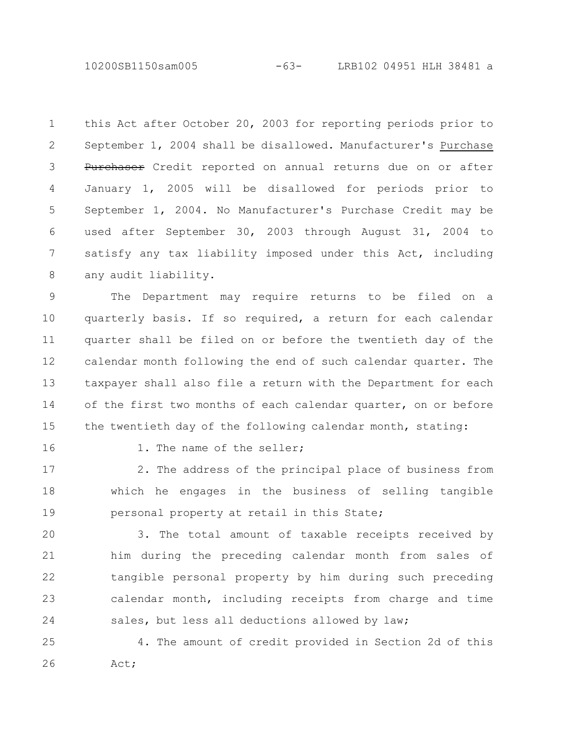10200SB1150sam005 -63- LRB102 04951 HLH 38481 a

this Act after October 20, 2003 for reporting periods prior to September 1, 2004 shall be disallowed. Manufacturer's Purchase Purchaser Credit reported on annual returns due on or after January 1, 2005 will be disallowed for periods prior to September 1, 2004. No Manufacturer's Purchase Credit may be used after September 30, 2003 through August 31, 2004 to satisfy any tax liability imposed under this Act, including any audit liability. 1 2 3 4 5 6 7 8

The Department may require returns to be filed on a quarterly basis. If so required, a return for each calendar quarter shall be filed on or before the twentieth day of the calendar month following the end of such calendar quarter. The taxpayer shall also file a return with the Department for each of the first two months of each calendar quarter, on or before the twentieth day of the following calendar month, stating: 9 10 11 12 13 14 15

16

1. The name of the seller;

2. The address of the principal place of business from which he engages in the business of selling tangible personal property at retail in this State; 17 18 19

3. The total amount of taxable receipts received by him during the preceding calendar month from sales of tangible personal property by him during such preceding calendar month, including receipts from charge and time sales, but less all deductions allowed by law; 20 21 22 23 24

4. The amount of credit provided in Section 2d of this Act; 25 26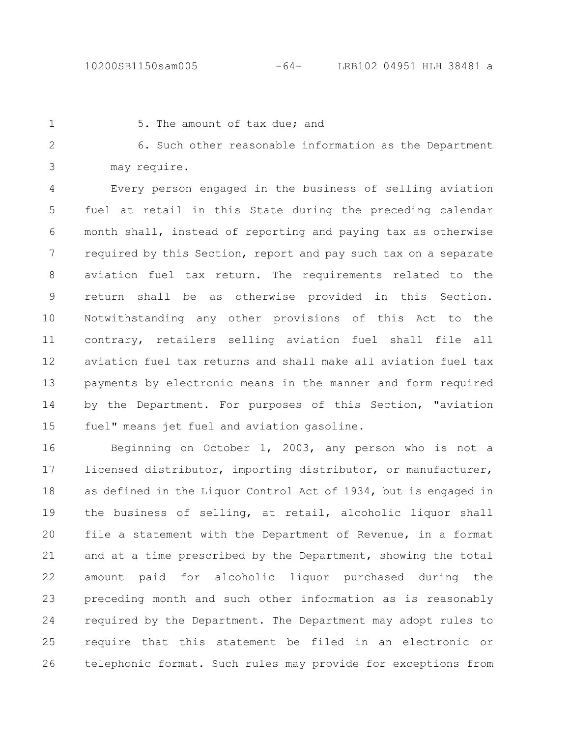1

5. The amount of tax due; and

6. Such other reasonable information as the Department may require. 2 3

Every person engaged in the business of selling aviation fuel at retail in this State during the preceding calendar month shall, instead of reporting and paying tax as otherwise required by this Section, report and pay such tax on a separate aviation fuel tax return. The requirements related to the return shall be as otherwise provided in this Section. Notwithstanding any other provisions of this Act to the contrary, retailers selling aviation fuel shall file all aviation fuel tax returns and shall make all aviation fuel tax payments by electronic means in the manner and form required by the Department. For purposes of this Section, "aviation fuel" means jet fuel and aviation gasoline. 4 5 6 7 8 9 10 11 12 13 14 15

Beginning on October 1, 2003, any person who is not a licensed distributor, importing distributor, or manufacturer, as defined in the Liquor Control Act of 1934, but is engaged in the business of selling, at retail, alcoholic liquor shall file a statement with the Department of Revenue, in a format and at a time prescribed by the Department, showing the total amount paid for alcoholic liquor purchased during the preceding month and such other information as is reasonably required by the Department. The Department may adopt rules to require that this statement be filed in an electronic or telephonic format. Such rules may provide for exceptions from 16 17 18 19 20 21 22 23 24 25 26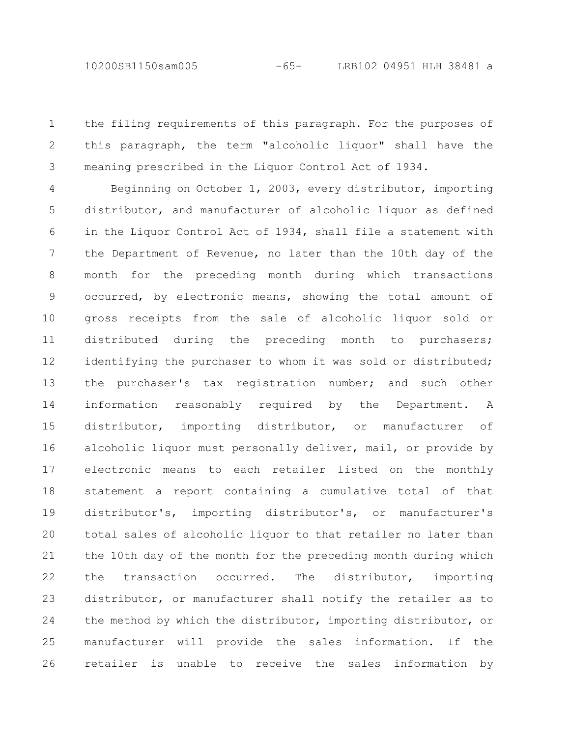the filing requirements of this paragraph. For the purposes of this paragraph, the term "alcoholic liquor" shall have the meaning prescribed in the Liquor Control Act of 1934. 1 2 3

Beginning on October 1, 2003, every distributor, importing distributor, and manufacturer of alcoholic liquor as defined in the Liquor Control Act of 1934, shall file a statement with the Department of Revenue, no later than the 10th day of the month for the preceding month during which transactions occurred, by electronic means, showing the total amount of gross receipts from the sale of alcoholic liquor sold or distributed during the preceding month to purchasers; identifying the purchaser to whom it was sold or distributed; the purchaser's tax registration number; and such other information reasonably required by the Department. A distributor, importing distributor, or manufacturer of alcoholic liquor must personally deliver, mail, or provide by electronic means to each retailer listed on the monthly statement a report containing a cumulative total of that distributor's, importing distributor's, or manufacturer's total sales of alcoholic liquor to that retailer no later than the 10th day of the month for the preceding month during which the transaction occurred. The distributor, importing distributor, or manufacturer shall notify the retailer as to the method by which the distributor, importing distributor, or manufacturer will provide the sales information. If the retailer is unable to receive the sales information by 4 5 6 7 8 9 10 11 12 13 14 15 16 17 18 19 20 21 22 23 24 25 26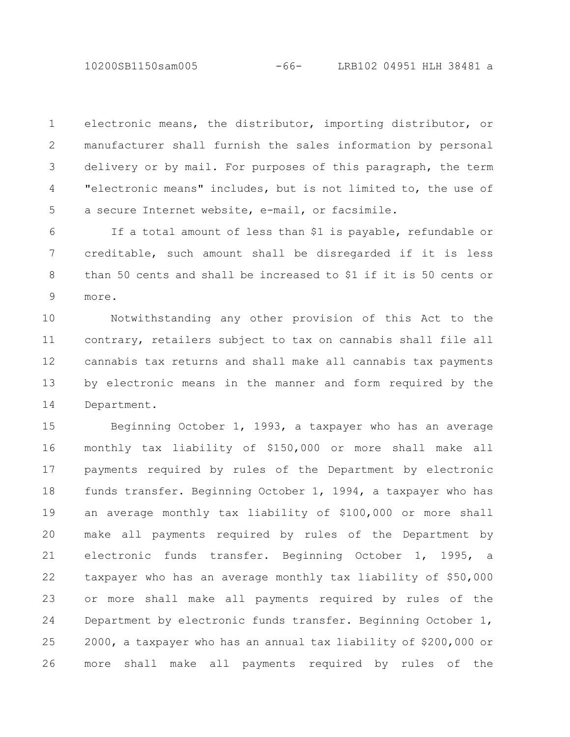10200SB1150sam005 -66- LRB102 04951 HLH 38481 a

electronic means, the distributor, importing distributor, or manufacturer shall furnish the sales information by personal delivery or by mail. For purposes of this paragraph, the term "electronic means" includes, but is not limited to, the use of a secure Internet website, e-mail, or facsimile. 1 2 3 4 5

If a total amount of less than \$1 is payable, refundable or creditable, such amount shall be disregarded if it is less than 50 cents and shall be increased to \$1 if it is 50 cents or more. 6 7 8 9

Notwithstanding any other provision of this Act to the contrary, retailers subject to tax on cannabis shall file all cannabis tax returns and shall make all cannabis tax payments by electronic means in the manner and form required by the Department. 10 11 12 13 14

Beginning October 1, 1993, a taxpayer who has an average monthly tax liability of \$150,000 or more shall make all payments required by rules of the Department by electronic funds transfer. Beginning October 1, 1994, a taxpayer who has an average monthly tax liability of \$100,000 or more shall make all payments required by rules of the Department by electronic funds transfer. Beginning October 1, 1995, a taxpayer who has an average monthly tax liability of \$50,000 or more shall make all payments required by rules of the Department by electronic funds transfer. Beginning October 1, 2000, a taxpayer who has an annual tax liability of \$200,000 or more shall make all payments required by rules of the 15 16 17 18 19 20 21 22 23 24 25 26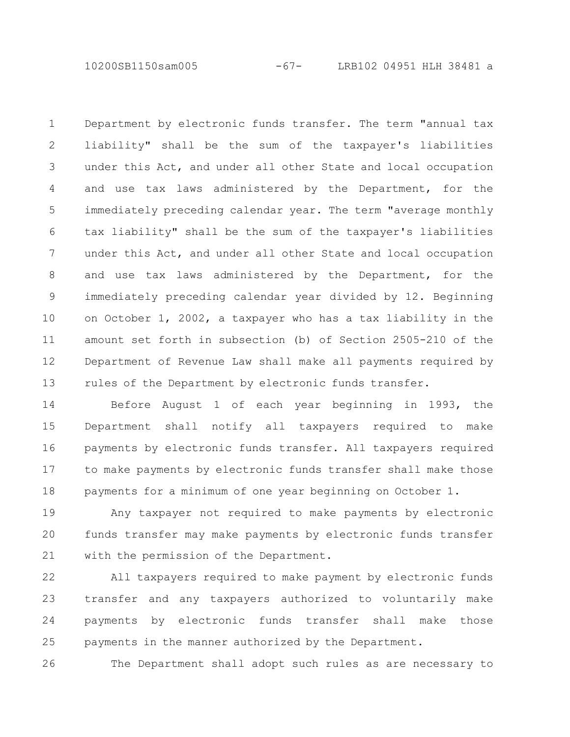10200SB1150sam005 -67- LRB102 04951 HLH 38481 a

Department by electronic funds transfer. The term "annual tax liability" shall be the sum of the taxpayer's liabilities under this Act, and under all other State and local occupation and use tax laws administered by the Department, for the immediately preceding calendar year. The term "average monthly tax liability" shall be the sum of the taxpayer's liabilities under this Act, and under all other State and local occupation and use tax laws administered by the Department, for the immediately preceding calendar year divided by 12. Beginning on October 1, 2002, a taxpayer who has a tax liability in the amount set forth in subsection (b) of Section 2505-210 of the Department of Revenue Law shall make all payments required by rules of the Department by electronic funds transfer. 1 2 3 4 5 6 7 8 9 10 11 12 13

Before August 1 of each year beginning in 1993, the Department shall notify all taxpayers required to make payments by electronic funds transfer. All taxpayers required to make payments by electronic funds transfer shall make those payments for a minimum of one year beginning on October 1. 14 15 16 17 18

Any taxpayer not required to make payments by electronic funds transfer may make payments by electronic funds transfer with the permission of the Department. 19 20 21

All taxpayers required to make payment by electronic funds transfer and any taxpayers authorized to voluntarily make payments by electronic funds transfer shall make those payments in the manner authorized by the Department. 22 23 24 25

The Department shall adopt such rules as are necessary to 26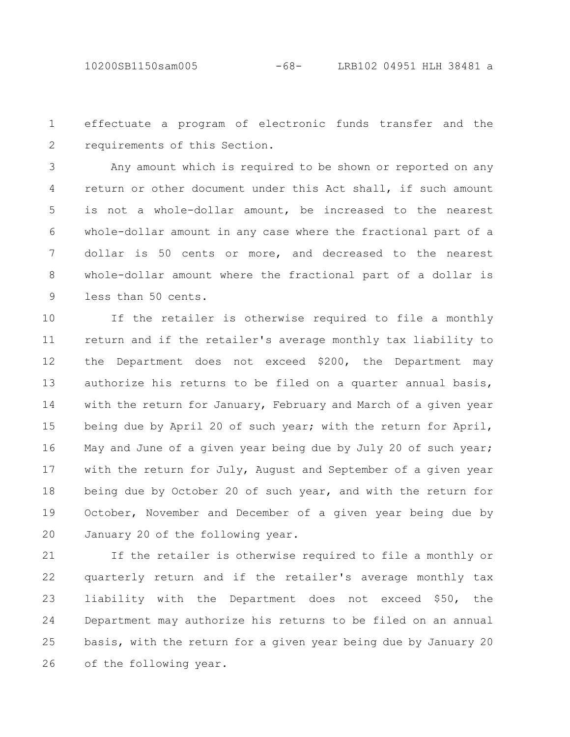effectuate a program of electronic funds transfer and the requirements of this Section. 1 2

Any amount which is required to be shown or reported on any return or other document under this Act shall, if such amount is not a whole-dollar amount, be increased to the nearest whole-dollar amount in any case where the fractional part of a dollar is 50 cents or more, and decreased to the nearest whole-dollar amount where the fractional part of a dollar is less than 50 cents. 3 4 5 6 7 8 9

If the retailer is otherwise required to file a monthly return and if the retailer's average monthly tax liability to the Department does not exceed \$200, the Department may authorize his returns to be filed on a quarter annual basis, with the return for January, February and March of a given year being due by April 20 of such year; with the return for April, May and June of a given year being due by July 20 of such year; with the return for July, August and September of a given year being due by October 20 of such year, and with the return for October, November and December of a given year being due by January 20 of the following year. 10 11 12 13 14 15 16 17 18 19 20

If the retailer is otherwise required to file a monthly or quarterly return and if the retailer's average monthly tax liability with the Department does not exceed \$50, the Department may authorize his returns to be filed on an annual basis, with the return for a given year being due by January 20 of the following year. 21 22 23 24 25 26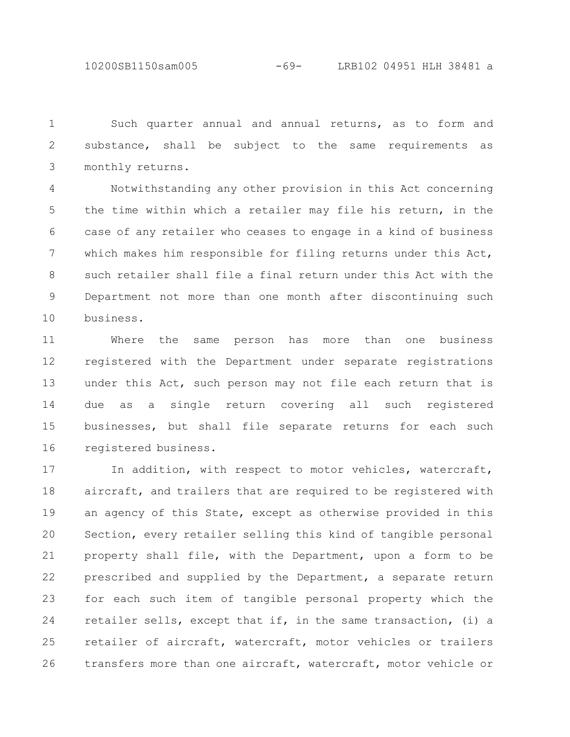10200SB1150sam005 -69- LRB102 04951 HLH 38481 a

Such quarter annual and annual returns, as to form and substance, shall be subject to the same requirements as monthly returns. 1 2 3

Notwithstanding any other provision in this Act concerning the time within which a retailer may file his return, in the case of any retailer who ceases to engage in a kind of business which makes him responsible for filing returns under this Act, such retailer shall file a final return under this Act with the Department not more than one month after discontinuing such business. 4 5 6 7 8 9 10

Where the same person has more than one business registered with the Department under separate registrations under this Act, such person may not file each return that is due as a single return covering all such registered businesses, but shall file separate returns for each such registered business. 11 12 13 14 15 16

In addition, with respect to motor vehicles, watercraft, aircraft, and trailers that are required to be registered with an agency of this State, except as otherwise provided in this Section, every retailer selling this kind of tangible personal property shall file, with the Department, upon a form to be prescribed and supplied by the Department, a separate return for each such item of tangible personal property which the retailer sells, except that if, in the same transaction, (i) a retailer of aircraft, watercraft, motor vehicles or trailers transfers more than one aircraft, watercraft, motor vehicle or 17 18 19 20 21 22 23 24 25 26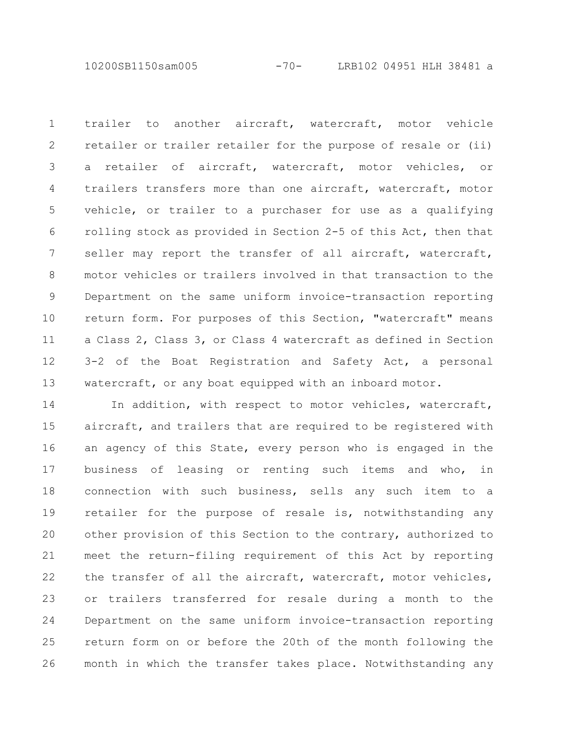10200SB1150sam005 -70- LRB102 04951 HLH 38481 a

trailer to another aircraft, watercraft, motor vehicle retailer or trailer retailer for the purpose of resale or (ii) a retailer of aircraft, watercraft, motor vehicles, or trailers transfers more than one aircraft, watercraft, motor vehicle, or trailer to a purchaser for use as a qualifying rolling stock as provided in Section 2-5 of this Act, then that seller may report the transfer of all aircraft, watercraft, motor vehicles or trailers involved in that transaction to the Department on the same uniform invoice-transaction reporting return form. For purposes of this Section, "watercraft" means a Class 2, Class 3, or Class 4 watercraft as defined in Section 3-2 of the Boat Registration and Safety Act, a personal watercraft, or any boat equipped with an inboard motor. 1 2 3 4 5 6 7 8 9 10 11 12 13

In addition, with respect to motor vehicles, watercraft, aircraft, and trailers that are required to be registered with an agency of this State, every person who is engaged in the business of leasing or renting such items and who, in connection with such business, sells any such item to a retailer for the purpose of resale is, notwithstanding any other provision of this Section to the contrary, authorized to meet the return-filing requirement of this Act by reporting the transfer of all the aircraft, watercraft, motor vehicles, or trailers transferred for resale during a month to the Department on the same uniform invoice-transaction reporting return form on or before the 20th of the month following the month in which the transfer takes place. Notwithstanding any 14 15 16 17 18 19 20 21 22 23 24 25 26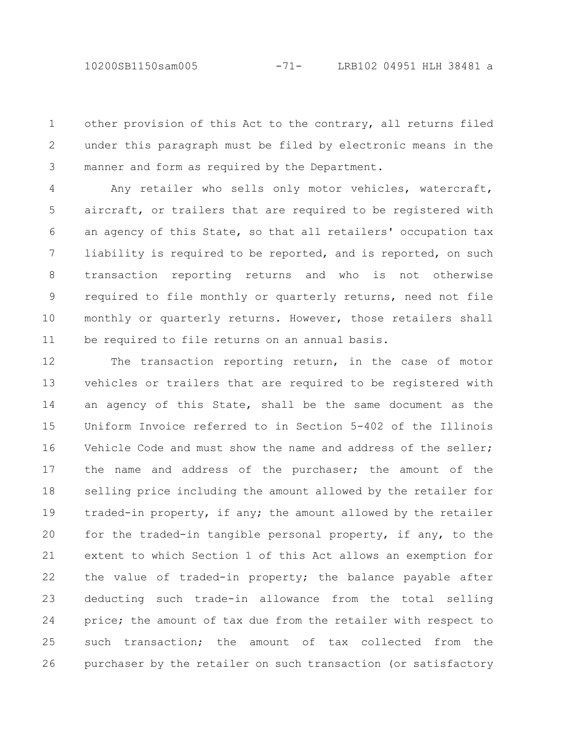10200SB1150sam005 -71- LRB102 04951 HLH 38481 a

other provision of this Act to the contrary, all returns filed under this paragraph must be filed by electronic means in the manner and form as required by the Department. 1 2 3

Any retailer who sells only motor vehicles, watercraft, aircraft, or trailers that are required to be registered with an agency of this State, so that all retailers' occupation tax liability is required to be reported, and is reported, on such transaction reporting returns and who is not otherwise required to file monthly or quarterly returns, need not file monthly or quarterly returns. However, those retailers shall be required to file returns on an annual basis. 4 5 6 7 8 9 10 11

The transaction reporting return, in the case of motor vehicles or trailers that are required to be registered with an agency of this State, shall be the same document as the Uniform Invoice referred to in Section 5-402 of the Illinois Vehicle Code and must show the name and address of the seller; the name and address of the purchaser; the amount of the selling price including the amount allowed by the retailer for traded-in property, if any; the amount allowed by the retailer for the traded-in tangible personal property, if any, to the extent to which Section 1 of this Act allows an exemption for the value of traded-in property; the balance payable after deducting such trade-in allowance from the total selling price; the amount of tax due from the retailer with respect to such transaction; the amount of tax collected from the purchaser by the retailer on such transaction (or satisfactory 12 13 14 15 16 17 18 19 20 21 22 23 24 25 26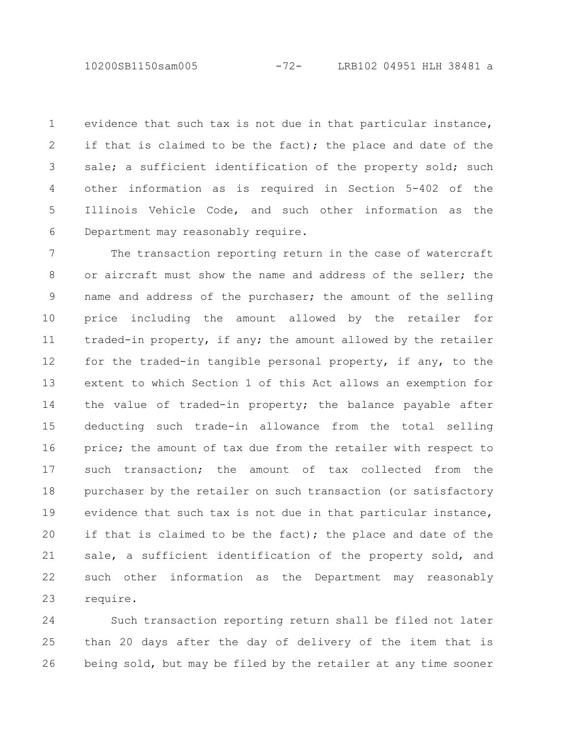10200SB1150sam005 -72- LRB102 04951 HLH 38481 a

evidence that such tax is not due in that particular instance, if that is claimed to be the fact); the place and date of the sale; a sufficient identification of the property sold; such other information as is required in Section 5-402 of the Illinois Vehicle Code, and such other information as the Department may reasonably require. 1 2 3 4 5 6

The transaction reporting return in the case of watercraft or aircraft must show the name and address of the seller; the name and address of the purchaser; the amount of the selling price including the amount allowed by the retailer for traded-in property, if any; the amount allowed by the retailer for the traded-in tangible personal property, if any, to the extent to which Section 1 of this Act allows an exemption for the value of traded-in property; the balance payable after deducting such trade-in allowance from the total selling price; the amount of tax due from the retailer with respect to such transaction; the amount of tax collected from the purchaser by the retailer on such transaction (or satisfactory evidence that such tax is not due in that particular instance, if that is claimed to be the fact); the place and date of the sale, a sufficient identification of the property sold, and such other information as the Department may reasonably require. 7 8 9 10 11 12 13 14 15 16 17 18 19 20 21 22 23

Such transaction reporting return shall be filed not later than 20 days after the day of delivery of the item that is being sold, but may be filed by the retailer at any time sooner 24 25 26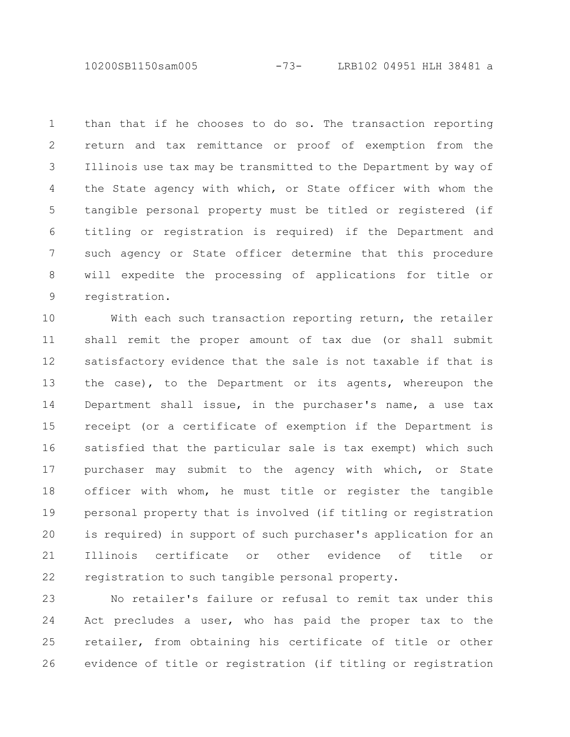10200SB1150sam005 -73- LRB102 04951 HLH 38481 a

than that if he chooses to do so. The transaction reporting return and tax remittance or proof of exemption from the Illinois use tax may be transmitted to the Department by way of the State agency with which, or State officer with whom the tangible personal property must be titled or registered (if titling or registration is required) if the Department and such agency or State officer determine that this procedure will expedite the processing of applications for title or registration. 1 2 3 4 5 6 7 8 9

With each such transaction reporting return, the retailer shall remit the proper amount of tax due (or shall submit satisfactory evidence that the sale is not taxable if that is the case), to the Department or its agents, whereupon the Department shall issue, in the purchaser's name, a use tax receipt (or a certificate of exemption if the Department is satisfied that the particular sale is tax exempt) which such purchaser may submit to the agency with which, or State officer with whom, he must title or register the tangible personal property that is involved (if titling or registration is required) in support of such purchaser's application for an Illinois certificate or other evidence of title or registration to such tangible personal property. 10 11 12 13 14 15 16 17 18 19 20 21 22

No retailer's failure or refusal to remit tax under this Act precludes a user, who has paid the proper tax to the retailer, from obtaining his certificate of title or other evidence of title or registration (if titling or registration 23 24 25 26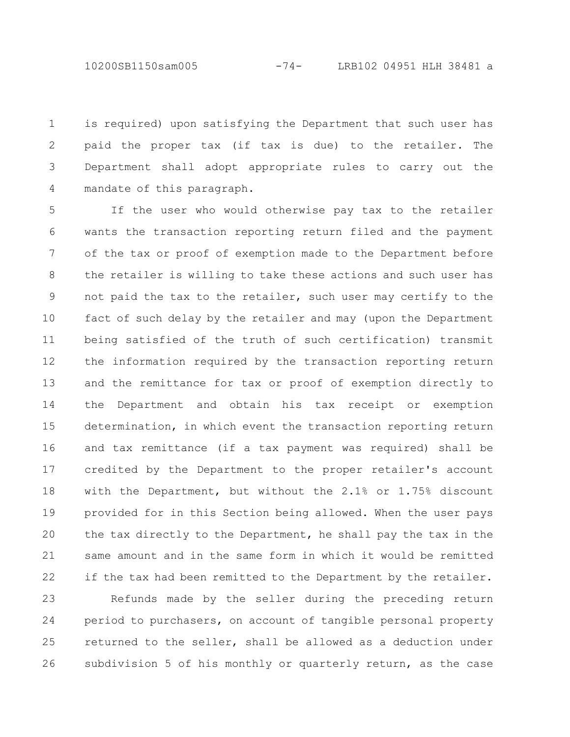10200SB1150sam005 -74- LRB102 04951 HLH 38481 a

is required) upon satisfying the Department that such user has paid the proper tax (if tax is due) to the retailer. The Department shall adopt appropriate rules to carry out the mandate of this paragraph. 1 2 3 4

If the user who would otherwise pay tax to the retailer wants the transaction reporting return filed and the payment of the tax or proof of exemption made to the Department before the retailer is willing to take these actions and such user has not paid the tax to the retailer, such user may certify to the fact of such delay by the retailer and may (upon the Department being satisfied of the truth of such certification) transmit the information required by the transaction reporting return and the remittance for tax or proof of exemption directly to the Department and obtain his tax receipt or exemption determination, in which event the transaction reporting return and tax remittance (if a tax payment was required) shall be credited by the Department to the proper retailer's account with the Department, but without the 2.1% or 1.75% discount provided for in this Section being allowed. When the user pays the tax directly to the Department, he shall pay the tax in the same amount and in the same form in which it would be remitted if the tax had been remitted to the Department by the retailer. 5 6 7 8 9 10 11 12 13 14 15 16 17 18 19 20 21 22

Refunds made by the seller during the preceding return period to purchasers, on account of tangible personal property returned to the seller, shall be allowed as a deduction under subdivision 5 of his monthly or quarterly return, as the case 23 24 25 26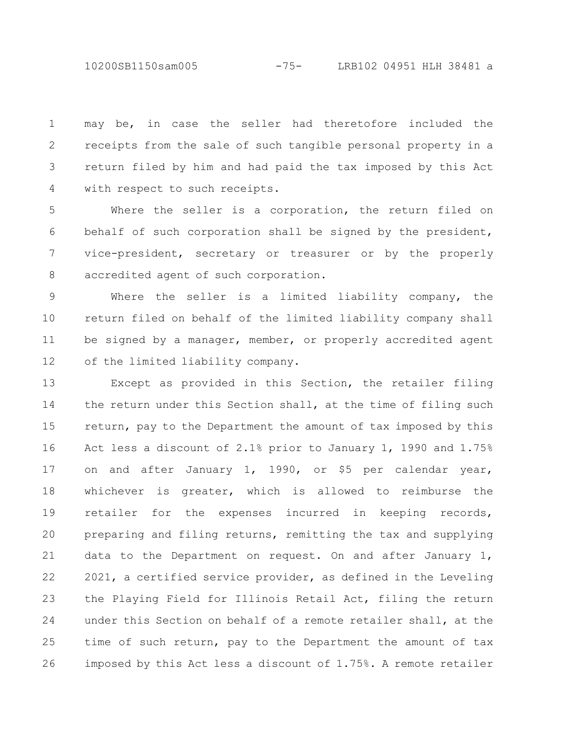10200SB1150sam005 -75- LRB102 04951 HLH 38481 a

may be, in case the seller had theretofore included the receipts from the sale of such tangible personal property in a return filed by him and had paid the tax imposed by this Act with respect to such receipts. 1 2 3 4

Where the seller is a corporation, the return filed on behalf of such corporation shall be signed by the president, vice-president, secretary or treasurer or by the properly accredited agent of such corporation. 5 6 7 8

Where the seller is a limited liability company, the return filed on behalf of the limited liability company shall be signed by a manager, member, or properly accredited agent of the limited liability company. 9 10 11 12

Except as provided in this Section, the retailer filing the return under this Section shall, at the time of filing such return, pay to the Department the amount of tax imposed by this Act less a discount of 2.1% prior to January 1, 1990 and 1.75% on and after January 1, 1990, or \$5 per calendar year, whichever is greater, which is allowed to reimburse the retailer for the expenses incurred in keeping records, preparing and filing returns, remitting the tax and supplying data to the Department on request. On and after January 1, 2021, a certified service provider, as defined in the Leveling the Playing Field for Illinois Retail Act, filing the return under this Section on behalf of a remote retailer shall, at the time of such return, pay to the Department the amount of tax imposed by this Act less a discount of 1.75%. A remote retailer 13 14 15 16 17 18 19 20 21 22 23 24 25 26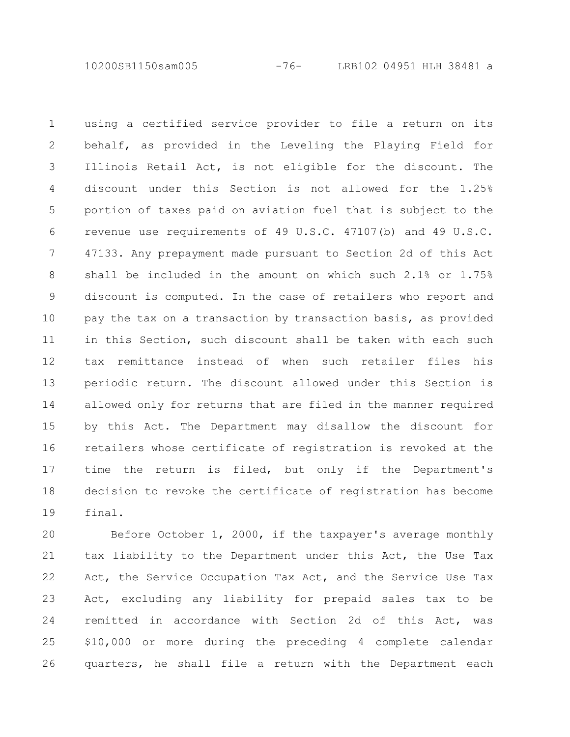10200SB1150sam005 -76- LRB102 04951 HLH 38481 a

using a certified service provider to file a return on its behalf, as provided in the Leveling the Playing Field for Illinois Retail Act, is not eligible for the discount. The discount under this Section is not allowed for the 1.25% portion of taxes paid on aviation fuel that is subject to the revenue use requirements of 49 U.S.C. 47107(b) and 49 U.S.C. 47133. Any prepayment made pursuant to Section 2d of this Act shall be included in the amount on which such 2.1% or 1.75% discount is computed. In the case of retailers who report and pay the tax on a transaction by transaction basis, as provided in this Section, such discount shall be taken with each such tax remittance instead of when such retailer files his periodic return. The discount allowed under this Section is allowed only for returns that are filed in the manner required by this Act. The Department may disallow the discount for retailers whose certificate of registration is revoked at the time the return is filed, but only if the Department's decision to revoke the certificate of registration has become final. 1 2 3 4 5 6 7 8 9 10 11 12 13 14 15 16 17 18 19

Before October 1, 2000, if the taxpayer's average monthly tax liability to the Department under this Act, the Use Tax Act, the Service Occupation Tax Act, and the Service Use Tax Act, excluding any liability for prepaid sales tax to be remitted in accordance with Section 2d of this Act, was \$10,000 or more during the preceding 4 complete calendar quarters, he shall file a return with the Department each 20 21 22 23 24 25 26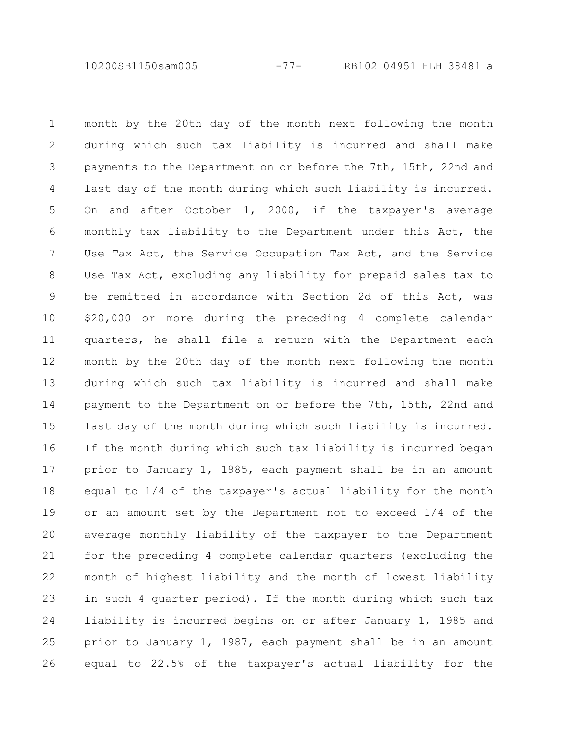10200SB1150sam005 -77- LRB102 04951 HLH 38481 a

month by the 20th day of the month next following the month during which such tax liability is incurred and shall make payments to the Department on or before the 7th, 15th, 22nd and last day of the month during which such liability is incurred. On and after October 1, 2000, if the taxpayer's average monthly tax liability to the Department under this Act, the Use Tax Act, the Service Occupation Tax Act, and the Service Use Tax Act, excluding any liability for prepaid sales tax to be remitted in accordance with Section 2d of this Act, was \$20,000 or more during the preceding 4 complete calendar quarters, he shall file a return with the Department each month by the 20th day of the month next following the month during which such tax liability is incurred and shall make payment to the Department on or before the 7th, 15th, 22nd and last day of the month during which such liability is incurred. If the month during which such tax liability is incurred began prior to January 1, 1985, each payment shall be in an amount equal to 1/4 of the taxpayer's actual liability for the month or an amount set by the Department not to exceed 1/4 of the average monthly liability of the taxpayer to the Department for the preceding 4 complete calendar quarters (excluding the month of highest liability and the month of lowest liability in such 4 quarter period). If the month during which such tax liability is incurred begins on or after January 1, 1985 and prior to January 1, 1987, each payment shall be in an amount equal to 22.5% of the taxpayer's actual liability for the 1 2 3 4 5 6 7 8 9 10 11 12 13 14 15 16 17 18 19 20 21 22 23 24 25 26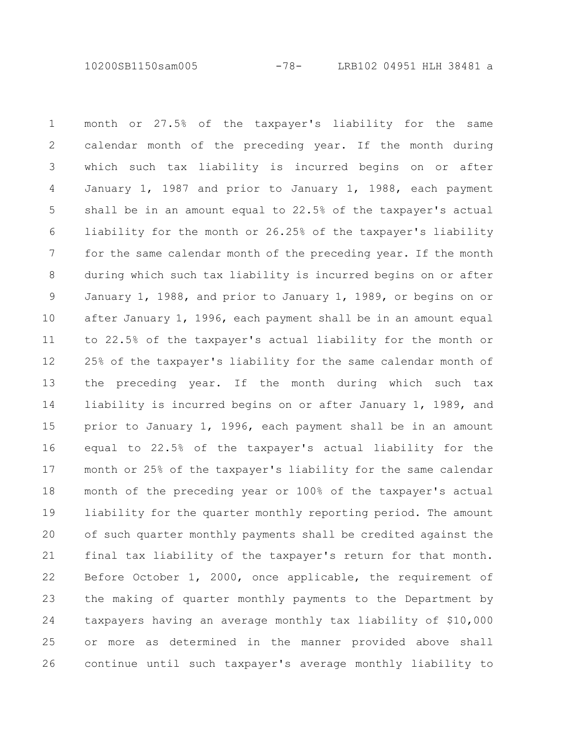10200SB1150sam005 -78- LRB102 04951 HLH 38481 a

month or 27.5% of the taxpayer's liability for the same calendar month of the preceding year. If the month during which such tax liability is incurred begins on or after January 1, 1987 and prior to January 1, 1988, each payment shall be in an amount equal to 22.5% of the taxpayer's actual liability for the month or 26.25% of the taxpayer's liability for the same calendar month of the preceding year. If the month during which such tax liability is incurred begins on or after January 1, 1988, and prior to January 1, 1989, or begins on or after January 1, 1996, each payment shall be in an amount equal to 22.5% of the taxpayer's actual liability for the month or 25% of the taxpayer's liability for the same calendar month of the preceding year. If the month during which such tax liability is incurred begins on or after January 1, 1989, and prior to January 1, 1996, each payment shall be in an amount equal to 22.5% of the taxpayer's actual liability for the month or 25% of the taxpayer's liability for the same calendar month of the preceding year or 100% of the taxpayer's actual liability for the quarter monthly reporting period. The amount of such quarter monthly payments shall be credited against the final tax liability of the taxpayer's return for that month. Before October 1, 2000, once applicable, the requirement of the making of quarter monthly payments to the Department by taxpayers having an average monthly tax liability of \$10,000 or more as determined in the manner provided above shall continue until such taxpayer's average monthly liability to 1 2 3 4 5 6 7 8 9 10 11 12 13 14 15 16 17 18 19 20 21 22 23 24 25 26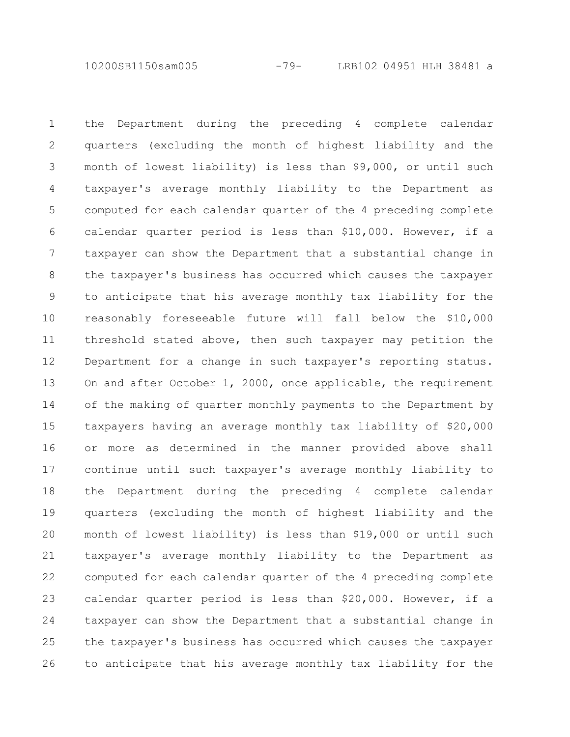10200SB1150sam005 -79- LRB102 04951 HLH 38481 a

the Department during the preceding 4 complete calendar quarters (excluding the month of highest liability and the month of lowest liability) is less than \$9,000, or until such taxpayer's average monthly liability to the Department as computed for each calendar quarter of the 4 preceding complete calendar quarter period is less than \$10,000. However, if a taxpayer can show the Department that a substantial change in the taxpayer's business has occurred which causes the taxpayer to anticipate that his average monthly tax liability for the reasonably foreseeable future will fall below the \$10,000 threshold stated above, then such taxpayer may petition the Department for a change in such taxpayer's reporting status. On and after October 1, 2000, once applicable, the requirement of the making of quarter monthly payments to the Department by taxpayers having an average monthly tax liability of \$20,000 or more as determined in the manner provided above shall continue until such taxpayer's average monthly liability to the Department during the preceding 4 complete calendar quarters (excluding the month of highest liability and the month of lowest liability) is less than \$19,000 or until such taxpayer's average monthly liability to the Department as computed for each calendar quarter of the 4 preceding complete calendar quarter period is less than \$20,000. However, if a taxpayer can show the Department that a substantial change in the taxpayer's business has occurred which causes the taxpayer to anticipate that his average monthly tax liability for the 1 2 3 4 5 6 7 8 9 10 11 12 13 14 15 16 17 18 19 20 21 22 23 24 25 26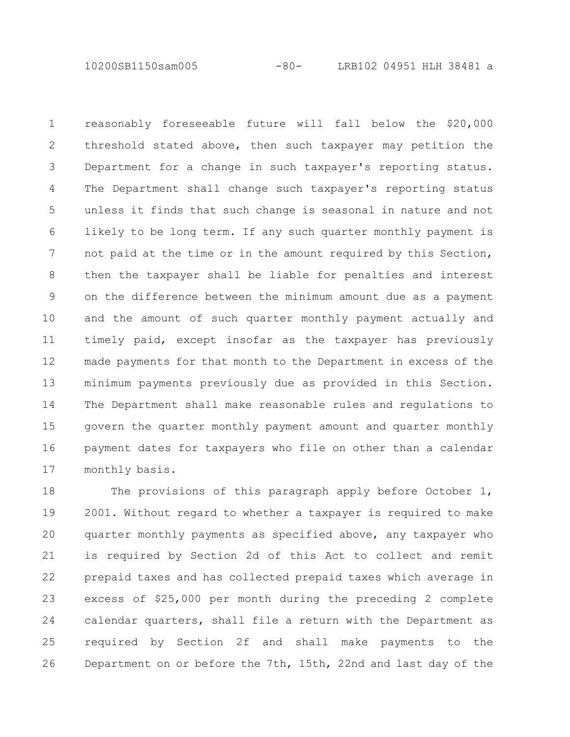10200SB1150sam005 -80- LRB102 04951 HLH 38481 a

reasonably foreseeable future will fall below the \$20,000 threshold stated above, then such taxpayer may petition the Department for a change in such taxpayer's reporting status. The Department shall change such taxpayer's reporting status unless it finds that such change is seasonal in nature and not likely to be long term. If any such quarter monthly payment is not paid at the time or in the amount required by this Section, then the taxpayer shall be liable for penalties and interest on the difference between the minimum amount due as a payment and the amount of such quarter monthly payment actually and timely paid, except insofar as the taxpayer has previously made payments for that month to the Department in excess of the minimum payments previously due as provided in this Section. The Department shall make reasonable rules and regulations to govern the quarter monthly payment amount and quarter monthly payment dates for taxpayers who file on other than a calendar monthly basis. 1 2 3 4 5 6 7 8 9 10 11 12 13 14 15 16 17

The provisions of this paragraph apply before October 1, 2001. Without regard to whether a taxpayer is required to make quarter monthly payments as specified above, any taxpayer who is required by Section 2d of this Act to collect and remit prepaid taxes and has collected prepaid taxes which average in excess of \$25,000 per month during the preceding 2 complete calendar quarters, shall file a return with the Department as required by Section 2f and shall make payments to the Department on or before the 7th, 15th, 22nd and last day of the 18 19 20 21 22 23 24 25 26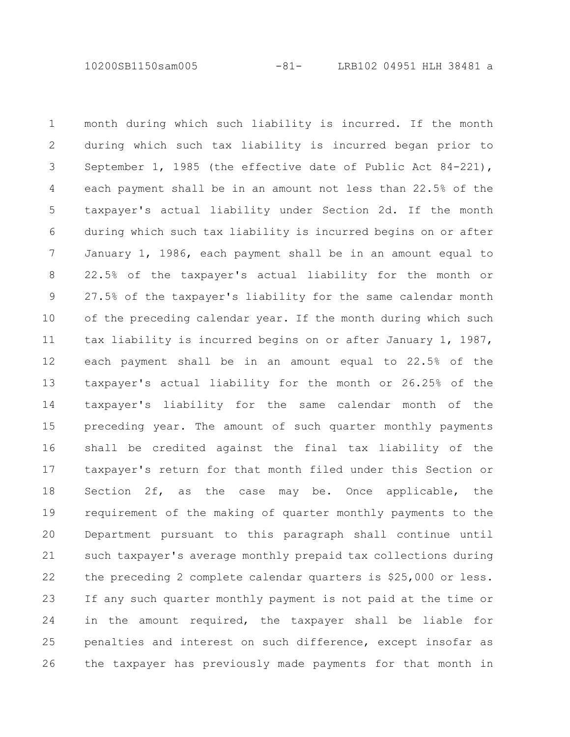10200SB1150sam005 -81- LRB102 04951 HLH 38481 a

month during which such liability is incurred. If the month during which such tax liability is incurred began prior to September 1, 1985 (the effective date of Public Act 84-221), each payment shall be in an amount not less than 22.5% of the taxpayer's actual liability under Section 2d. If the month during which such tax liability is incurred begins on or after January 1, 1986, each payment shall be in an amount equal to 22.5% of the taxpayer's actual liability for the month or 27.5% of the taxpayer's liability for the same calendar month of the preceding calendar year. If the month during which such tax liability is incurred begins on or after January 1, 1987, each payment shall be in an amount equal to 22.5% of the taxpayer's actual liability for the month or 26.25% of the taxpayer's liability for the same calendar month of the preceding year. The amount of such quarter monthly payments shall be credited against the final tax liability of the taxpayer's return for that month filed under this Section or Section 2f, as the case may be. Once applicable, the requirement of the making of quarter monthly payments to the Department pursuant to this paragraph shall continue until such taxpayer's average monthly prepaid tax collections during the preceding 2 complete calendar quarters is \$25,000 or less. If any such quarter monthly payment is not paid at the time or in the amount required, the taxpayer shall be liable for penalties and interest on such difference, except insofar as the taxpayer has previously made payments for that month in 1 2 3 4 5 6 7 8 9 10 11 12 13 14 15 16 17 18 19 20 21 22 23 24 25 26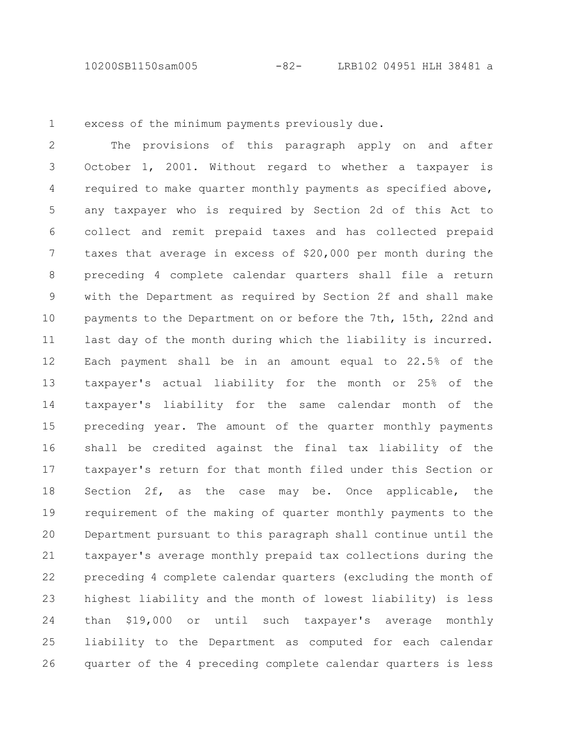10200SB1150sam005 -82- LRB102 04951 HLH 38481 a

1

excess of the minimum payments previously due.

The provisions of this paragraph apply on and after October 1, 2001. Without regard to whether a taxpayer is required to make quarter monthly payments as specified above, any taxpayer who is required by Section 2d of this Act to collect and remit prepaid taxes and has collected prepaid taxes that average in excess of \$20,000 per month during the preceding 4 complete calendar quarters shall file a return with the Department as required by Section 2f and shall make payments to the Department on or before the 7th, 15th, 22nd and last day of the month during which the liability is incurred. Each payment shall be in an amount equal to 22.5% of the taxpayer's actual liability for the month or 25% of the taxpayer's liability for the same calendar month of the preceding year. The amount of the quarter monthly payments shall be credited against the final tax liability of the taxpayer's return for that month filed under this Section or Section 2f, as the case may be. Once applicable, the requirement of the making of quarter monthly payments to the Department pursuant to this paragraph shall continue until the taxpayer's average monthly prepaid tax collections during the preceding 4 complete calendar quarters (excluding the month of highest liability and the month of lowest liability) is less than \$19,000 or until such taxpayer's average monthly liability to the Department as computed for each calendar quarter of the 4 preceding complete calendar quarters is less 2 3 4 5 6 7 8 9 10 11 12 13 14 15 16 17 18 19 20 21 22 23 24 25 26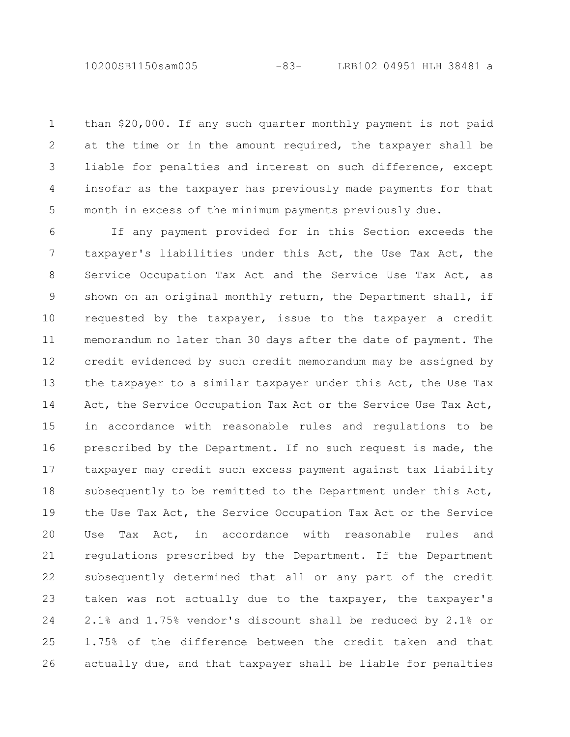10200SB1150sam005 -83- LRB102 04951 HLH 38481 a

than \$20,000. If any such quarter monthly payment is not paid at the time or in the amount required, the taxpayer shall be liable for penalties and interest on such difference, except insofar as the taxpayer has previously made payments for that month in excess of the minimum payments previously due. 1 2 3 4 5

If any payment provided for in this Section exceeds the taxpayer's liabilities under this Act, the Use Tax Act, the Service Occupation Tax Act and the Service Use Tax Act, as shown on an original monthly return, the Department shall, if requested by the taxpayer, issue to the taxpayer a credit memorandum no later than 30 days after the date of payment. The credit evidenced by such credit memorandum may be assigned by the taxpayer to a similar taxpayer under this Act, the Use Tax Act, the Service Occupation Tax Act or the Service Use Tax Act, in accordance with reasonable rules and regulations to be prescribed by the Department. If no such request is made, the taxpayer may credit such excess payment against tax liability subsequently to be remitted to the Department under this Act, the Use Tax Act, the Service Occupation Tax Act or the Service Use Tax Act, in accordance with reasonable rules and regulations prescribed by the Department. If the Department subsequently determined that all or any part of the credit taken was not actually due to the taxpayer, the taxpayer's 2.1% and 1.75% vendor's discount shall be reduced by 2.1% or 1.75% of the difference between the credit taken and that actually due, and that taxpayer shall be liable for penalties 6 7 8 9 10 11 12 13 14 15 16 17 18 19 20 21 22 23 24 25 26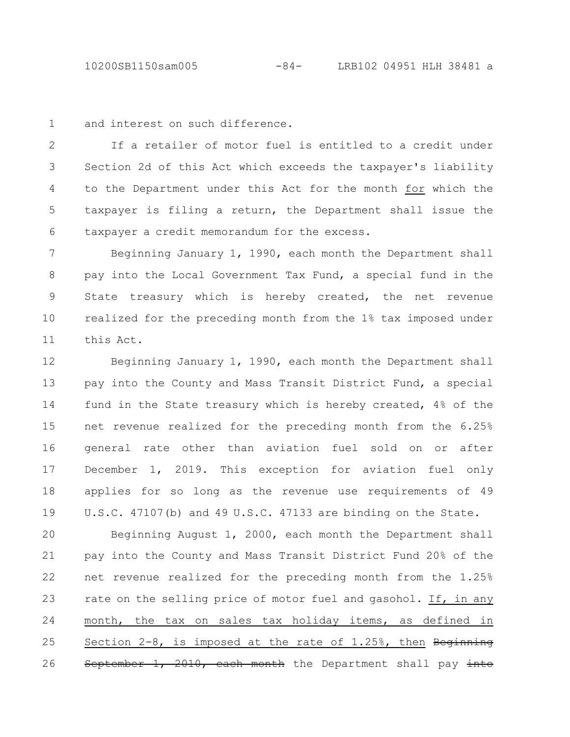and interest on such difference. 1

If a retailer of motor fuel is entitled to a credit under Section 2d of this Act which exceeds the taxpayer's liability to the Department under this Act for the month for which the taxpayer is filing a return, the Department shall issue the taxpayer a credit memorandum for the excess. 2 3 4 5 6

Beginning January 1, 1990, each month the Department shall pay into the Local Government Tax Fund, a special fund in the State treasury which is hereby created, the net revenue realized for the preceding month from the 1% tax imposed under this Act. 7 8 9 10 11

Beginning January 1, 1990, each month the Department shall pay into the County and Mass Transit District Fund, a special fund in the State treasury which is hereby created, 4% of the net revenue realized for the preceding month from the 6.25% general rate other than aviation fuel sold on or after December 1, 2019. This exception for aviation fuel only applies for so long as the revenue use requirements of 49 U.S.C. 47107(b) and 49 U.S.C. 47133 are binding on the State. 12 13 14 15 16 17 18 19

Beginning August 1, 2000, each month the Department shall pay into the County and Mass Transit District Fund 20% of the net revenue realized for the preceding month from the 1.25% rate on the selling price of motor fuel and gasohol. If, in any month, the tax on sales tax holiday items, as defined in Section  $2-8$ , is imposed at the rate of  $1.25$ %, then Beginning September 1, 2010, each month the Department shall pay into 20 21 22 23 24 25 26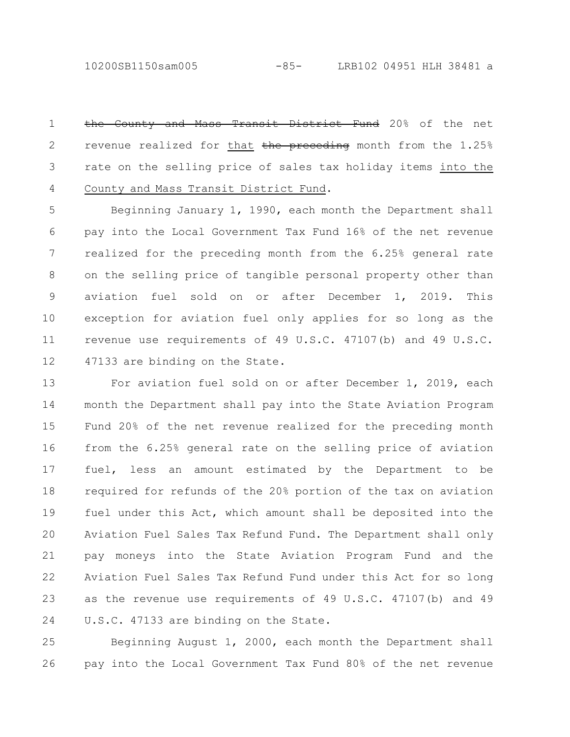10200SB1150sam005 -85- LRB102 04951 HLH 38481 a

the County and Mass Transit District Fund 20% of the net revenue realized for that  $t$ he preceding month from the  $1.25\%$ rate on the selling price of sales tax holiday items into the County and Mass Transit District Fund. 1 2 3 4

Beginning January 1, 1990, each month the Department shall pay into the Local Government Tax Fund 16% of the net revenue realized for the preceding month from the 6.25% general rate on the selling price of tangible personal property other than aviation fuel sold on or after December 1, 2019. This exception for aviation fuel only applies for so long as the revenue use requirements of 49 U.S.C. 47107(b) and 49 U.S.C. 47133 are binding on the State. 5 6 7 8 9 10 11 12

For aviation fuel sold on or after December 1, 2019, each month the Department shall pay into the State Aviation Program Fund 20% of the net revenue realized for the preceding month from the 6.25% general rate on the selling price of aviation fuel, less an amount estimated by the Department to be required for refunds of the 20% portion of the tax on aviation fuel under this Act, which amount shall be deposited into the Aviation Fuel Sales Tax Refund Fund. The Department shall only pay moneys into the State Aviation Program Fund and the Aviation Fuel Sales Tax Refund Fund under this Act for so long as the revenue use requirements of 49 U.S.C. 47107(b) and 49 U.S.C. 47133 are binding on the State. 13 14 15 16 17 18 19 20 21 22 23 24

Beginning August 1, 2000, each month the Department shall pay into the Local Government Tax Fund 80% of the net revenue 25 26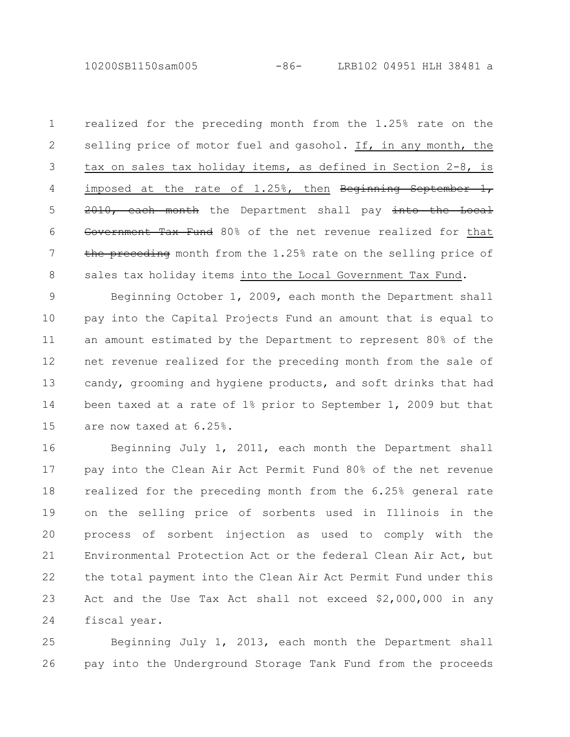10200SB1150sam005 -86- LRB102 04951 HLH 38481 a

realized for the preceding month from the 1.25% rate on the selling price of motor fuel and gasohol. If, in any month, the tax on sales tax holiday items, as defined in Section 2-8, is imposed at the rate of  $1.25\%$ , then Beginning September 1, 2010, each month the Department shall pay into the Local Government Tax Fund 80% of the net revenue realized for that the preceding month from the 1.25% rate on the selling price of sales tax holiday items into the Local Government Tax Fund. 1 2 3 4 5 6 7 8

Beginning October 1, 2009, each month the Department shall pay into the Capital Projects Fund an amount that is equal to an amount estimated by the Department to represent 80% of the net revenue realized for the preceding month from the sale of candy, grooming and hygiene products, and soft drinks that had been taxed at a rate of 1% prior to September 1, 2009 but that are now taxed at 6.25%. 9 10 11 12 13 14 15

Beginning July 1, 2011, each month the Department shall pay into the Clean Air Act Permit Fund 80% of the net revenue realized for the preceding month from the 6.25% general rate on the selling price of sorbents used in Illinois in the process of sorbent injection as used to comply with the Environmental Protection Act or the federal Clean Air Act, but the total payment into the Clean Air Act Permit Fund under this Act and the Use Tax Act shall not exceed \$2,000,000 in any fiscal year. 16 17 18 19 20 21 22 23 24

Beginning July 1, 2013, each month the Department shall pay into the Underground Storage Tank Fund from the proceeds 25 26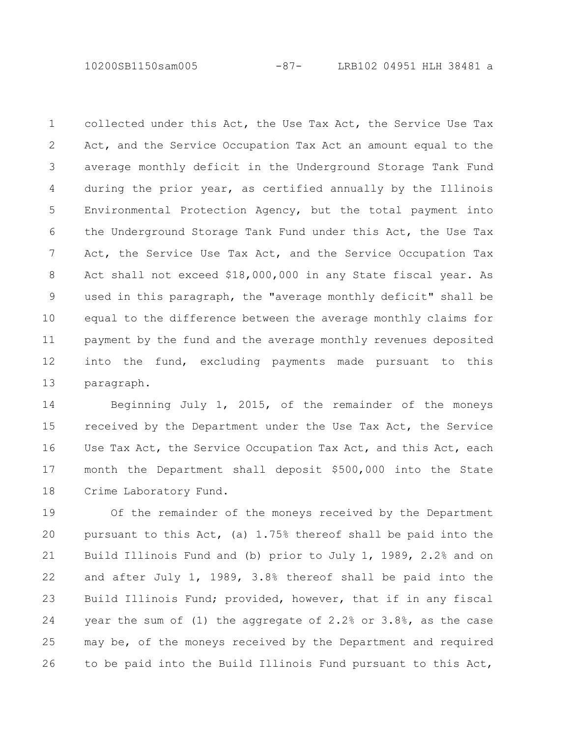10200SB1150sam005 -87- LRB102 04951 HLH 38481 a

collected under this Act, the Use Tax Act, the Service Use Tax Act, and the Service Occupation Tax Act an amount equal to the average monthly deficit in the Underground Storage Tank Fund during the prior year, as certified annually by the Illinois Environmental Protection Agency, but the total payment into the Underground Storage Tank Fund under this Act, the Use Tax Act, the Service Use Tax Act, and the Service Occupation Tax Act shall not exceed \$18,000,000 in any State fiscal year. As used in this paragraph, the "average monthly deficit" shall be equal to the difference between the average monthly claims for payment by the fund and the average monthly revenues deposited into the fund, excluding payments made pursuant to this paragraph. 1 2 3 4 5 6 7 8 9 10 11 12 13

Beginning July 1, 2015, of the remainder of the moneys received by the Department under the Use Tax Act, the Service Use Tax Act, the Service Occupation Tax Act, and this Act, each month the Department shall deposit \$500,000 into the State Crime Laboratory Fund. 14 15 16 17 18

Of the remainder of the moneys received by the Department pursuant to this Act, (a) 1.75% thereof shall be paid into the Build Illinois Fund and (b) prior to July 1, 1989, 2.2% and on and after July 1, 1989, 3.8% thereof shall be paid into the Build Illinois Fund; provided, however, that if in any fiscal year the sum of (1) the aggregate of 2.2% or 3.8%, as the case may be, of the moneys received by the Department and required to be paid into the Build Illinois Fund pursuant to this Act, 19 20 21 22 23 24 25 26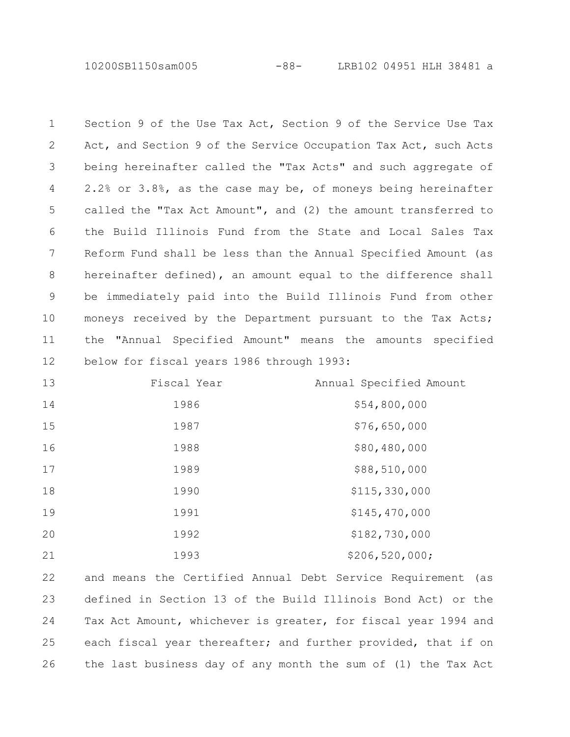10200SB1150sam005 -88- LRB102 04951 HLH 38481 a

Section 9 of the Use Tax Act, Section 9 of the Service Use Tax Act, and Section 9 of the Service Occupation Tax Act, such Acts being hereinafter called the "Tax Acts" and such aggregate of 2.2% or 3.8%, as the case may be, of moneys being hereinafter called the "Tax Act Amount", and (2) the amount transferred to the Build Illinois Fund from the State and Local Sales Tax Reform Fund shall be less than the Annual Specified Amount (as hereinafter defined), an amount equal to the difference shall be immediately paid into the Build Illinois Fund from other moneys received by the Department pursuant to the Tax Acts; the "Annual Specified Amount" means the amounts specified below for fiscal years 1986 through 1993: 

| 13 | Fiscal Year | Annual Specified Amount |
|----|-------------|-------------------------|
| 14 | 1986        | \$54,800,000            |
| 15 | 1987        | \$76,650,000            |
| 16 | 1988        | \$80,480,000            |
| 17 | 1989        | \$88,510,000            |
| 18 | 1990        | \$115,330,000           |
| 19 | 1991        | \$145,470,000           |
| 20 | 1992        | \$182,730,000           |
| 21 | 1993        | \$206, 520, 000;        |

and means the Certified Annual Debt Service Requirement (as defined in Section 13 of the Build Illinois Bond Act) or the Tax Act Amount, whichever is greater, for fiscal year 1994 and each fiscal year thereafter; and further provided, that if on the last business day of any month the sum of (1) the Tax Act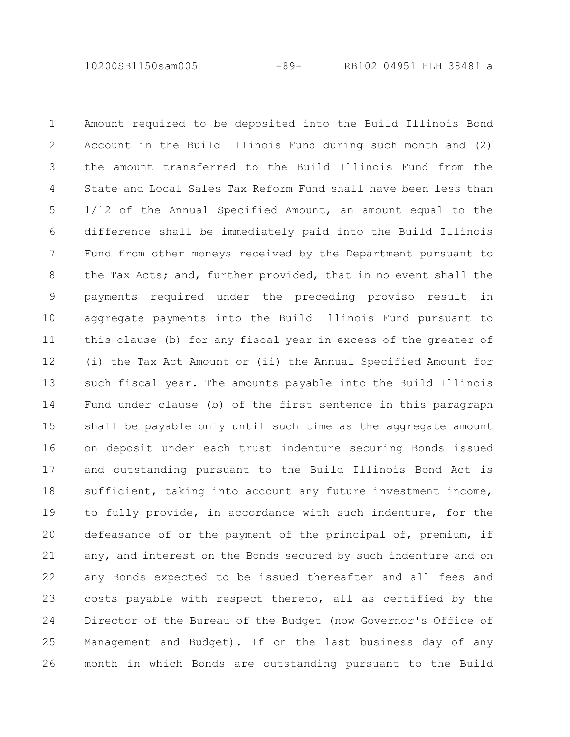10200SB1150sam005 -89- LRB102 04951 HLH 38481 a

Amount required to be deposited into the Build Illinois Bond Account in the Build Illinois Fund during such month and (2) the amount transferred to the Build Illinois Fund from the State and Local Sales Tax Reform Fund shall have been less than 1/12 of the Annual Specified Amount, an amount equal to the difference shall be immediately paid into the Build Illinois Fund from other moneys received by the Department pursuant to the Tax Acts; and, further provided, that in no event shall the payments required under the preceding proviso result in aggregate payments into the Build Illinois Fund pursuant to this clause (b) for any fiscal year in excess of the greater of (i) the Tax Act Amount or (ii) the Annual Specified Amount for such fiscal year. The amounts payable into the Build Illinois Fund under clause (b) of the first sentence in this paragraph shall be payable only until such time as the aggregate amount on deposit under each trust indenture securing Bonds issued and outstanding pursuant to the Build Illinois Bond Act is sufficient, taking into account any future investment income, to fully provide, in accordance with such indenture, for the defeasance of or the payment of the principal of, premium, if any, and interest on the Bonds secured by such indenture and on any Bonds expected to be issued thereafter and all fees and costs payable with respect thereto, all as certified by the Director of the Bureau of the Budget (now Governor's Office of Management and Budget). If on the last business day of any month in which Bonds are outstanding pursuant to the Build 1 2 3 4 5 6 7 8 9 10 11 12 13 14 15 16 17 18 19 20 21 22 23 24 25 26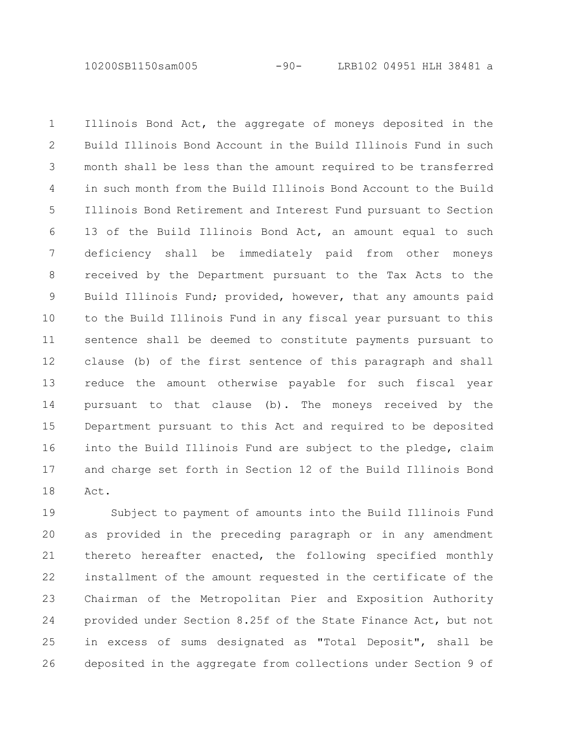10200SB1150sam005 -90- LRB102 04951 HLH 38481 a

Illinois Bond Act, the aggregate of moneys deposited in the Build Illinois Bond Account in the Build Illinois Fund in such month shall be less than the amount required to be transferred in such month from the Build Illinois Bond Account to the Build Illinois Bond Retirement and Interest Fund pursuant to Section 13 of the Build Illinois Bond Act, an amount equal to such deficiency shall be immediately paid from other moneys received by the Department pursuant to the Tax Acts to the Build Illinois Fund; provided, however, that any amounts paid to the Build Illinois Fund in any fiscal year pursuant to this sentence shall be deemed to constitute payments pursuant to clause (b) of the first sentence of this paragraph and shall reduce the amount otherwise payable for such fiscal year pursuant to that clause (b). The moneys received by the Department pursuant to this Act and required to be deposited into the Build Illinois Fund are subject to the pledge, claim and charge set forth in Section 12 of the Build Illinois Bond Act. 1 2 3 4 5 6 7 8 9 10 11 12 13 14 15 16 17 18

Subject to payment of amounts into the Build Illinois Fund as provided in the preceding paragraph or in any amendment thereto hereafter enacted, the following specified monthly installment of the amount requested in the certificate of the Chairman of the Metropolitan Pier and Exposition Authority provided under Section 8.25f of the State Finance Act, but not in excess of sums designated as "Total Deposit", shall be deposited in the aggregate from collections under Section 9 of 19 20 21 22 23 24 25 26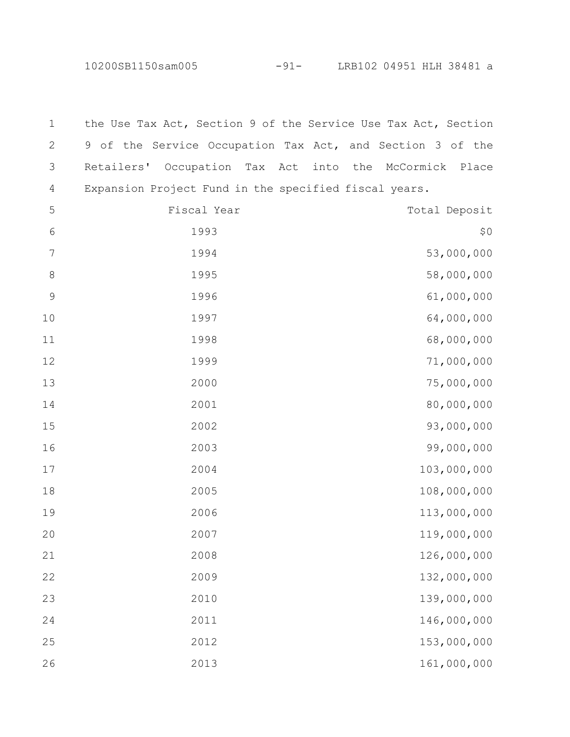10200SB1150sam005 -91- LRB102 04951 HLH 38481 a

the Use Tax Act, Section 9 of the Service Use Tax Act, Section of the Service Occupation Tax Act, and Section 3 of the Retailers' Occupation Tax Act into the McCormick Place Expansion Project Fund in the specified fiscal years. Fiscal Year Total Deposit \$0 53,000,000 1995 58,000,000 61,000,000 1997 64,000,000 68,000,000 71,000,000 75,000,000 80,000,000 93,000,000 99,000,000 103,000,000 108,000,000 113,000,000 119,000,000 126,000,000 132,000,000 139,000,000 146,000,000 153,000,000 161,000,000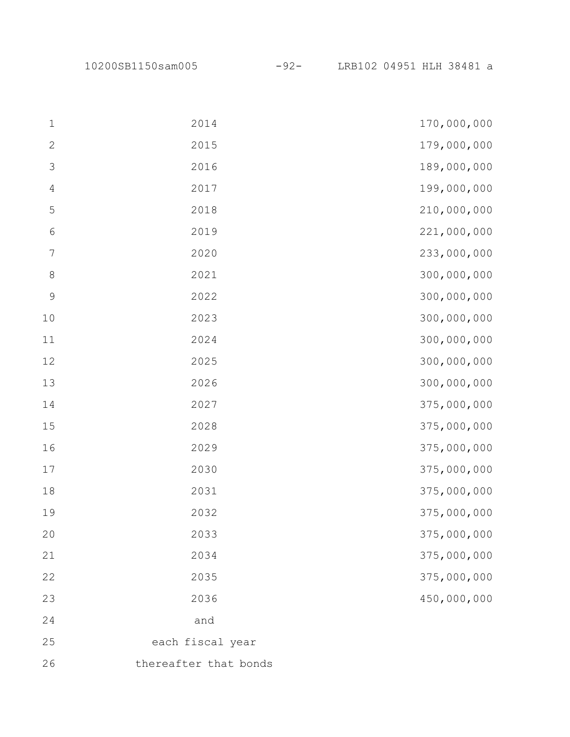10200SB1150sam005 -92- LRB102 04951 HLH 38481 a

| $\mathbf 1$    | 2014                  | 170,000,000 |
|----------------|-----------------------|-------------|
| $\mathbf{2}$   | 2015                  | 179,000,000 |
| $\mathfrak{Z}$ | 2016                  | 189,000,000 |
| $\sqrt{4}$     | 2017                  | 199,000,000 |
| $\mathsf S$    | 2018                  | 210,000,000 |
| $\sqrt{6}$     | 2019                  | 221,000,000 |
| $\sqrt{ }$     | 2020                  | 233,000,000 |
| $\,8\,$        | 2021                  | 300,000,000 |
| $\mathsf 9$    | 2022                  | 300,000,000 |
| $10$           | 2023                  | 300,000,000 |
| $11\,$         | 2024                  | 300,000,000 |
| 12             | 2025                  | 300,000,000 |
| 13             | 2026                  | 300,000,000 |
| 14             | 2027                  | 375,000,000 |
| 15             | 2028                  | 375,000,000 |
| 16             | 2029                  | 375,000,000 |
| 17             | 2030                  | 375,000,000 |
| 18             | 2031                  | 375,000,000 |
| 19             | 2032                  | 375,000,000 |
| 20             | 2033                  | 375,000,000 |
| 21             | 2034                  | 375,000,000 |
| 22             | 2035                  | 375,000,000 |
| 23             | 2036                  | 450,000,000 |
| 24             | and                   |             |
| 25             | each fiscal year      |             |
| 26             | thereafter that bonds |             |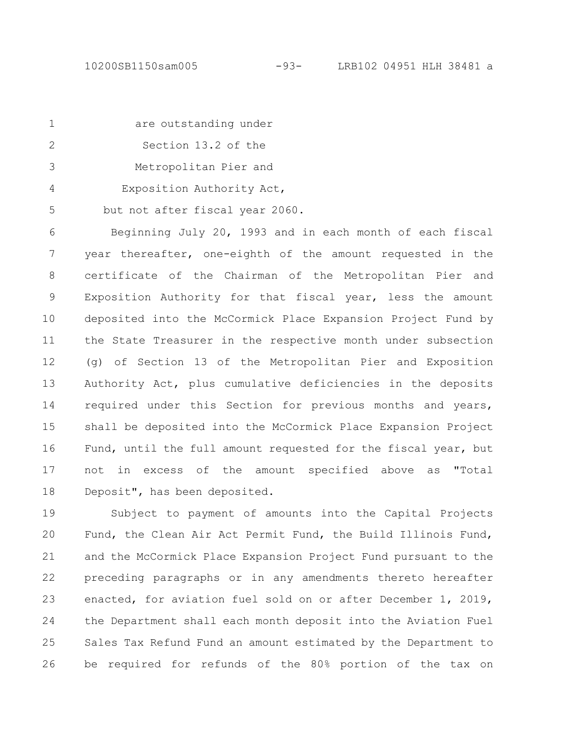| $\overline{1}$ | are outstanding under                                      |
|----------------|------------------------------------------------------------|
| 2              | Section 13.2 of the                                        |
| $\mathcal{S}$  | Metropolitan Pier and                                      |
| $\overline{4}$ | Exposition Authority Act,                                  |
| 5              | but not after fiscal year 2060.                            |
| 6              | Beginning July 20, 1993 and in each month of each fiscal   |
| 7              | year thereafter, one-eighth of the amount requested in the |
| 8              | certificate of the Chairman of the Metropolitan Pier and   |
| 9              | Exposition Authority for that fiscal year, less the amount |

deposited into the McCormick Place Expansion Project Fund by the State Treasurer in the respective month under subsection (g) of Section 13 of the Metropolitan Pier and Exposition Authority Act, plus cumulative deficiencies in the deposits required under this Section for previous months and years, shall be deposited into the McCormick Place Expansion Project Fund, until the full amount requested for the fiscal year, but not in excess of the amount specified above as "Total Deposit", has been deposited. 10 11 12 13 14 15 16 17 18

Subject to payment of amounts into the Capital Projects Fund, the Clean Air Act Permit Fund, the Build Illinois Fund, and the McCormick Place Expansion Project Fund pursuant to the preceding paragraphs or in any amendments thereto hereafter enacted, for aviation fuel sold on or after December 1, 2019, the Department shall each month deposit into the Aviation Fuel Sales Tax Refund Fund an amount estimated by the Department to be required for refunds of the 80% portion of the tax on 19 20 21 22 23 24 25 26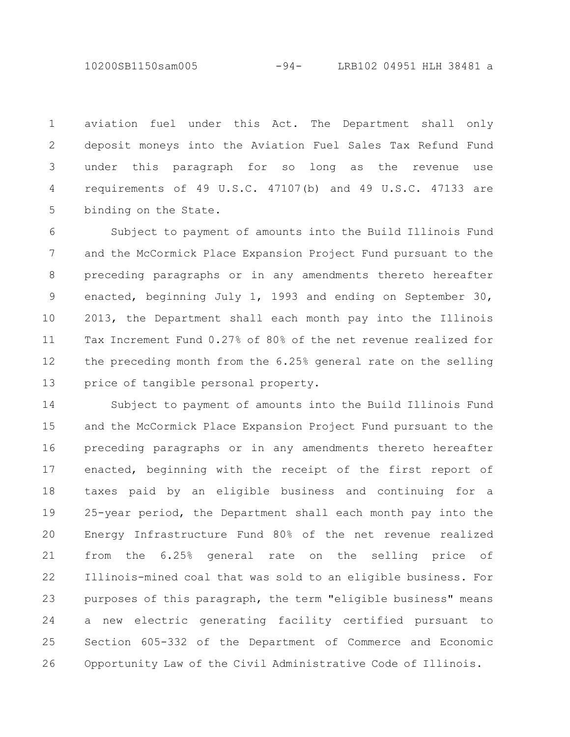10200SB1150sam005 -94- LRB102 04951 HLH 38481 a

aviation fuel under this Act. The Department shall only deposit moneys into the Aviation Fuel Sales Tax Refund Fund under this paragraph for so long as the revenue use requirements of 49 U.S.C. 47107(b) and 49 U.S.C. 47133 are binding on the State. 1 2 3 4 5

Subject to payment of amounts into the Build Illinois Fund and the McCormick Place Expansion Project Fund pursuant to the preceding paragraphs or in any amendments thereto hereafter enacted, beginning July 1, 1993 and ending on September 30, 2013, the Department shall each month pay into the Illinois Tax Increment Fund 0.27% of 80% of the net revenue realized for the preceding month from the 6.25% general rate on the selling price of tangible personal property. 6 7 8 9 10 11 12 13

Subject to payment of amounts into the Build Illinois Fund and the McCormick Place Expansion Project Fund pursuant to the preceding paragraphs or in any amendments thereto hereafter enacted, beginning with the receipt of the first report of taxes paid by an eligible business and continuing for a 25-year period, the Department shall each month pay into the Energy Infrastructure Fund 80% of the net revenue realized from the 6.25% general rate on the selling price of Illinois-mined coal that was sold to an eligible business. For purposes of this paragraph, the term "eligible business" means a new electric generating facility certified pursuant to Section 605-332 of the Department of Commerce and Economic Opportunity Law of the Civil Administrative Code of Illinois. 14 15 16 17 18 19 20 21 22 23 24 25 26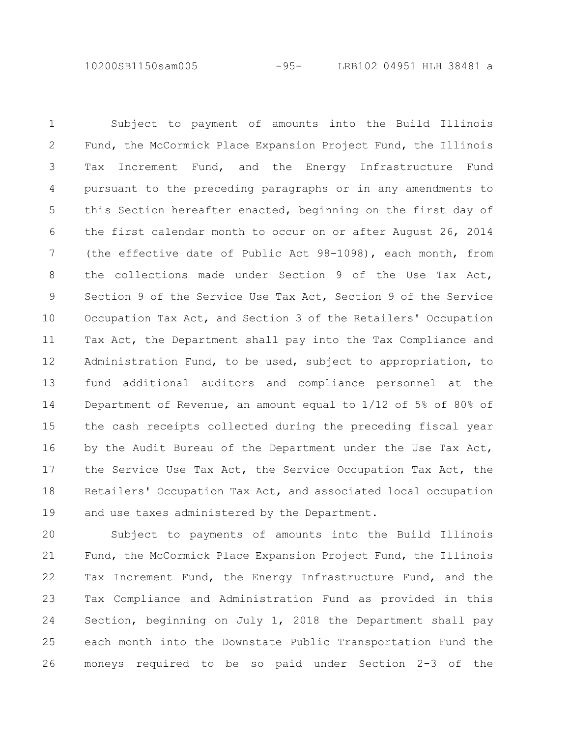10200SB1150sam005 -95- LRB102 04951 HLH 38481 a

Subject to payment of amounts into the Build Illinois Fund, the McCormick Place Expansion Project Fund, the Illinois Tax Increment Fund, and the Energy Infrastructure Fund pursuant to the preceding paragraphs or in any amendments to this Section hereafter enacted, beginning on the first day of the first calendar month to occur on or after August 26, 2014 (the effective date of Public Act 98-1098), each month, from the collections made under Section 9 of the Use Tax Act, Section 9 of the Service Use Tax Act, Section 9 of the Service Occupation Tax Act, and Section 3 of the Retailers' Occupation Tax Act, the Department shall pay into the Tax Compliance and Administration Fund, to be used, subject to appropriation, to fund additional auditors and compliance personnel at the Department of Revenue, an amount equal to 1/12 of 5% of 80% of the cash receipts collected during the preceding fiscal year by the Audit Bureau of the Department under the Use Tax Act, the Service Use Tax Act, the Service Occupation Tax Act, the Retailers' Occupation Tax Act, and associated local occupation and use taxes administered by the Department. 1 2 3 4 5 6 7 8 9 10 11 12 13 14 15 16 17 18 19

Subject to payments of amounts into the Build Illinois Fund, the McCormick Place Expansion Project Fund, the Illinois Tax Increment Fund, the Energy Infrastructure Fund, and the Tax Compliance and Administration Fund as provided in this Section, beginning on July 1, 2018 the Department shall pay each month into the Downstate Public Transportation Fund the moneys required to be so paid under Section 2-3 of the 20 21 22 23 24 25 26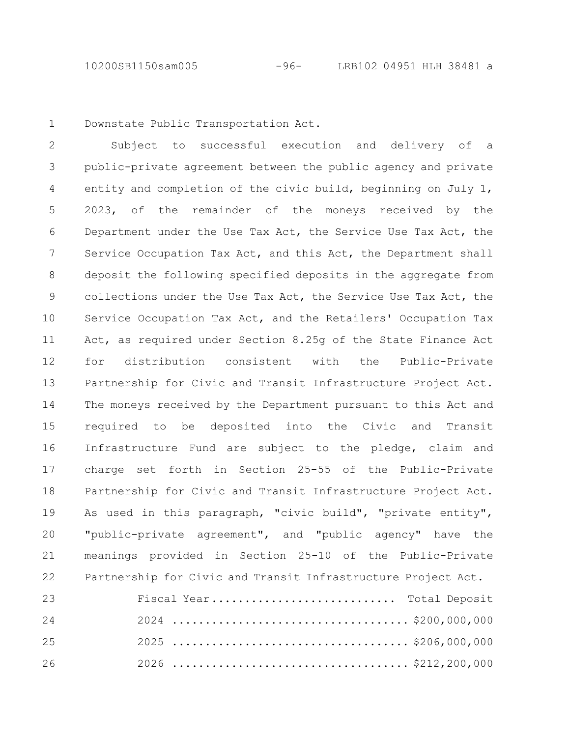Downstate Public Transportation Act. 1

Subject to successful execution and delivery of a public-private agreement between the public agency and private entity and completion of the civic build, beginning on July 1, 2023, of the remainder of the moneys received by the Department under the Use Tax Act, the Service Use Tax Act, the Service Occupation Tax Act, and this Act, the Department shall deposit the following specified deposits in the aggregate from collections under the Use Tax Act, the Service Use Tax Act, the Service Occupation Tax Act, and the Retailers' Occupation Tax Act, as required under Section 8.25g of the State Finance Act for distribution consistent with the Public-Private Partnership for Civic and Transit Infrastructure Project Act. The moneys received by the Department pursuant to this Act and required to be deposited into the Civic and Transit Infrastructure Fund are subject to the pledge, claim and charge set forth in Section 25-55 of the Public-Private Partnership for Civic and Transit Infrastructure Project Act. As used in this paragraph, "civic build", "private entity", "public-private agreement", and "public agency" have the meanings provided in Section 25-10 of the Public-Private Partnership for Civic and Transit Infrastructure Project Act. 2 3 4 5 6 7 8 9 10 11 12 13 14 15 16 17 18 19 20 21 22

| 23 | Fiscal Year Total Deposit |
|----|---------------------------|
| 24 |                           |
| 25 |                           |
| 26 |                           |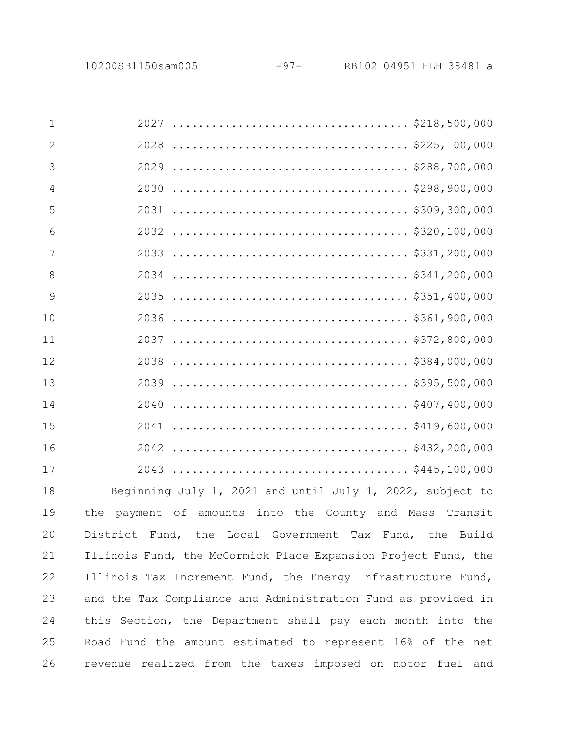| $\mathbf{1}$   |                                                                                                                     |
|----------------|---------------------------------------------------------------------------------------------------------------------|
| 2              |                                                                                                                     |
| 3              |                                                                                                                     |
| $\overline{4}$ |                                                                                                                     |
| 5              |                                                                                                                     |
| 6              |                                                                                                                     |
| $\overline{7}$ | 2033                                                                                                                |
| 8              |                                                                                                                     |
| 9              | 2035                                                                                                                |
| 10             |                                                                                                                     |
| 11             |                                                                                                                     |
| 12             |                                                                                                                     |
| 13             | $\ldots \ldots \ldots \ldots \ldots \ldots \ldots \ldots \ldots \ldots \ldots \ldots \approx 395, 500, 000$<br>2039 |
| 14             | 2040                                                                                                                |
| 15             |                                                                                                                     |
| 16             |                                                                                                                     |
| 17             |                                                                                                                     |
| 18             | Beginning July 1, 2021 and until July 1, 2022, subject to                                                           |
| 19             | payment of amounts into the County and Mass Transit<br>the                                                          |
| 20             | District Fund, the Local Government Tax Fund, the Build                                                             |
| 21             | Illinois Fund, the McCormick Place Expansion Project Fund, the                                                      |
| 22             | Illinois Tax Increment Fund, the Energy Infrastructure Fund,                                                        |
| 23             | and the Tax Compliance and Administration Fund as provided in                                                       |
| 24             | this Section, the Department shall pay each month into the                                                          |
| 25             | Road Fund the amount estimated to represent 16% of the net                                                          |
| 26             | revenue realized from the taxes imposed on motor fuel and                                                           |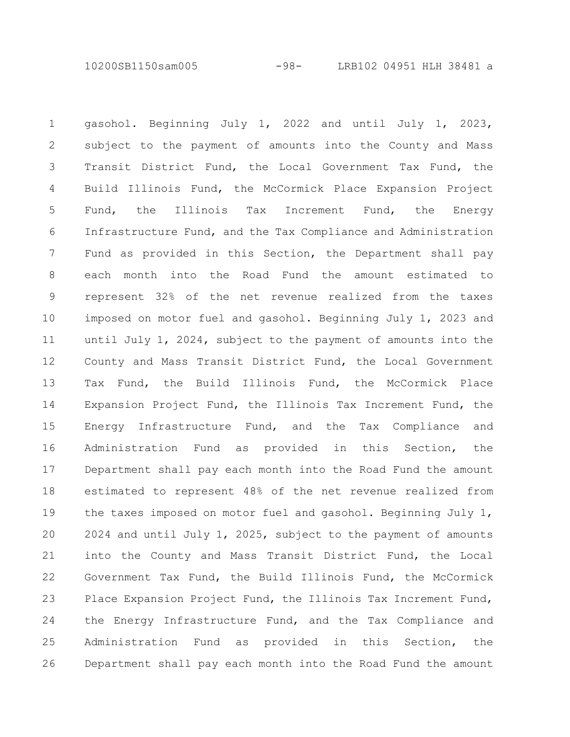10200SB1150sam005 -98- LRB102 04951 HLH 38481 a

gasohol. Beginning July 1, 2022 and until July 1, 2023, subject to the payment of amounts into the County and Mass Transit District Fund, the Local Government Tax Fund, the Build Illinois Fund, the McCormick Place Expansion Project Fund, the Illinois Tax Increment Fund, the Energy Infrastructure Fund, and the Tax Compliance and Administration Fund as provided in this Section, the Department shall pay each month into the Road Fund the amount estimated to represent 32% of the net revenue realized from the taxes imposed on motor fuel and gasohol. Beginning July 1, 2023 and until July 1, 2024, subject to the payment of amounts into the County and Mass Transit District Fund, the Local Government Tax Fund, the Build Illinois Fund, the McCormick Place Expansion Project Fund, the Illinois Tax Increment Fund, the Energy Infrastructure Fund, and the Tax Compliance and Administration Fund as provided in this Section, the Department shall pay each month into the Road Fund the amount estimated to represent 48% of the net revenue realized from the taxes imposed on motor fuel and gasohol. Beginning July 1, 2024 and until July 1, 2025, subject to the payment of amounts into the County and Mass Transit District Fund, the Local Government Tax Fund, the Build Illinois Fund, the McCormick Place Expansion Project Fund, the Illinois Tax Increment Fund, the Energy Infrastructure Fund, and the Tax Compliance and Administration Fund as provided in this Section, the Department shall pay each month into the Road Fund the amount 1 2 3 4 5 6 7 8 9 10 11 12 13 14 15 16 17 18 19 20 21 22 23 24 25 26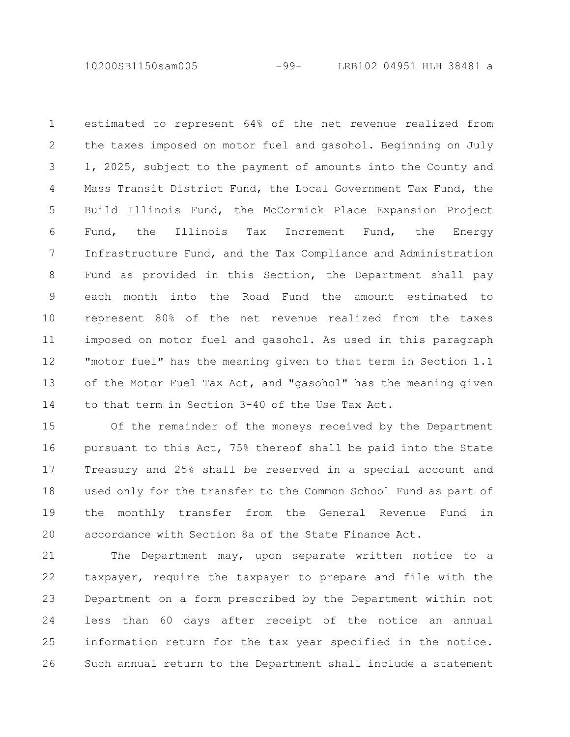10200SB1150sam005 -99- LRB102 04951 HLH 38481 a

estimated to represent 64% of the net revenue realized from the taxes imposed on motor fuel and gasohol. Beginning on July 1, 2025, subject to the payment of amounts into the County and Mass Transit District Fund, the Local Government Tax Fund, the Build Illinois Fund, the McCormick Place Expansion Project Fund, the Illinois Tax Increment Fund, the Energy Infrastructure Fund, and the Tax Compliance and Administration Fund as provided in this Section, the Department shall pay each month into the Road Fund the amount estimated to represent 80% of the net revenue realized from the taxes imposed on motor fuel and gasohol. As used in this paragraph "motor fuel" has the meaning given to that term in Section 1.1 of the Motor Fuel Tax Act, and "gasohol" has the meaning given to that term in Section 3-40 of the Use Tax Act. 1 2 3 4 5 6 7 8 9 10 11 12 13 14

Of the remainder of the moneys received by the Department pursuant to this Act, 75% thereof shall be paid into the State Treasury and 25% shall be reserved in a special account and used only for the transfer to the Common School Fund as part of the monthly transfer from the General Revenue Fund in accordance with Section 8a of the State Finance Act. 15 16 17 18 19 20

The Department may, upon separate written notice to a taxpayer, require the taxpayer to prepare and file with the Department on a form prescribed by the Department within not less than 60 days after receipt of the notice an annual information return for the tax year specified in the notice. Such annual return to the Department shall include a statement 21 22 23 24 25 26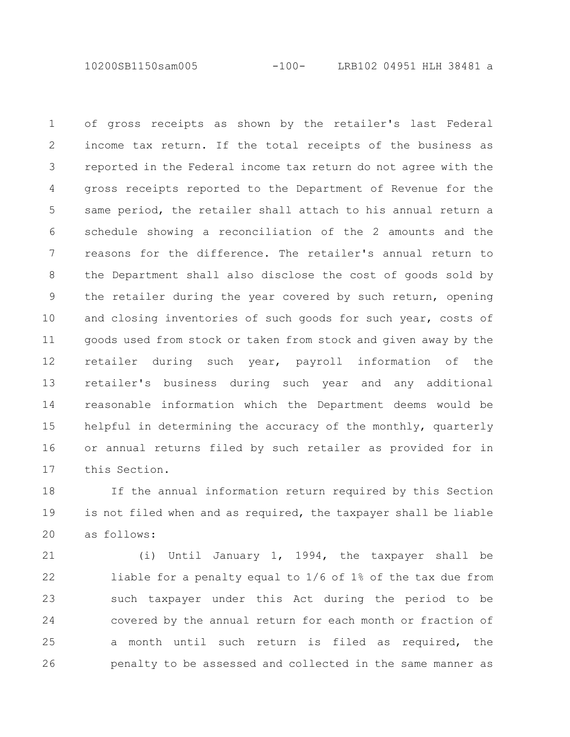10200SB1150sam005 -100- LRB102 04951 HLH 38481 a

of gross receipts as shown by the retailer's last Federal income tax return. If the total receipts of the business as reported in the Federal income tax return do not agree with the gross receipts reported to the Department of Revenue for the same period, the retailer shall attach to his annual return a schedule showing a reconciliation of the 2 amounts and the reasons for the difference. The retailer's annual return to the Department shall also disclose the cost of goods sold by the retailer during the year covered by such return, opening and closing inventories of such goods for such year, costs of goods used from stock or taken from stock and given away by the retailer during such year, payroll information of the retailer's business during such year and any additional reasonable information which the Department deems would be helpful in determining the accuracy of the monthly, quarterly or annual returns filed by such retailer as provided for in this Section. 1 2 3 4 5 6 7 8 9 10 11 12 13 14 15 16 17

If the annual information return required by this Section is not filed when and as required, the taxpayer shall be liable as follows: 18 19 20

(i) Until January 1, 1994, the taxpayer shall be liable for a penalty equal to 1/6 of 1% of the tax due from such taxpayer under this Act during the period to be covered by the annual return for each month or fraction of a month until such return is filed as required, the penalty to be assessed and collected in the same manner as 21 22 23 24 25 26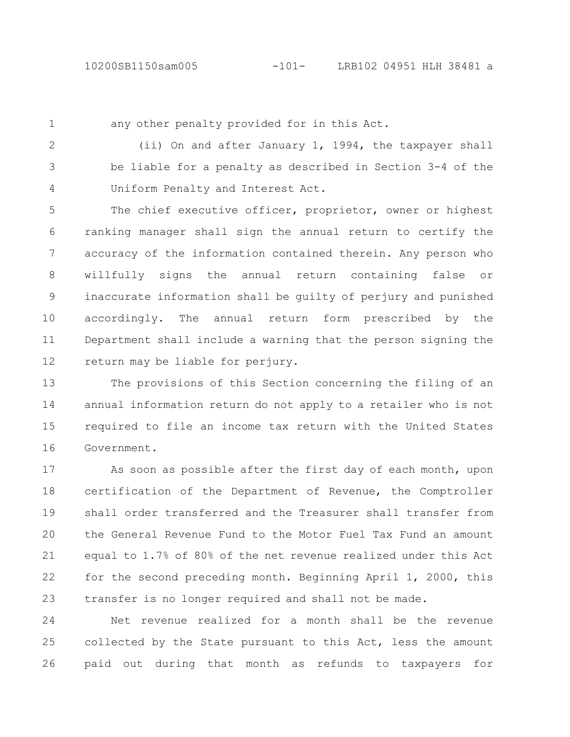1

any other penalty provided for in this Act.

(ii) On and after January 1, 1994, the taxpayer shall be liable for a penalty as described in Section 3-4 of the Uniform Penalty and Interest Act. 2 3 4

The chief executive officer, proprietor, owner or highest ranking manager shall sign the annual return to certify the accuracy of the information contained therein. Any person who willfully signs the annual return containing false or inaccurate information shall be guilty of perjury and punished accordingly. The annual return form prescribed by the Department shall include a warning that the person signing the return may be liable for perjury. 5 6 7 8 9 10 11 12

The provisions of this Section concerning the filing of an annual information return do not apply to a retailer who is not required to file an income tax return with the United States Government. 13 14 15 16

As soon as possible after the first day of each month, upon certification of the Department of Revenue, the Comptroller shall order transferred and the Treasurer shall transfer from the General Revenue Fund to the Motor Fuel Tax Fund an amount equal to 1.7% of 80% of the net revenue realized under this Act for the second preceding month. Beginning April 1, 2000, this transfer is no longer required and shall not be made. 17 18 19 20 21 22 23

Net revenue realized for a month shall be the revenue collected by the State pursuant to this Act, less the amount paid out during that month as refunds to taxpayers for 24 25 26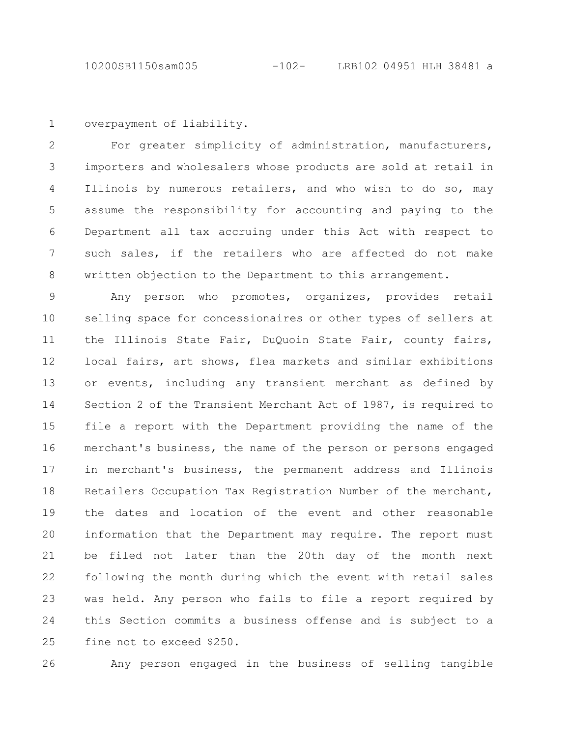```
overpayment of liability.
1
```
For greater simplicity of administration, manufacturers, importers and wholesalers whose products are sold at retail in Illinois by numerous retailers, and who wish to do so, may assume the responsibility for accounting and paying to the Department all tax accruing under this Act with respect to such sales, if the retailers who are affected do not make written objection to the Department to this arrangement. 2 3 4 5 6 7 8

Any person who promotes, organizes, provides retail selling space for concessionaires or other types of sellers at the Illinois State Fair, DuQuoin State Fair, county fairs, local fairs, art shows, flea markets and similar exhibitions or events, including any transient merchant as defined by Section 2 of the Transient Merchant Act of 1987, is required to file a report with the Department providing the name of the merchant's business, the name of the person or persons engaged in merchant's business, the permanent address and Illinois Retailers Occupation Tax Registration Number of the merchant, the dates and location of the event and other reasonable information that the Department may require. The report must be filed not later than the 20th day of the month next following the month during which the event with retail sales was held. Any person who fails to file a report required by this Section commits a business offense and is subject to a fine not to exceed \$250. 9 10 11 12 13 14 15 16 17 18 19 20 21 22 23 24 25

26

Any person engaged in the business of selling tangible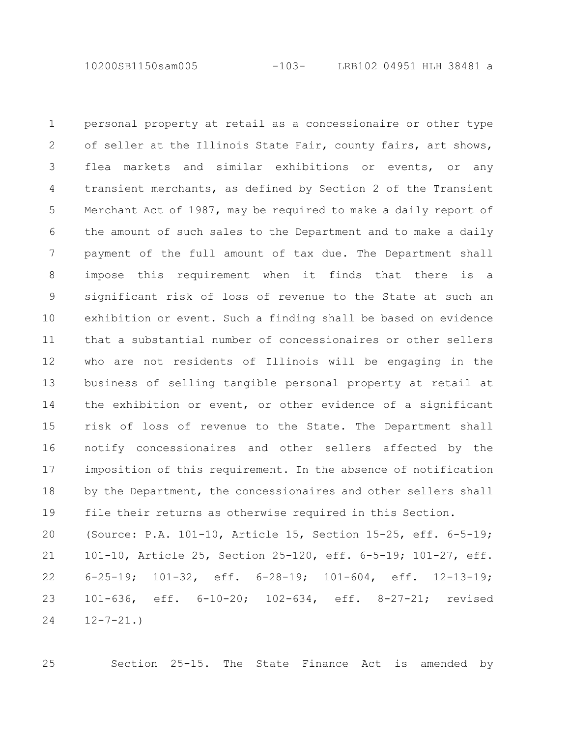10200SB1150sam005 -103- LRB102 04951 HLH 38481 a

personal property at retail as a concessionaire or other type of seller at the Illinois State Fair, county fairs, art shows, flea markets and similar exhibitions or events, or any transient merchants, as defined by Section 2 of the Transient Merchant Act of 1987, may be required to make a daily report of the amount of such sales to the Department and to make a daily payment of the full amount of tax due. The Department shall impose this requirement when it finds that there is a significant risk of loss of revenue to the State at such an exhibition or event. Such a finding shall be based on evidence that a substantial number of concessionaires or other sellers who are not residents of Illinois will be engaging in the business of selling tangible personal property at retail at the exhibition or event, or other evidence of a significant risk of loss of revenue to the State. The Department shall notify concessionaires and other sellers affected by the imposition of this requirement. In the absence of notification by the Department, the concessionaires and other sellers shall file their returns as otherwise required in this Section. (Source: P.A. 101-10, Article 15, Section 15-25, eff. 6-5-19; 101-10, Article 25, Section 25-120, eff. 6-5-19; 101-27, eff. 6-25-19; 101-32, eff. 6-28-19; 101-604, eff. 12-13-19; 101-636, eff. 6-10-20; 102-634, eff. 8-27-21; revised 1 2 3 4 5 6 7 8 9 10 11 12 13 14 15 16 17 18 19 20 21 22 23

 $12 - 7 - 21.$ 24

25

Section 25-15. The State Finance Act is amended by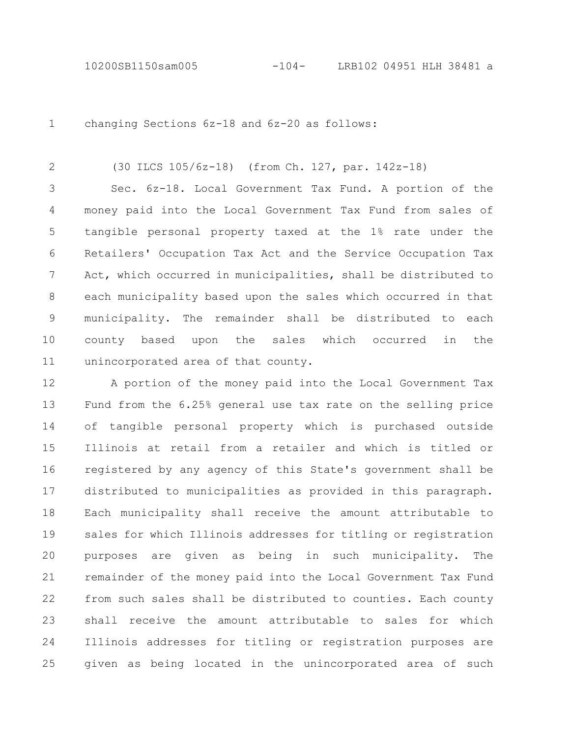changing Sections 6z-18 and 6z-20 as follows: 1

(30 ILCS 105/6z-18) (from Ch. 127, par. 142z-18) 2

Sec. 6z-18. Local Government Tax Fund. A portion of the money paid into the Local Government Tax Fund from sales of tangible personal property taxed at the 1% rate under the Retailers' Occupation Tax Act and the Service Occupation Tax Act, which occurred in municipalities, shall be distributed to each municipality based upon the sales which occurred in that municipality. The remainder shall be distributed to each county based upon the sales which occurred in the unincorporated area of that county. 3 4 5 6 7 8 9 10 11

A portion of the money paid into the Local Government Tax Fund from the 6.25% general use tax rate on the selling price of tangible personal property which is purchased outside Illinois at retail from a retailer and which is titled or registered by any agency of this State's government shall be distributed to municipalities as provided in this paragraph. Each municipality shall receive the amount attributable to sales for which Illinois addresses for titling or registration purposes are given as being in such municipality. The remainder of the money paid into the Local Government Tax Fund from such sales shall be distributed to counties. Each county shall receive the amount attributable to sales for which Illinois addresses for titling or registration purposes are given as being located in the unincorporated area of such 12 13 14 15 16 17 18 19 20 21 22 23 24 25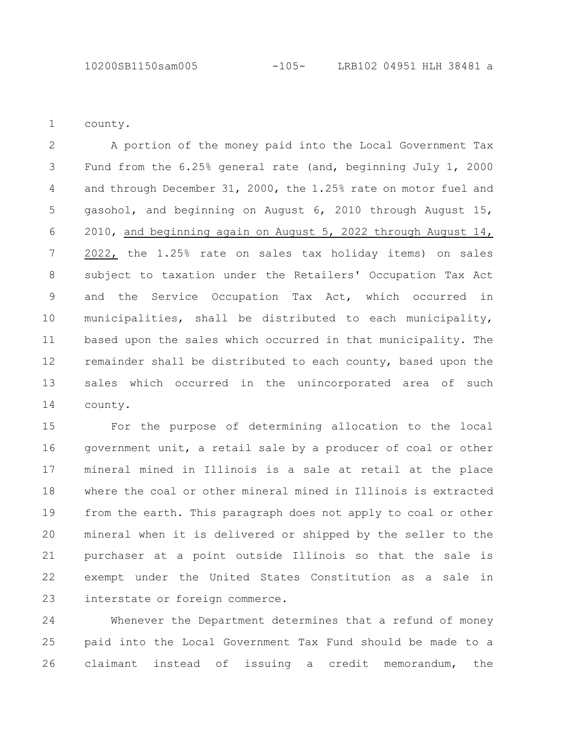county. 1

A portion of the money paid into the Local Government Tax Fund from the 6.25% general rate (and, beginning July 1, 2000 and through December 31, 2000, the 1.25% rate on motor fuel and gasohol, and beginning on August 6, 2010 through August 15, 2010, and beginning again on August 5, 2022 through August 14, 2022, the 1.25% rate on sales tax holiday items) on sales subject to taxation under the Retailers' Occupation Tax Act and the Service Occupation Tax Act, which occurred in municipalities, shall be distributed to each municipality, based upon the sales which occurred in that municipality. The remainder shall be distributed to each county, based upon the sales which occurred in the unincorporated area of such county. 2 3 4 5 6 7 8 9 10 11 12 13 14

For the purpose of determining allocation to the local government unit, a retail sale by a producer of coal or other mineral mined in Illinois is a sale at retail at the place where the coal or other mineral mined in Illinois is extracted from the earth. This paragraph does not apply to coal or other mineral when it is delivered or shipped by the seller to the purchaser at a point outside Illinois so that the sale is exempt under the United States Constitution as a sale in interstate or foreign commerce. 15 16 17 18 19 20 21 22 23

Whenever the Department determines that a refund of money paid into the Local Government Tax Fund should be made to a claimant instead of issuing a credit memorandum, the 24 25 26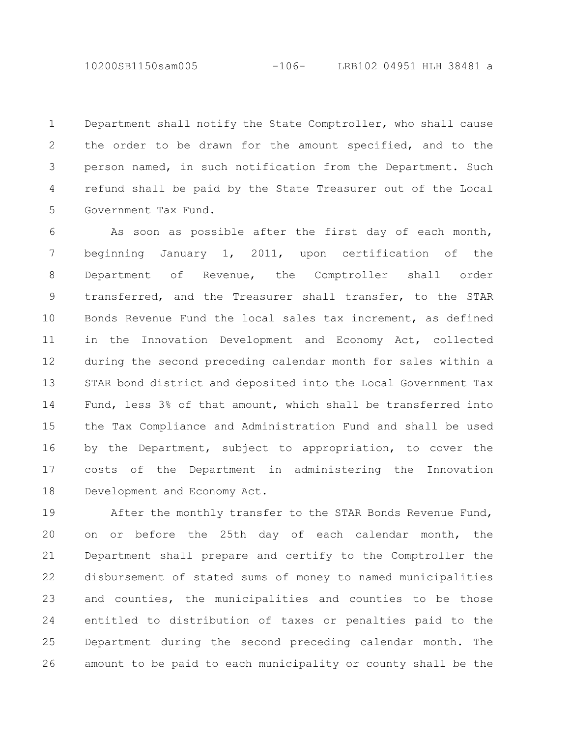10200SB1150sam005 -106- LRB102 04951 HLH 38481 a

Department shall notify the State Comptroller, who shall cause the order to be drawn for the amount specified, and to the person named, in such notification from the Department. Such refund shall be paid by the State Treasurer out of the Local Government Tax Fund. 1 2 3 4 5

As soon as possible after the first day of each month, beginning January 1, 2011, upon certification of the Department of Revenue, the Comptroller shall order transferred, and the Treasurer shall transfer, to the STAR Bonds Revenue Fund the local sales tax increment, as defined in the Innovation Development and Economy Act, collected during the second preceding calendar month for sales within a STAR bond district and deposited into the Local Government Tax Fund, less 3% of that amount, which shall be transferred into the Tax Compliance and Administration Fund and shall be used by the Department, subject to appropriation, to cover the costs of the Department in administering the Innovation Development and Economy Act. 6 7 8 9 10 11 12 13 14 15 16 17 18

After the monthly transfer to the STAR Bonds Revenue Fund, on or before the 25th day of each calendar month, the Department shall prepare and certify to the Comptroller the disbursement of stated sums of money to named municipalities and counties, the municipalities and counties to be those entitled to distribution of taxes or penalties paid to the Department during the second preceding calendar month. The amount to be paid to each municipality or county shall be the 19 20 21 22 23 24 25 26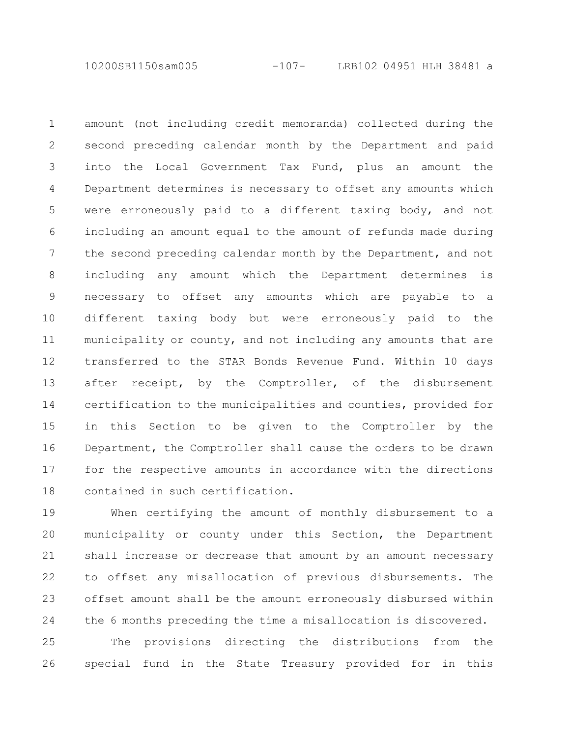10200SB1150sam005 -107- LRB102 04951 HLH 38481 a

amount (not including credit memoranda) collected during the second preceding calendar month by the Department and paid into the Local Government Tax Fund, plus an amount the Department determines is necessary to offset any amounts which were erroneously paid to a different taxing body, and not including an amount equal to the amount of refunds made during the second preceding calendar month by the Department, and not including any amount which the Department determines is necessary to offset any amounts which are payable to a different taxing body but were erroneously paid to the municipality or county, and not including any amounts that are transferred to the STAR Bonds Revenue Fund. Within 10 days after receipt, by the Comptroller, of the disbursement certification to the municipalities and counties, provided for in this Section to be given to the Comptroller by the Department, the Comptroller shall cause the orders to be drawn for the respective amounts in accordance with the directions contained in such certification. 1 2 3 4 5 6 7 8 9 10 11 12 13 14 15 16 17 18

When certifying the amount of monthly disbursement to a municipality or county under this Section, the Department shall increase or decrease that amount by an amount necessary to offset any misallocation of previous disbursements. The offset amount shall be the amount erroneously disbursed within the 6 months preceding the time a misallocation is discovered. 19 20 21 22 23 24

The provisions directing the distributions from the special fund in the State Treasury provided for in this 25 26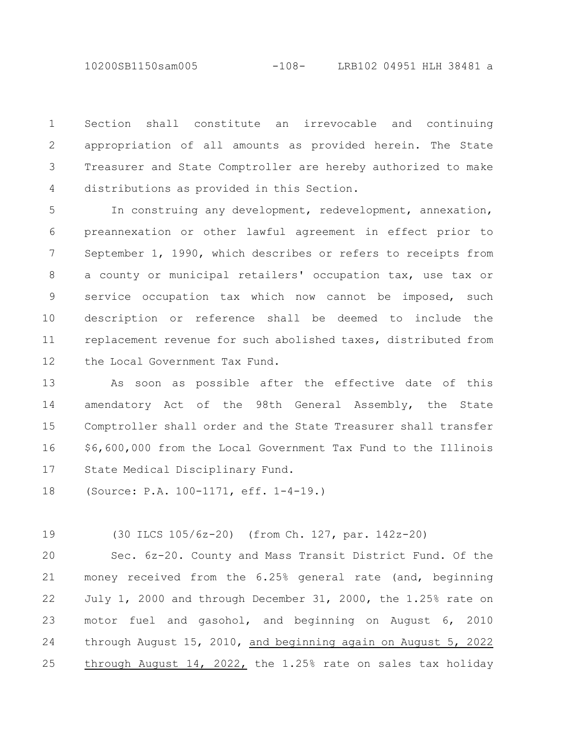10200SB1150sam005 -108- LRB102 04951 HLH 38481 a

Section shall constitute an irrevocable and continuing appropriation of all amounts as provided herein. The State Treasurer and State Comptroller are hereby authorized to make distributions as provided in this Section. 1 2 3 4

In construing any development, redevelopment, annexation, preannexation or other lawful agreement in effect prior to September 1, 1990, which describes or refers to receipts from a county or municipal retailers' occupation tax, use tax or service occupation tax which now cannot be imposed, such description or reference shall be deemed to include the replacement revenue for such abolished taxes, distributed from the Local Government Tax Fund. 5 6 7 8 9 10 11 12

As soon as possible after the effective date of this amendatory Act of the 98th General Assembly, the State Comptroller shall order and the State Treasurer shall transfer \$6,600,000 from the Local Government Tax Fund to the Illinois State Medical Disciplinary Fund. 13 14 15 16 17

(Source: P.A. 100-1171, eff. 1-4-19.) 18

(30 ILCS 105/6z-20) (from Ch. 127, par. 142z-20) 19

Sec. 6z-20. County and Mass Transit District Fund. Of the money received from the 6.25% general rate (and, beginning July 1, 2000 and through December 31, 2000, the 1.25% rate on motor fuel and gasohol, and beginning on August 6, 2010 through August 15, 2010, and beginning again on August 5, 2022 through August 14, 2022, the 1.25% rate on sales tax holiday 20 21 22 23 24 25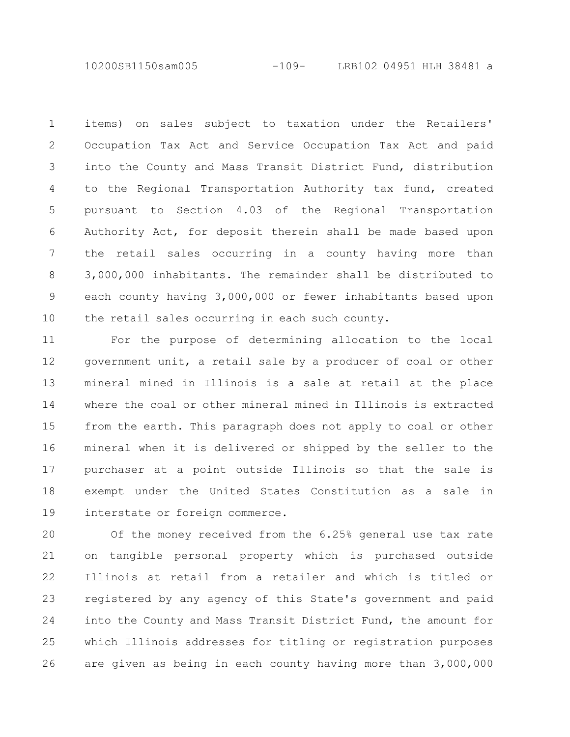10200SB1150sam005 -109- LRB102 04951 HLH 38481 a

items) on sales subject to taxation under the Retailers' Occupation Tax Act and Service Occupation Tax Act and paid into the County and Mass Transit District Fund, distribution to the Regional Transportation Authority tax fund, created pursuant to Section 4.03 of the Regional Transportation Authority Act, for deposit therein shall be made based upon the retail sales occurring in a county having more than 3,000,000 inhabitants. The remainder shall be distributed to each county having 3,000,000 or fewer inhabitants based upon the retail sales occurring in each such county. 1 2 3 4 5 6 7 8 9 10

For the purpose of determining allocation to the local government unit, a retail sale by a producer of coal or other mineral mined in Illinois is a sale at retail at the place where the coal or other mineral mined in Illinois is extracted from the earth. This paragraph does not apply to coal or other mineral when it is delivered or shipped by the seller to the purchaser at a point outside Illinois so that the sale is exempt under the United States Constitution as a sale in interstate or foreign commerce. 11 12 13 14 15 16 17 18 19

Of the money received from the 6.25% general use tax rate on tangible personal property which is purchased outside Illinois at retail from a retailer and which is titled or registered by any agency of this State's government and paid into the County and Mass Transit District Fund, the amount for which Illinois addresses for titling or registration purposes are given as being in each county having more than 3,000,000 20 21 22 23 24 25 26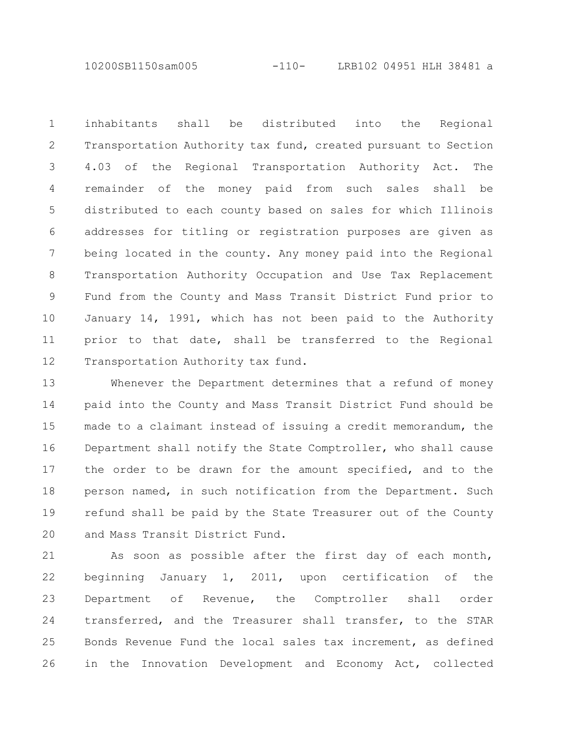10200SB1150sam005 -110- LRB102 04951 HLH 38481 a

inhabitants shall be distributed into the Regional Transportation Authority tax fund, created pursuant to Section 4.03 of the Regional Transportation Authority Act. The remainder of the money paid from such sales shall be distributed to each county based on sales for which Illinois addresses for titling or registration purposes are given as being located in the county. Any money paid into the Regional Transportation Authority Occupation and Use Tax Replacement Fund from the County and Mass Transit District Fund prior to January 14, 1991, which has not been paid to the Authority prior to that date, shall be transferred to the Regional Transportation Authority tax fund. 1 2 3 4 5 6 7 8 9 10 11 12

Whenever the Department determines that a refund of money paid into the County and Mass Transit District Fund should be made to a claimant instead of issuing a credit memorandum, the Department shall notify the State Comptroller, who shall cause the order to be drawn for the amount specified, and to the person named, in such notification from the Department. Such refund shall be paid by the State Treasurer out of the County and Mass Transit District Fund. 13 14 15 16 17 18 19 20

As soon as possible after the first day of each month, beginning January 1, 2011, upon certification of the Department of Revenue, the Comptroller shall order transferred, and the Treasurer shall transfer, to the STAR Bonds Revenue Fund the local sales tax increment, as defined in the Innovation Development and Economy Act, collected 21 22 23 24 25 26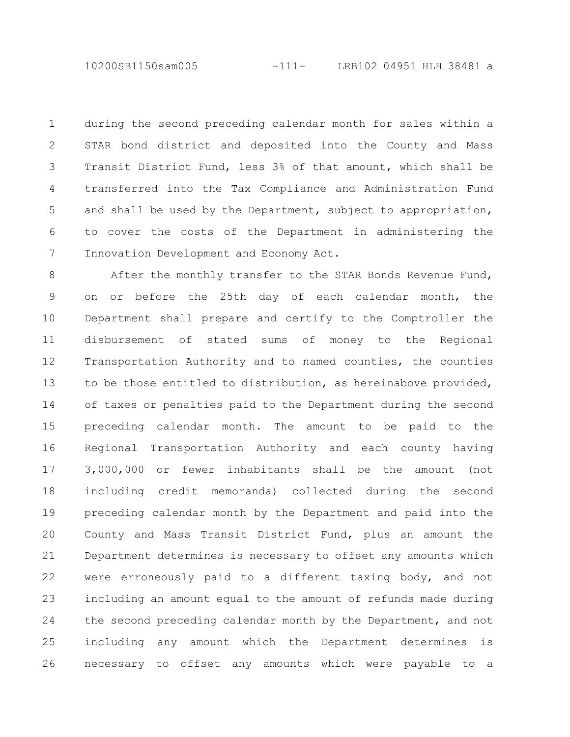10200SB1150sam005 -111- LRB102 04951 HLH 38481 a

during the second preceding calendar month for sales within a STAR bond district and deposited into the County and Mass Transit District Fund, less 3% of that amount, which shall be transferred into the Tax Compliance and Administration Fund and shall be used by the Department, subject to appropriation, to cover the costs of the Department in administering the Innovation Development and Economy Act. 1 2 3 4 5 6 7

After the monthly transfer to the STAR Bonds Revenue Fund, on or before the 25th day of each calendar month, the Department shall prepare and certify to the Comptroller the disbursement of stated sums of money to the Regional Transportation Authority and to named counties, the counties to be those entitled to distribution, as hereinabove provided, of taxes or penalties paid to the Department during the second preceding calendar month. The amount to be paid to the Regional Transportation Authority and each county having 3,000,000 or fewer inhabitants shall be the amount (not including credit memoranda) collected during the second preceding calendar month by the Department and paid into the County and Mass Transit District Fund, plus an amount the Department determines is necessary to offset any amounts which were erroneously paid to a different taxing body, and not including an amount equal to the amount of refunds made during the second preceding calendar month by the Department, and not including any amount which the Department determines is necessary to offset any amounts which were payable to a 8 9 10 11 12 13 14 15 16 17 18 19 20 21 22 23 24 25 26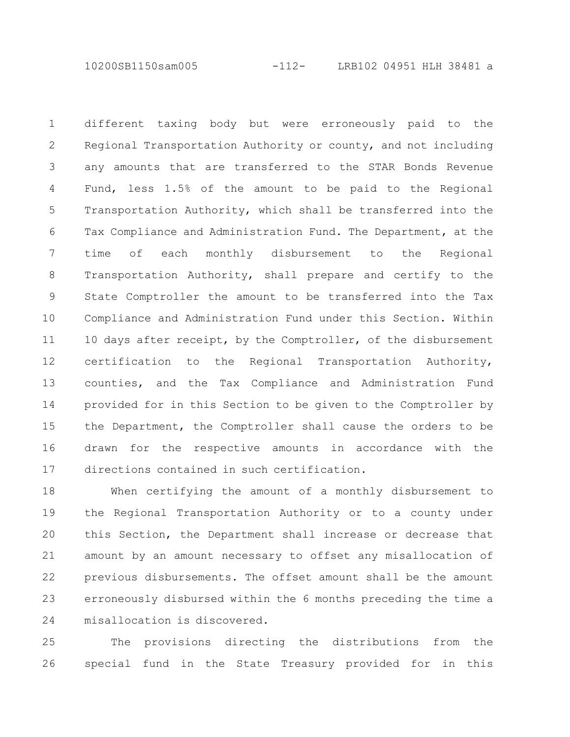10200SB1150sam005 -112- LRB102 04951 HLH 38481 a

different taxing body but were erroneously paid to the Regional Transportation Authority or county, and not including any amounts that are transferred to the STAR Bonds Revenue Fund, less 1.5% of the amount to be paid to the Regional Transportation Authority, which shall be transferred into the Tax Compliance and Administration Fund. The Department, at the time of each monthly disbursement to the Regional Transportation Authority, shall prepare and certify to the State Comptroller the amount to be transferred into the Tax Compliance and Administration Fund under this Section. Within 10 days after receipt, by the Comptroller, of the disbursement certification to the Regional Transportation Authority, counties, and the Tax Compliance and Administration Fund provided for in this Section to be given to the Comptroller by the Department, the Comptroller shall cause the orders to be drawn for the respective amounts in accordance with the directions contained in such certification. 1 2 3 4 5 6 7 8 9 10 11 12 13 14 15 16 17

When certifying the amount of a monthly disbursement to the Regional Transportation Authority or to a county under this Section, the Department shall increase or decrease that amount by an amount necessary to offset any misallocation of previous disbursements. The offset amount shall be the amount erroneously disbursed within the 6 months preceding the time a misallocation is discovered. 18 19 20 21 22 23 24

The provisions directing the distributions from the special fund in the State Treasury provided for in this 25 26